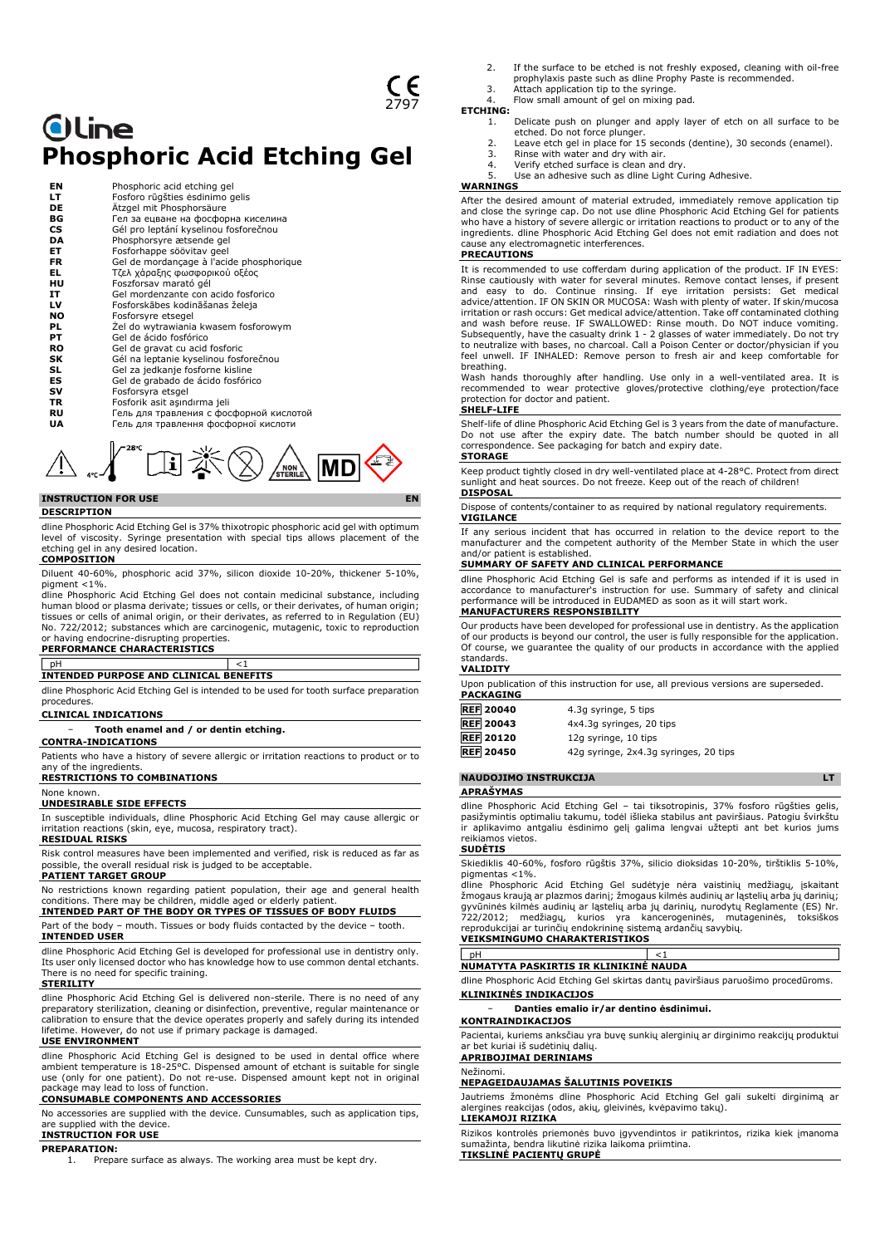# **Oline Phosphoric Acid Etching Gel**

| EN        | Phosphoric acid etching gel              |
|-----------|------------------------------------------|
| LT        | Fosforo rūgšties ėsdinimo gelis          |
| DE        | Ätzgel mit Phosphorsäure                 |
| ВG        | Гел за ецване на фосфорна киселина       |
| CS        | Gél pro leptání kyselinou fosforečnou    |
| DA        | Phosphorsyre ætsende gel                 |
| ET        | Fosforhappe söövitav geel                |
| <b>FR</b> | Gel de mordançage à l'acide phosphorique |
| EL.       | Τζελ χάραξης φωσφορικού οξέος            |
| HU        | Foszforsav marató gél                    |
| IT        | Gel mordenzante con acido fosforico      |
| LV        | Fosforskābes kodināšanas želeja          |
| <b>NO</b> | Fosforsyre etsegel                       |
| PL        | Zel do wytrawiania kwasem fosforowym     |
| PT        | Gel de ácido fosfórico                   |
| <b>RO</b> | Gel de gravat cu acid fosforic           |
| SK        | Gél na leptanie kyselinou fosforečnou    |
| SL        | Gel za jedkanje fosforne kisline         |
| ES        | Gel de grabado de ácido fosfórico        |
| sv        | Fosforsyra etsgel                        |
| <b>TR</b> | Fosforik asit asındırma jeli             |
| RU        | Гель для травления с фосфорной кислотой  |
| UA        | Гель для травлення фосфорної кислоти     |
|           |                                          |



# **INSTRUCTION FOR USE**

### **DESCRIPTION**

dline Phosphoric Acid Etching Gel is 37% thixotropic phosphoric acid gel with optimum level of viscosity. Syringe presentation with special tips allows placement of the etching gel in any desired location. **COMPOSITION**

Diluent 40-60%, phosphoric acid 37%, silicon dioxide 10-20%, thickener 5-10%, pigment <1%.

dline Phosphoric Acid Etching Gel does not contain medicinal substance, including human blood or plasma derivate; tissues or cells, or their derivates, of human origin; tissues or cells of animal origin, or their derivates, as referred to in Regulation (EU) No. 722/2012; substances which are carcinogenic, mutagenic, toxic to reproduction or having endocrine-disrupting properties. **PERFORMANCE CHARACTERISTICS**

# pH <1 **INTENDED PURPOSE AND CLINICAL BENEFITS**

dline Phosphoric Acid Etching Gel is intended to be used for tooth surface preparation procedures.

# **CLINICAL INDICATIONS**

− **Tooth enamel and / or dentin etching.**

## **CONTRA-INDICATIONS**

Patients who have a history of severe allergic or irritation reactions to product or to

any of the ingredients. **RESTRICTIONS TO COMBINATIONS**

# None known.

**UNDESIRABLE SIDE EFFECTS**

In susceptible individuals, dline Phosphoric Acid Etching Gel may cause allergic or irritation reactions (skin, eye, mucosa, respiratory tract).

## **RESIDUAL RISKS**

Risk control measures have been implemented and verified, risk is reduced as far as possible, the overall residual risk is judged to be acceptable. **PATIENT TARGET GROUP**

No restrictions known regarding patient population, their age and general health conditions. There may be children, middle aged or elderly patien

**INTENDED PART OF THE BODY OR TYPES OF TISSUES OF BODY FLUIDS** Part of the body – mouth. Tissues or body fluids contacted by the device – tooth.

# **INTENDED USER**

dline Phosphoric Acid Etching Gel is developed for professional use in dentistry only. Its user only licensed doctor who has knowledge how to use common dental etchants. There is no need for specific training.

### **STERILITY**

dline Phosphoric Acid Etching Gel is delivered non-sterile. There is no need of any preparatory sterilization, cleaning or disinfection, preventive, regular maintenance o calibration to ensure that the device operates properly and safely during its intended lifetime. However, do not use if primary package is damaged.

# **USE ENVIRONMENT**

dline Phosphoric Acid Etching Gel is designed to be used in dental office where ambient temperature is 18-25°C. Dispensed amount of etchant is suitable for single use (only for one patient). Do not re-use. Dispensed amount kept not in original package may lead to loss of function.

# **CONSUMABLE COMPONENTS AND ACCESSORIES**

No accessories are supplied with the device. Cunsumables, such as application tips, are supplied with the device.

# **INSTRUCTION FOR USE**

**PREPARATION:**

1. Prepare surface as always. The working area must be kept dry.

- 2. If the surface to be etched is not freshly exposed, cleaning with oil-free prophylaxis paste such as dline Prophy Paste is recommended.
- 3. Attach application tip to the syringe.
- Flow small amount of gel on mixing pad.

# **ETCHING:**<br>1.

- 1. Delicate push on plunger and apply layer of etch on all surface to be
- etched. Do not force plunger. 2. Leave etch gel in place for 15 seconds (dentine), 30 seconds (enamel). 3. Rinse with water and dry with air.
- 
- 4. Verify etched surface is clean and dry. 5. Use an adhesive such as dline Light Curing Adhesive.
- **WARNINGS**
	-

After the desired amount of material extruded, immediately remove application tip and close the syringe cap. Do not use dline Phosphoric Acid Etching Gel for patients who have a history of severe allergic or irritation reactions to product or to any of the ingredients. dline Phosphoric Acid Etching Gel does not emit radiation and does not cause any electromagnetic interferences.

## **PRECAUTIONS**

It is recommended to use cofferdam during application of the product. IF IN EYES: Rinse cautiously with water for several minutes. Remove contact lenses, if present and easy to do. Continue rinsing. If eye irritation persists: Get medical advice/attention. IF ON SKIN OR MUCOSA: Wash with plenty of water. If skin/mucosa irritation or rash occurs: Get medical advice/attention. Take off contaminated clothing and wash before reuse. IF SWALLOWED: Rinse mouth. Do NOT induce vomiting. Subsequently, have the casualty drink 1 - 2 glasses of water immediately. Do not try to neutralize with bases, no charcoal. Call a Poison Center or doctor/physician if you feel unwell. IF INHALED: Remove person to fresh air and keep comfortable for breathing.

Wash hands thoroughly after handling. Use only in a well-ventilated area. It is recommended to wear protective gloves/protective clothing/eye protection/face protection for doctor and patient.

# **SHELF-LIFE**

Shelf-life of dline Phosphoric Acid Etching Gel is 3 years from the date of manufacture. Do not use after the expiry date. The batch number should be quoted in all correspondence. See packaging for batch and expiry date. **STORAGE**

Keep product tightly closed in dry well-ventilated place at 4-28°C. Protect from direct sunlight and heat sources. Do not freeze. Keep out of the reach of children! **DISPOSAL**

Dispose of contents/container to as required by national regulatory requirements. **VIGILANCE**

If any serious incident that has occurred in relation to the device report to the manufacturer and the competent authority of the Member State in which the user and/or patient is established.

# **SUMMARY OF SAFETY AND CLINICAL PERFORMANCE**

dline Phosphoric Acid Etching Gel is safe and performs as intended if it is used in accordance to manufacturer's instruction for use. Summary of safety and clinical performance will be introduced in EUDAMED as soon as it will start work. **MANUFACTURERS RESPONSIBILITY**

Our products have been developed for professional use in dentistry. As the application of our products is beyond our control, the user is fully responsible for the application. Of course, we guarantee the quality of our products in accordance with the applied standards.

### **VALIDITY**

Upon publication of this instruction for use, all previous versions are superseded. **PACKAGING**

| <b>REF 20040</b> | 4.3q syringe, 5 tips     |  |
|------------------|--------------------------|--|
| <b>REF 20043</b> | 4x4.3g syringes, 20 tips |  |
| <b>REF 20120</b> | 12g syringe, 10 tips     |  |

**REF 20450** 42g syringe, 2x4.3g syringes, 20 tips

**NAUDOJIMO INSTRUKCIJA LT APRAŠYMAS** dline Phosphoric Acid Etching Gel – tai tiksotropinis, 37% fosforo rūgšties gelis,<br>pasižymintis optimaliu takumu, todėl išlieka stabilus ant paviršiaus. Patogiu švirkštu<br>ir aplikavimo antgaliu ėsdinimo gelį galima lengvai

### reikiamos vietos. **SUDĖTIS**

Skiediklis 40-60%, fosforo rūgštis 37%, silicio dioksidas 10-20%, tirštiklis 5-10%, pigmentas <1%.

dline Phosphoric Acid Etching Gel sudėtyje nėra vaistinių medžiagų, įskaitant žmogaus kraują ar plazmos darinį; žmogaus kilmės audinių ar ląstelių arba jų darinių; gyvūninės kilmės audinių ar ląstelių arba jų darinių, nurodytų Reglamente (ES) Nr. 722/2012; medžiagų, kurios yra kancerogeninės, mutageninės, toksiškos reprodukcijai ar turinčių endokrininę sistemą ardančių savybių. **VEIKSMINGUMO CHARAKTERISTIKOS**

pH <1 **NUMATYTA PASKIRTIS IR KLINIKINĖ NAUDA**

dline Phosphoric Acid Etching Gel skirtas dantų paviršiaus paruošimo procedūroms. **KLINIKINĖS INDIKACIJOS**

## − **Danties emalio ir/ar dentino ėsdinimui.**

# **KONTRAINDIKACIJOS**

Pacientai, kuriems anksčiau yra buvę sunkių alerginių ar dirginimo reakcijų produktui kuriai iš sudėtinių dalių. **APRIBOJIMAI DERINIAMS**

# Nežinomi.

# **NEPAGEIDAUJAMAS ŠALUTINIS POVEIKIS**

Jautriems žmonėms dline Phosphoric Acid Etching Gel gali sukelti dirginimą ar alergines reakcijas (odos, akių, gleivinės, kvėpavimo takų).

### **LIEKAMOJI RIZIKA**

Rizikos kontrolės priemonės buvo įgyvendintos ir patikrintos, rizika kiek įmanoma sumažinta, bendra likutinė rizika laikoma priimtina. **TIKSLINĖ PACIENTŲ GRUPĖ**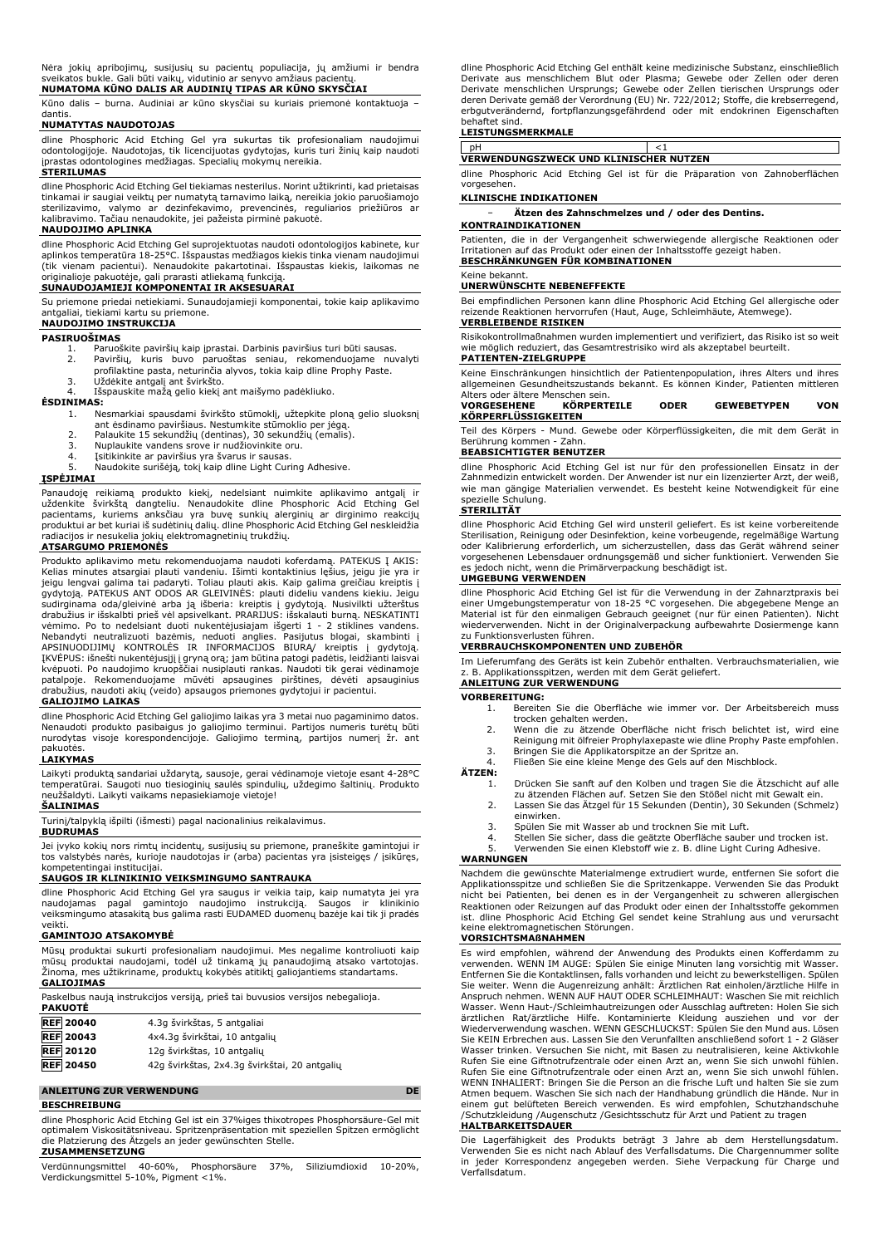Nėra jokių apribojimų, susijusių su pacientų populiacija, jų amžiumi ir bendra sveikatos bukle. Gali būti vaikų, vidutinio ar senyvo amžiaus pacientų. **NUMATOMA KŪNO DALIS AR AUDINIŲ TIPAS AR KŪNO SKYSČIAI**

Kūno dalis – burna. Audiniai ar kūno skysčiai su kuriais priemonė kontaktuoja – dantis.

# **NUMATYTAS NAUDOTOJAS**

dline Phosphoric Acid Etching Gel yra sukurtas tik profesionaliam naudojimui<br>odontologijoje. Naudotojas, tik licencijuotas gydytojas, kuris turi žinių kaip naudoti<br>įprastas odontologines medžiagas. Specialių mokymų nereiki

dline Phosphoric Acid Etching Gel tiekiamas nesterilus. Norint užtikrinti, kad prietaisas

tinkamai ir saugiai veiktų per numatytą tarnavimo laiką, nereikia jokio paruošiamojo<br>sterilizavimo, valymo ar dezinfekavimo, prevencinės, reguliarios priežiūros ar<br>kalibravimo. Tačiau nenaudokite, jei pažeista pirm

# **NAUDOJIMO APLINKA**

dline Phosphoric Acid Etching Gel suprojektuotas naudoti odontologijos kabinete, kur aplinkos temperatūra 18-25°C. Išspaustas medžiagos kiekis tinka vienam naudojimui (tik vienam pacientui). Nenaudokite pakartotinai. Išspaustas kiekis, laikomas ne originalioje pakuotėje, gali prarasti atliekamą funkciją. **SUNAUDOJAMIEJI KOMPONENTAI IR AKSESUARAI**

Su priemone priedai netiekiami. Sunaudojamieji komponentai, tokie kaip aplikavimo antgaliai, tiekiami kartu su priemone. **NAUDOJIMO INSTRUKCIJA**

### **PASIRUOŠIMAS**

- 1. Paruoškite paviršių kaip įprastai. Darbinis paviršius turi būti sausas.<br>2. Paviršiu, kuris buvo paruoštas seniau, rekomenduojame nu
- 2. Paviršių, kuris buvo paruoštas seniau, rekomenduojame nuvalyti profilaktine pasta, neturinčia alyvos, tokia kaip dline Prophy Paste.
- 
- 

3. Uždėkite antgalį ant švirkšto. 4. Išspauskite mažą gelio kiekį ant maišymo padėkliuko.

# **ĖSDINIMAS:**

- 1. Nesmarkiai spausdami švirkšto stūmoklį, užtepkite ploną gelio sluoksnį
- ant ėsdinamo paviršiaus. Nestumkite stūmoklio per jėgą. 2. Palaukite 15 sekundžių (dentinas), 30 sekundžių (emalis). 3. Nuplaukite vandens srove ir nudžiovinkite oru.
- 
- 
- 4. Įsitikinkite ar paviršius yra švarus ir sausas. 5. Naudokite surišėją, tokį kaip dline Light Curing Adhesive.

# **ĮSPĖJIMAI**

Panaudoję reikiamą produkto kiekį, nedelsiant nuimkite aplikavimo antgalį ir uždenkite švirkštą dangteliu. Nenaudokite dline Phosphoric Acid Etching Gel pacientams, kuriems anksčiau yra buvę sunkių alerginių ar dirginimo reakcijų produktui ar bet kuriai iš sudėtinių dalių. dline Phosphoric Acid Etching Gel neskleidžia radiacijos ir nesukelia jokių elektromagnetinių trukdžių.

## **ATSARGUMO PRIEMONĖS**

Produkto aplikavimo metu rekomenduojama naudoti koferdamą. PATEKUS Į AKIS: Kelias minutes atsargiai plauti vandeniu. Išimti kontaktinius lęšius, jeigu jie yra ir jeigu lengvai galima tai padaryti. Toliau plauti akis. Kaip galima greičiau kreiptis į gydytoją. PATEKUS ANT ODOS AR GLEIVINĖS: plauti dideliu vandens kiekiu. Jeigu sudirginama oda/gleivinė arba ją išberia: kreiptis į gydytoją. Nusivilkti užterštus drabužius ir išskalbti prieš vėl apsivelkant. PRARIJUS: išskalauti burną. NESKATINTI vėmimo. Po to nedelsiant duoti nukentėjusiajam išgerti 1 - 2 stiklines vandens.<br>Nebandyti neutralizuoti bazėmis, neduoti anglies. Pasijutus blogai, skambinti į<br>APSINUODIJIMŲ KONTROLĖS IR INFORMACIJOS BIURA/ kreiptis į gydy patalpoje. Rekomenduojame mūvėti apsaugines pirštines, dėvėti apsauginius drabužius, naudoti akių (veido) apsaugos priemones gydytojui ir pacientui.

# **GALIOJIMO LAIKAS**

dline Phosphoric Acid Etching Gel galiojimo laikas yra 3 metai nuo pagaminimo datos. Nenaudoti produkto pasibaigus jo galiojimo terminui. Partijos numeris turėtų būti nurodytas visoje korespondencijoje. Galiojimo terminą, partijos numerį žr. ant pakuotės.

# **LAIKYMAS**

Laikyti produktą sandariai uždarytą, sausoje, gerai vėdinamoje vietoje esant 4-28°C temperatūrai. Saugoti nuo tiesioginių saulės spindulių, uždegimo šaltinių. Produkto neužšaldyti. Laikyti vaikams nepasiekiamoje vietoje!

# **ŠALINIMAS**

Turinį/talpyklą išpilti (išmesti) pagal nacionalinius reikalavimus. **BUDRUMAS**

Jei įvyko kokių nors rimtų incidentų, susijusių su priemone, praneškite gamintojui ir tos valstybės narės, kurioje naudotojas ir (arba) pacientas yra įsisteigęs / įsikūręs, kompetentingai institucijai.

# **SAUGOS IR KLINIKINIO VEIKSMINGUMO SANTRAUKA**

dline Phosphoric Acid Etching Gel yra saugus ir veikia taip, kaip numatyta jei yra<br>naudojamas - pagal - gamintojo - naudojimo - instrukciją. - Saugos - ir - klinikinio<br>veiksmingumo atasakitą bus galima rasti EUDAMED duomen veikti.

### **GAMINTOJO ATSAKOMYBĖ**

Mūsų produktai sukurti profesionaliam naudojimui. Mes negalime kontroliuoti kaip mūsų produktai naudojami, todėl už tinkamą jų panaudojimą atsako vartotojas. Žinoma, mes užtikriname, produktų kokybės atitiktį galiojantiems standartams. **GALIOJIMAS**

| <b>PAKUOTĖ</b>   | Paskelbus naują instrukcijos versiją, prieš tai buvusios versijos nebegalioja. |
|------------------|--------------------------------------------------------------------------------|
| <b>REF 20040</b> | 4.3g švirkštas, 5 antgaliai                                                    |
| <b>REF</b> 20043 | 4x4.3q švirkštai, 10 antgalių                                                  |
| <b>REF 20120</b> | 12g švirkštas, 10 antgalių                                                     |
| <b>REF 20450</b> | 42g švirkštas, 2x4.3g švirkštai, 20 antgalių                                   |

# **ANLEITUNG ZUR VERWENDUNG DE**

### **BESCHREIBUNG**

dline Phosphoric Acid Etching Gel ist ein 37%iges thixotropes Phosphorsäure-Gel mit optimalem Viskositätsniveau. Spritzenpräsentation mit speziellen Spitzen ermöglicht die Platzierung des Ätzgels an jeder gewünschten Stelle. **ZUSAMMENSETZUNG**

Verdünnungsmittel 40-60%, Phosphorsäure 37%, Siliziumdioxid 10-20%, Verdickungsmittel 5-10%, Pigment <1%.

dline Phosphoric Acid Etching Gel enthält keine medizinische Substanz, einschließlich Derivate aus menschlichem Blut oder Plasma; Gewebe oder Zellen oder deren Derivate menschlichen Ursprungs; Gewebe oder Zellen tierischen Ursprungs oder deren Derivate gemäß der Verordnung (EU) Nr. 722/2012; Stoffe, die krebserregend, erbgutverändernd, fortpflanzungsgefährdend oder mit endokrinen Eigenschaften behaftet sind.

# **LEISTUNGSMERKMALE**

pH <1 **VERWENDUNGSZWECK UND KLINISCHER NUTZEN**

dline Phosphoric Acid Etching Gel ist für die Präparation von Zahnoberflächen vorgesehen.

### **KLINISCHE INDIKATIONEN**

− **Ätzen des Zahnschmelzes und / oder des Dentins. KONTRAINDIKATIONEN**

Patienten, die in der Vergangenheit schwerwiegende allergische Reaktionen oder Irritationen auf das Produkt oder einen der Inhaltsstoffe gezeigt haben. **BESCHRÄNKUNGEN FÜR KOMBINATIONEN**

### Keine bekannt.

# **UNERWÜNSCHTE NEBENEFFEKTE**

Bei empfindlichen Personen kann dline Phosphoric Acid Etching Gel allergische oder reizende Reaktionen hervorrufen (Haut, Auge, Schleimhäute, Atemwege). **VERBLEIBENDE RISIKEN**

Risikokontrollmaßnahmen wurden implementiert und verifiziert, das Risiko ist so weit wie möglich reduziert, das Gesamtrestrisiko wird als akzeptabel beurteilt. **PATIENTEN-ZIELGRUPPE**

# Keine Einschränkungen hinsichtlich der Patientenpopulation, ihres Alters und ihres allgemeinen Gesundheitszustands bekannt. Es können Kinder, Patienten mittleren Alters oder ältere Menschen sein.<br>
VORGESEHENE KÖRPERT

### **VORGESEHENE KÖRPERTEILE ODER GEWEBETYPEN VON KÖRPERFLÜSSIGKEITEN**

Teil des Körpers - Mund. Gewebe oder Körperflüssigkeiten, die mit dem Gerät in Berührung kommen - Zahn.

# **BEABSICHTIGTER BENUTZER**

dline Phosphoric Acid Etching Gel ist nur für den professionellen Einsatz in der Zahnmedizin entwickelt worden. Der Anwender ist nur ein lizenzierter Arzt, der weiß, wie man gängige Materialien verwendet. Es besteht keine Notwendigkeit für eine spezielle Schulung.

# **STERILITÄT**

dline Phosphoric Acid Etching Gel wird unsteril geliefert. Es ist keine vorbereitende Sterilisation, Reinigung oder Desinfektion, keine vorbeugende, regelmäßige Wartung oder Kalibrierung erforderlich, um sicherzustellen, dass das Gerät während seiner vorgesehenen Lebensdauer ordnungsgemäß und sicher funktioniert. Verwenden Sie es jedoch nicht, wenn die Primärverpackung beschädigt ist. **UMGEBUNG VERWENDEN**

dline Phosphoric Acid Etching Gel ist für die Verwendung in der Zahnarztpraxis bei einer Umgebungstemperatur von 18-25 °C vorgesehen. Die abgegebene Menge an Material ist für den einmaligen Gebrauch geeignet (nur für einen Patienten). Nicht wiederverwenden. Nicht in der Originalverpackung aufbewahrte Dosiermenge kann zu Funktionsverlusten führen.

# **VERBRAUCHSKOMPONENTEN UND ZUBEHÖR**

Im Lieferumfang des Geräts ist kein Zubehör enthalten. Verbrauchsmaterialien, wie z. B. Applikationsspitzen, werden mit dem Gerät geliefert. **ANLEITUNG ZUR VERWENDUNG**

# **VORBEREITUNG:**

- 1. Bereiten Sie die Oberfläche wie immer vor. Der Arbeitsbereich muss trocken gehalten werden.
- 2. Wenn die zu ätzende Oberfläche nicht frisch belichtet ist, wird eine Reinigung mit ölfreier Prophylaxepaste wie dline Prophy Paste empfohlen. 3. Bringen Sie die Applikatorspitze an der Spritze an.
- 4. Fließen Sie eine kleine Menge des Gels auf den Mischblock.

# **ÄTZEN:**

- 1. Drücken Sie sanft auf den Kolben und tragen Sie die Ätzschicht auf alle zu ätzenden Flächen auf. Setzen Sie den Stößel nicht mit Gewalt ein.
- 2. Lassen Sie das Ätzgel für 15 Sekunden (Dentin), 30 Sekunden (Schmelz)
- 
- einwirken. 3. Spülen Sie mit Wasser ab und trocknen Sie mit Luft.
- 4. Stellen Sie sicher, dass die geätzte Oberfläche sauber und trocken ist. 5. Verwenden Sie einen Klebstoff wie z. B. dline Light Curing Adhesive.
- 

# **WARNUNGEN**

Nachdem die gewünschte Materialmenge extrudiert wurde, entfernen Sie sofort die Applikationsspitze und schließen Sie die Spritzenkappe. Verwenden Sie das Produkt nicht bei Patienten, bei denen es in der Vergangenheit zu schweren allergischen Reaktionen oder Reizungen auf das Produkt oder einen der Inhaltsstoffe gekommen ist. dline Phosphoric Acid Etching Gel sendet keine Strahlung aus und verursacht keine elektromagnetischen Störungen.

### **VORSICHTSMAßNAHMEN**

Es wird empfohlen, während der Anwendung des Produkts einen Kofferdamm zu verwenden. WENN IM AUGE: Spülen Sie einige Minuten lang vorsichtig mit Wasser. Entfernen Sie die Kontaktlinsen, falls vorhanden und leicht zu bewerkstelligen. Spülen Sie weiter. Wenn die Augenreizung anhält: Ärztlichen Rat einholen/ärztliche Hilfe in Anspruch nehmen. WENN AUF HAUT ODER SCHLEIMHAUT: Waschen Sie mit reichlich Wasser. Wenn Haut-/Schleimhautreizungen oder Ausschlag auftreten: Holen Sie sich ärztlichen Rat/ärztliche Hilfe. Kontaminierte Kleidung ausziehen und vor der Wiederverwendung waschen. WENN GESCHLUCKST: Spülen Sie den Mund aus. Lösen Sie KEIN Erbrechen aus. Lassen Sie den Verunfallten anschließend sofort 1 - 2 Gläser Wasser trinken. Versuchen Sie nicht, mit Basen zu neutralisieren, keine Aktivkohle<br>Rufen Sie eine Giftnotrufzentrale oder einen Arzt an, wenn Sie sich unwohl fühlen.<br>Rufen Sie eine Giftnotrufzentrale oder einen Arzt an, we WENN INHALIERT: Bringen Sie die Person an die frische Luft und halten Sie sie zum Atmen bequem. Waschen Sie sich nach der Handhabung gründlich die Hände. Nur in einem gut belüfteten Bereich verwenden. Es wird empfohlen, Schutzhandschuhe /Schutzkleidung /Augenschutz /Gesichtsschutz für Arzt und Patient zu tragen

### **HALTBARKEITSDAUER**

Die Lagerfähigkeit des Produkts beträgt 3 Jahre ab dem Herstellungsdatum. Verwenden Sie es nicht nach Ablauf des Verfallsdatums. Die Chargennummer sollte in jeder Korrespondenz angegeben werden. Siehe Verpackung für Charge und Verfallsdatum.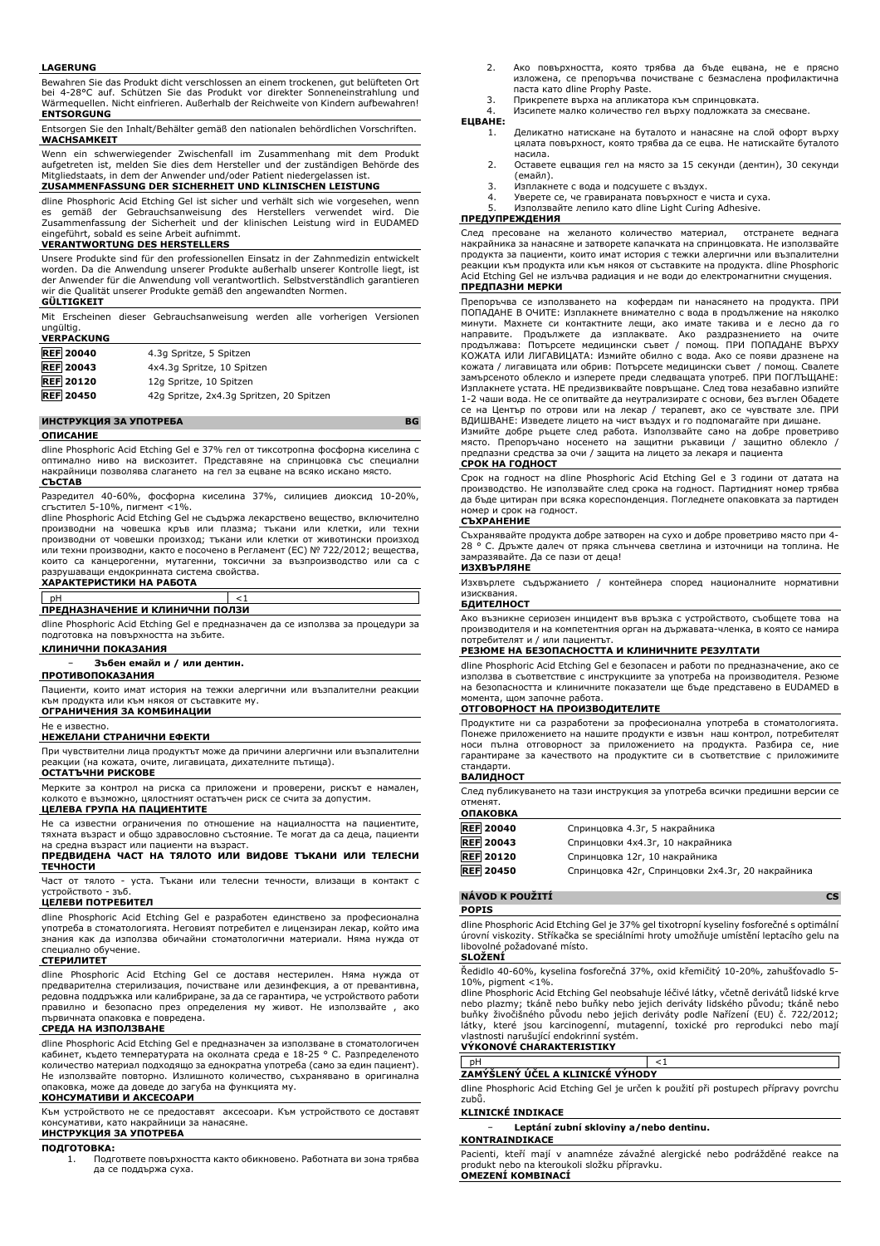### **LAGERUNG**

Bewahren Sie das Produkt dicht verschlossen an einem trockenen, gut belüfteten Ort bei 4-28°C auf. Schützen Sie das Produkt vor direkter Sonneneinstrahlung und Wärmequellen. Nicht einfrieren. Außerhalb der Reichweite von Kindern aufbewahren! **ENTSORGUNG**

Entsorgen Sie den Inhalt/Behälter gemäß den nationalen behördlichen Vorschriften. **WACHSAMKEIT**

Wenn ein schwerwiegender Zwischenfall im Zusammenhang mit dem Produkt aufgetreten ist, melden Sie dies dem Hersteller und der zuständigen Behörde des Mitgliedstaats, in dem der Anwender und/oder Patient niedergelassen ist.

# **ZUSAMMENFASSUNG DER SICHERHEIT UND KLINISCHEN LEISTUNG**

dline Phosphoric Acid Etching Gel ist sicher und verhält sich wie vorgesehen, wenn es gemäß der Gebrauchsanweisung des Herstellers verwendet wird. Zusammenfassung der Sicherheit und der klinischen Leistung wird in EUDAMED eingeführt, sobald es seine Arbeit aufnimmt.

### **VERANTWORTUNG DES HERSTELLERS**

Unsere Produkte sind für den professionellen Einsatz in der Zahnmedizin entwickelt worden. Da die Anwendung unserer Produkte außerhalb unserer Kontrolle liegt, ist der Anwender für die Anwendung voll verantwortlich. Selbstverständlich garantieren wir die Qualität unserer Produkte gemäß den angewandten Normen.

### **GÜLTIGKEIT**

Mit Erscheinen dieser Gebrauchsanweisung werden alle vorherigen Versionen ungültig.

| <b>VERPACKUNG</b> |                                          |
|-------------------|------------------------------------------|
| <b>REF 20040</b>  | 4.3q Spritze, 5 Spitzen                  |
| <b>REF</b> 20043  | 4x4.3q Spritze, 10 Spitzen               |
| <b>REF 20120</b>  | 12g Spritze, 10 Spitzen                  |
| <b>REF</b> 20450  | 42q Spritze, 2x4.3q Spritzen, 20 Spitzen |

# **ИНСТРУКЦИЯ ЗА УПОТРЕБА BG**

# **ОПИСАНИЕ**

dline Phosphoric Acid Etching Gel е 37% гел от тиксотропна фосфорна киселина с оптимално ниво на вискозитет. Представяне на спринцовка със специални накрайници позволява слагането на гел за ецване на всяко искано място. **СЪСТАВ**

Разредител 40-60%, фосфорна киселина 37%, силициев диоксид 10-20%, сгъстител 5-10%, пигмент <1%.

dline Phosphoric Acid Etching Gel не съдържа лекарствено вещество, включително производни на човешка кръв или плазма; тъкани или клетки, или техни производни от човешки произход; тъкани или клетки от животински произход или техни производни, както е посочено в Регламент (ЕС) № 722/2012; вещества, които са канцерогенни, мутагенни, токсични за възпроизводство или са с разрушаващи ендокринната система свойства. **ХАРАКТЕРИСТИКИ НА РАБОТА**

# pH <1 **ПРЕДНАЗНАЧЕНИЕ И КЛИНИЧНИ ПОЛЗИ**

dline Phosphoric Acid Etching Gel е предназначен да се използва за процедури за подготовка на повърхността на зъбите.

### **КЛИНИЧНИ ПОКАЗАНИЯ**

− **Зъбен емайл и / или дентин.**

# **ПРОТИВОПОКАЗАНИЯ**

Пациенти, които имат история на тежки алергични или възпалителни реакции към продукта или към някоя от съставките му. **ОГРАНИЧЕНИЯ ЗА КОМБИНАЦИИ**

# Не е известно. **НЕЖЕЛАНИ СТРАНИЧНИ ЕФЕКТИ**

При чувствителни лица продуктът може да причини алергични или възпалителни реакции (на кожата, очите, лигавицата, дихателните пътища).

# **ОСТАТЪЧНИ РИСКОВЕ**

Мерките за контрол на риска са приложени и проверени, рискът е намален, колкото е възможно, цялостният остатъчен риск се счита за допустим. **ЦЕЛЕВА ГРУПА НА ПАЦИЕНТИТЕ**

Не са известни ограничения по отношение на нациалността на пациентите, тяхната възраст и общо здравословно състояние. Те могат да са деца, пациенти на средна възраст или пациенти на възраст.

# **ПРЕДВИДЕНА ЧАСТ НА ТЯЛОТО ИЛИ ВИДОВЕ ТЪКАНИ ИЛИ ТЕЛЕСНИ ТЕЧНОСТИ**

Част от тялото - уста. Тъкани или телесни течности, влизащи в контакт с устройството - зъб.

### **ЦЕЛЕВИ ПОТРЕБИТЕЛ**

dline Phosphoric Acid Etching Gel е разработен единствено за професионална употреба в стоматологията. Неговият потребител е лицензиран лекар, който има знания как да използва обичайни стоматологични материали. Няма нужда от специално обучение.

## **СТЕРИЛИТЕТ**

dline Phosphoric Acid Etching Gel се доставя нестерилен. Няма нужда от предварителна стерилизация, почистване или дезинфекция, а от превантивна, редовна поддръжка или калибриране, за да се гарантира, че устройството работи правилно и безопасно през определения му живот. Не използвайте , ако първичната опаковка е повредена.

# **СРЕДА НА ИЗПОЛЗВАНЕ**

dline Phosphoric Acid Etching Gel е предназначен за използване в стоматологичен кабинет, където температурата на околната среда е 18-25 ° C. Разпределеното количество материал подходящо за еднократна употреба (само за един пациент). Не използвайте повторно. Излишното количество, съхранявано в оригинална опаковка, може да доведе до загуба на функцията му. **КОНСУМАТИВИ И АКСЕСОАРИ**

Към устройството не се предоставят аксесоари. Към устройството се доставят консумативи, като накрайници за нанасяне. **ИНСТРУКЦИЯ ЗА УПОТРЕБА**

- **ПОДГОТОВКА:**
	- 1. Подгответе повърхността както обикновено. Работната ви зона трябва да се поддържа суха.
- 2. Ако повърхността, която трябва да бъде ецвана, не е прясно изложена, се препоръчва почистване с безмаслена профилактична паста като dline Prophy Paste.
- 3. Прикрепете върха на апликатора към спринцовката. 4. Изсипете малко количество гел върху подложката за смесване.

# **ЕЦВАНЕ:**

- 1. Деликатно натискане на буталото и нанасяне на слой офорт върху цялата повърхност, която трябва да се ецва. Не натискайте буталото насила.
- 2. Оставете ецващия гел на място за 15 секунди (дентин), 30 секунди (емайл).
- 3. Изплакнете с вода и подсушете с въздух.
- 4. Уверете се, че гравираната повърхност е чиста и суха. 5. Използвайте лепило като dline Light Curing Adhesive.

# **ПРЕДУПРЕЖДЕНИЯ**

След пресоване на желаното количество материал, отстранете веднага накрайника за нанасяне и затворете капачката на спринцовката. Не използвайте продукта за пациенти, които имат история с тежки алергични или възпалителни реакции към продукта или към някоя от съставките на продукта. dline Phosphoric Acid Etching Gel не излъчва радиация и не води до електромагнитни смущения. **ПРЕДПАЗНИ МЕРКИ**

Препоръчва се използването на кофердам пи нанасянето на продукта. ПРИ ПОПАДАНЕ В ОЧИТЕ: Изплакнете внимателно с вода в продължение на няколко минути. Махнете си контактните лещи, ако имате такива и е лесно да го<br>направите. Продължете да изплаквате. Ако раздразнението на очите направите. Продължете да изплаквате. Ако раздразнението на очите продължава: Потърсете медицински съвет / помощ. ПРИ ПОПАДАНЕ ВЪРХУ КОЖАТА ИЛИ ЛИГАВИЦАТА: Измийте обилно с вода. Ако се появи дразнене на кожата / лигавицата или обрив: Потърсете медицински съвет / помощ. Свалете замърсеното облекло и изперете преди следващата употреб. ПРИ ПОГЛЪЩАНЕ: Изплакнете устата. НЕ предизвиквайте повръщане. След това незабавно изпийте 1-2 чаши вода. Не се опитвайте да неутрализирате с основи, без въглен Обадете се на Център по отрови или на лекар / терапевт, ако се чувствате зле. ПРИ ВДИШВАНЕ: Изведете лицето на чист въздух и го подпомагайте при дишане.

Измийте добре ръцете след работа. Използвайте само на добре проветриво място. Препоръчано носенето на защитни ръкавици / защитно облекло / предпазни средства за очи / защита на лицето за лекаря и пациента

### **СРОК НА ГОДНОСТ**

Срок на годност на dline Phosphoric Acid Etching Gel е 3 години от датата на производство. Не използвайте след срока на годност. Партидният номер трябва да бъде цитиран при всяка кореспонденция. Погледнете опаковката за партиден номер и срок на годност.

### **СЪХРАНЕНИЕ**

Съхранявайте продукта добре затворен на сухо и добре проветриво място при 4- 28 ° C. Дръжте далеч от пряка слънчева светлина и източници на топлина. Не замразявайте. Да се пази от деца! **ИЗХВЪРЛЯНЕ**

Изхвърлете съдържанието / контейнера според националните нормативни

# изисквания. **БДИТЕЛНОСТ**

Ако възникне сериозен инцидент във връзка с устройството, съобщете това на производителя и на компетентния орган на държавата-членка, в която се намира потребителят и / или пациентът.

# **РЕЗЮМЕ НА БЕЗОПАСНОСТТА И КЛИНИЧНИТЕ РЕЗУЛТАТИ**

dline Phosphoric Acid Etching Gel е безопасен и работи по предназначение, ако се използва в съответствие с инструкциите за употреба на производителя. на безопасността и клиничните показатели ще бъде представено в EUDAMED в момента, щом започне работа.

## **ОТГОВОРНОСТ НА ПРОИЗВОДИТЕЛИТЕ**

Продуктите ни са разработени за професионална употреба в стоматологията. Понеже приложението на нашите продукти е извън наш контрол, потребителят носи пълна отговорност за приложението на продукта. Разбира се, ние гарантираме за качеството на продуктите си в съответствие с приложимите стандарти.

# **ВАЛИДНОСТ**

След публикуването на тази инструкция за употреба всички предишни версии се отменят.

# **ОПАКОВКА**

| REF 20040        | Спринцовка 4.3г, 5 накрайника                    |
|------------------|--------------------------------------------------|
| <b>REF</b> 20043 | Спринцовки 4х4.3г, 10 накрайника                 |
| <b>REF 20120</b> | Спринцовка 12г, 10 накрайника                    |
| <b>REF 20450</b> | Спринцовка 42г, Спринцовки 2х4.3г, 20 накрайника |

# **NÁVOD K POUŽITÍ CS**

### **POPIS**

dline Phosphoric Acid Etching Gel je 37% gel tixotropní kyseliny fosforečné s optimální úrovní viskozity. Stříkačka se speciálními hroty umožňuje umístění leptacího gelu na libovolné požadované místo.

# **SLOŽENÍ**

Ředidlo 40-60%, kyselina fosforečná 37%, oxid křemičitý 10-20%, zahušťovadlo 5- 10%, pigment <1%. dline Phosphoric Acid Etching Gel neobsahuje léčivé látky, včetně derivátů lidské krve

nebo plazmy; tkáně nebo buňky nebo jejich deriváty lidského původu; tkáně nebo buňky živočišného původu nebo jejich deriváty podle Nařízení (EU) č. 722/2012; látky, které jsou karcinogenní, mutagenní, toxické pro reprodukci nebo mají vlastnosti narušující endokrinní systém.

# **VÝKONOVÉ CHARAKTERISTIKY**

pH  $<1$ **ZAMÝŠLENÝ ÚČEL A KLINICKÉ VÝHODY**

dline Phosphoric Acid Etching Gel je určen k použití při postupech přípravy povrchu zubů.

### **KLINICKÉ INDIKACE**

− **Leptání zubní skloviny a/nebo dentinu.**

# **KONTRAINDIKACE**

Pacienti, kteří mají v anamnéze závažné alergické nebo podrážděné reakce na produkt nebo na kteroukoli složku přípravku. **OMEZENÍ KOMBINACÍ**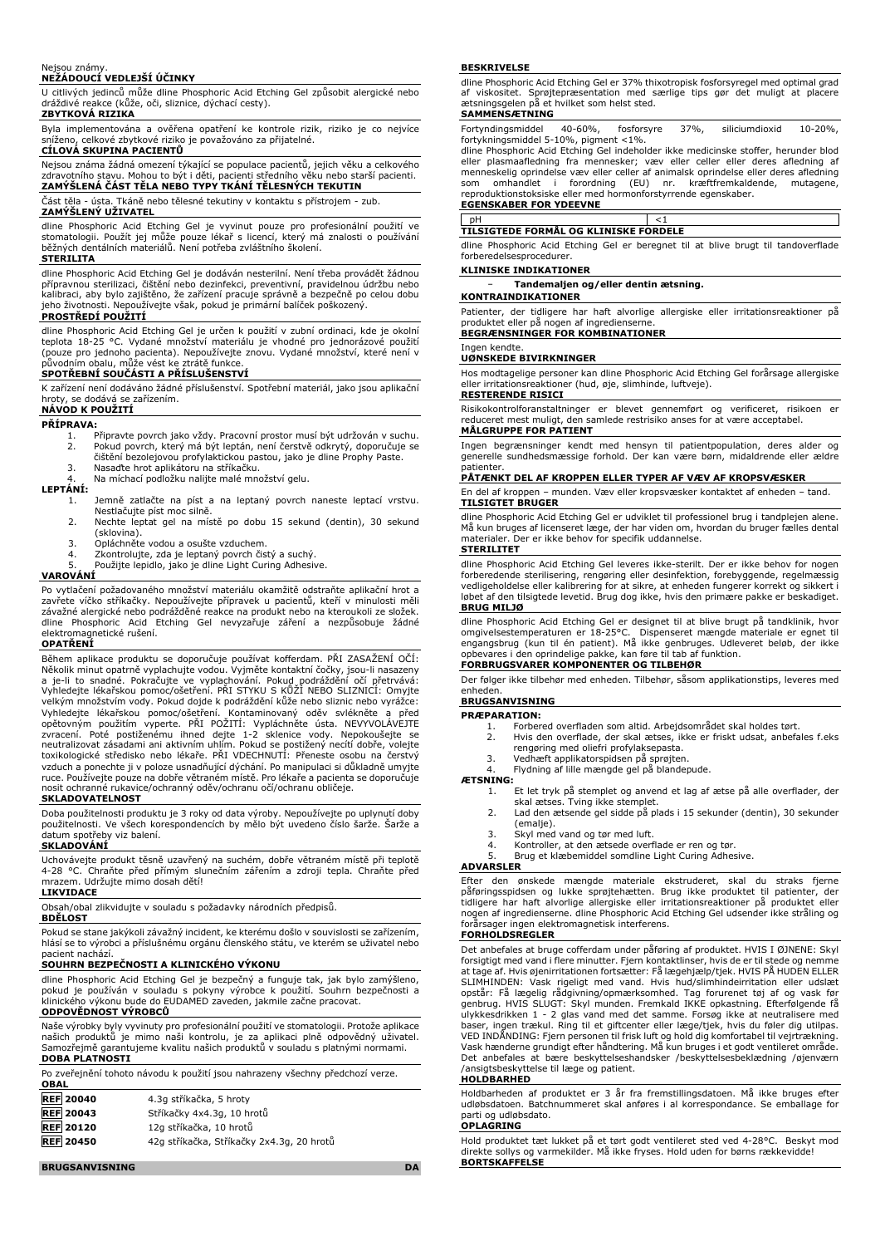### Nejsou známy. **NEŽÁDOUCÍ VEDLEJŠÍ ÚČINKY**

U citlivých jedinců může dline Phosphoric Acid Etching Gel způsobit alergické nebo dráždivé reakce (kůže, oči, sliznice, dýchací cesty). **ZBYTKOVÁ RIZIKA**

Byla implementována a ověřena opatření ke kontrole rizik, riziko je co nejvíce sníženo, celkové zbytkové riziko je považováno za přijatelné.

### **CÍLOVÁ SKUPINA PACIENTŮ**

Nejsou známa žádná omezení týkající se populace pacientů, jejich věku a celkového zdravotního stavu. Mohou to být i děti, pacienti středního věku nebo starší pacienti. **ZAMÝŠLENÁ ČÁST TĚLA NEBO TYPY TKÁNÍ TĚLESNÝCH TEKUTIN**

Část těla - ústa. Tkáně nebo tělesné tekutiny v kontaktu s přístrojem - zub.

# **ZAMÝŠLENÝ UŽIVATEL**

dline Phosphoric Acid Etching Gel je vyvinut pouze pro profesionální použití ve stomatologii. Použít jej může pouze lékař s licencí, který má znalosti o používání běžných dentálních materiálů. Není potřeba zvláštního školení. **STERILITA**

# dline Phosphoric Acid Etching Gel je dodáván nesterilní. Není třeba provádět žádnou přípravnou sterilizaci, čištění nebo dezinfekci, preventivní, pravidelnou údržbu nebo kalibraci, aby bylo zajištěno, že zařízení pracuje správně a bezpečně po celou dobu jeho životnosti. Nepoužívejte však, pokud je primární balíček poškozený.

**PROSTŘEDÍ POUŽITÍ**

dline Phosphoric Acid Etching Gel je určen k použiti v zubni ordinaci, kde je okolni<br>teplota 18-25 °C. Vydané množství materiálu je vhodné pro jednorázové použití<br>(pouze pro jednoho pacienta). Nepoužívejte znovu. Vydané mn původním obalu, může vést ke ztrátě funkce. **SPOTŘEBNÍ SOUČÁSTI A PŘÍSLUŠENSTVÍ**

K zařízení není dodáváno žádné příslušenství. Spotřební materiál, jako jsou aplikační hroty, se dodává se zařízením.

# **NÁVOD K POUŽITÍ**

## **PŘÍPRAVA:**

- 1. Připravte povrch jako vždy. Pracovní prostor musí být udržován v suchu.<br>2. Pokud povrch, který má být leptán, není čerstvě odkrytý, doporučuje se<br> čištění bezolejovou profylaktickou pastou, jako je d
- 3. Nasaďte hrot aplikátoru na stříkačku. 4. Na míchací podložku nalijte malé množství gelu.

# **LEPTÁNÍ:**

- Jemně zatlačte na píst a na leptaný povrch naneste leptací vrstvu. Nestlačujte píst moc silně.
- 2. Nechte leptat gel na místě po dobu 15 sekund (dentin), 30 sekund (sklovina).
- 3. Opláchněte vodou a osušte vzduchem.<br>4. Zkontrolujte, zda je leptaný povrch čis
- 4. Zkontrolujte, zda je leptaný povrch čistý a suchý. 5. Použijte lepidlo, jako je dline Light Curing Adhesive.
- 

# **VAROVÁNÍ**

Po vytlačení požadovaného množství materiálu okamžitě odstraňte aplikační hrot a zavřete víčko stříkačky. Nepoužívejte přípravek u pacientů, kteří v minulosti měli závažné alergické nebo podrážděné reakce na produkt nebo na kteroukoli ze složek. dline Phosphoric Acid Etching Gel nevyzařuje záření a nezpůsobuje žádné elektromagnetické rušení.

# **OPATŘENÍ**

Během aplikace produktu se doporučuje používat kofferdam. PŘI ZASAŽENÍ OČÍ: Několik minut opatrně vyplachujte vodou. Vyjměte kontaktní čočky, jsou-li nasazeny a je-li to snadné. Pokračujte ve vyplachování. Pokud podráždění očí přetrvává: Vyhledejte lékařskou pomoc/ošetření. PŘI STYKU S KŮŽÍ NEBO SLIZNICÍ: Omyjte velkým množstvím vody. Pokud dojde k podráždění kůže nebo sliznic nebo vyrážce:<br>Vyhledejte lékařskou pomoc/ošetření. Kontaminovaný oděv svlékněte a před<br>opětovným použitím vyperte. PŘI POŽITÍ: Vypláchněte ústa zvracení. Poté postiženému ihned dejte 1-2 sklenice vody. Nepokoušejte se neutralizovat zásadami ani aktivním uhlím. Pokud se postižený necítí dobře, volejte toxikologické středisko nebo lékaře. PŘI VDECHNUTÍ: Přeneste osobu na čerstvý vzduch a ponechte ji v poloze usnadňující dýchání. Po manipulaci si důkladně umyjte ruce. Používejte pouze na dobře větraném místě. Pro lékaře a pacienta se doporučuje nosit ochranné rukavice/ochranný oděv/ochranu očí/ochranu obličeje.

### **SKLADOVATELNOST**

Doba použitelnosti produktu je 3 roky od data výroby. Nepoužívejte po uplynutí doby použitelnosti. Ve všech korespondencích by mělo být uvedeno číslo šarže. Šarže a datum spotřeby viz balení.

### **SKLADOVÁNÍ**

Uchovávejte produkt těsně uzavřený na suchém, dobře větraném místě při teplotě Chraňte před přímým slunečním zářením a zdroji tepla. Chraňte před 4-28 °C. Chraňte před přímým slumrazem. Udržujte mimo dosah dětí!

# **LIKVIDACE**

Obsah/obal zlikvidujte v souladu s požadavky národních předpisů.

### **BDĚLOST**

Pokud se stane jakýkoli závažný incident, ke kterému došlo v souvislosti se zařízením, hlásí se to výrobci a příslušnému orgánu členského státu, ve kterém se uživatel nebo pacient nachází.

# **SOUHRN BEZPEČNOSTI A KLINICKÉHO VÝKONU**

dline Phosphoric Acid Etching Gel je bezpečný a funguje tak, jak bylo zamýšleno, pokud je používán v souladu s pokyny výrobce k použití. Souhrn bezpečnosti a klinického výkonu bude do EUDAMED zaveden, jakmile začne pracovat. **ODPOVĚDNOST VÝROBCŮ**

Naše výrobky byly vyvinuty pro profesionální použití ve stomatologii. Protože aplikace našich produktů je mimo naši kontrolu, je za aplikaci plně odpovědný uživatel. Samozřejmě garantujeme kvalitu našich produktů v souladu s platnými normami. **DOBA PLATNOSTI**

| <b>OBAL</b>      | Po zveřejnění tohoto návodu k použití jsou nahrazeny všechny předchozí verze. |
|------------------|-------------------------------------------------------------------------------|
| <b>DEE</b> 20040 | $\Lambda$ 3a stříkačka. 5 brotv                                               |

| REF ZUU+U        | 4.34 SUIKALKA, 3 IIIULY                   |
|------------------|-------------------------------------------|
| <b>REF</b> 20043 | Stříkačky 4x4.3g, 10 hrotů                |
| <b>REF 20120</b> | 12a stříkačka, 10 hrotů                   |
| <b>REF 20450</b> | 42g stříkačka, Stříkačky 2x4.3g, 20 hrotů |

### **BESKRIVELSE**

dline Phosphoric Acid Etching Gel er 37% thixotropisk fosforsyregel med optimal grad af viskositet. Sprøjtepræsentation med særlige tips gør det muligt at placere ætsningsgelen på et hvilket som helst sted.

### **SAMMENSÆTNING**

Fortyndingsmiddel 40-60%, fosforsyre 37%, siliciumdioxid 10-20%, fortykningsmiddel 5-10%, pigment <1%.

dline Phosphoric Acid Etching Gel indeholder ikke medicinske stoffer, herunder blod eller plasmaafledning fra mennesker; væv eller celler eller deres afledning af<br>menneskelig-oprindelse væv eller celler af animalsk oprindelse eller deres afledning<br>som - omhandlet - i - forordning - (EU) - nr. - kræftfremk reproduktionstoksiske eller med hormonforstyrrende egenskaber. **EGENSKABER FOR YDEEVNE**

pH <1

**TILSIGTEDE FORMÅL OG KLINISKE FORDELE** dline Phosphoric Acid Etching Gel er beregnet til at blive brugt til tandoverflade forberedelsesprocedurer.

### **KLINISKE INDIKATIONER**

− **Tandemaljen og/eller dentin ætsning.**

**KONTRAINDIKATIONER** Patienter, der tidligere har haft alvorlige allergiske eller irritationsreaktioner på

produktet eller på nogen af ingredienserne. **BEGRÆNSNINGER FOR KOMBINATIONER**

### Ingen kendte. **UØNSKEDE BIVIRKNINGER**

Hos modtagelige personer kan dline Phosphoric Acid Etching Gel forårsage allergiske eller irritationsreaktioner (hud, øje, slimhinde, luftveje). **RESTERENDE RISICI**

Risikokontrolforanstaltninger er blevet gennemført og verificeret, risikoen er reduceret mest muligt, den samlede restrisiko anses for at være acceptabel. **MÅLGRUPPE FOR PATIENT**

Ingen begrænsninger kendt med hensyn til patientpopulation, deres alder og generelle sundhedsmæssige forhold. Der kan være børn, midaldrende eller ældre patienter.

## **PÅTÆNKT DEL AF KROPPEN ELLER TYPER AF VÆV AF KROPSVÆSKER**

En del af kroppen – munden. Væv eller kropsvæsker kontaktet af enheden – tand. **TILSIGTET BRUGER**

dline Phosphoric Acid Etching Gel er udviklet til professionel brug i tandplejen alene. Må kun bruges af licenseret læge, der har viden om, hvordan du bruger fælles dental materialer. Der er ikke behov for specifik uddannelse. **STERILITET**

dline Phosphoric Acid Etching Gel leveres ikke-sterilt. Der er ikke behov for nogen forberedende sterilisering, rengøring eller desinfektion, forebyggende, regelmæssig vedligeholdelse eller kalibrering for at sikre, at enheden fungerer korrekt og sikkert i løbet af den tilsigtede levetid. Brug dog ikke, hvis den primære pakke er beskadiget. **BRUG MILJØ**

dline Phosphoric Acid Etching Gel er designet til at blive brugt på tandklinik, hvor<br>omgivelsestemperaturen er 18-25°C. Dispenseret mængde materiale er egnet til<br>engangsbrug (kun til én patient). Må ikke genbruges. Udleve opbevares i den oprindelige pakke, kan føre til tab af funktion. **FORBRUGSVARER KOMPONENTER OG TILBEHØR**

Der følger ikke tilbehør med enheden. Tilbehør, såsom applikationstips, leveres med enheden.

# **BRUGSANVISNING**

- **PRÆPARATION:**
	- 1. Forbered overfladen som altid. Arbejdsområdet skal holdes tørt.<br>2. Hvis den overflade, der skal ætses, ikke er friskt udsat, anbef. Hvis den overflade, der skal ætses, ikke er friskt udsat, anbefales f.eks
	- rengøring med oliefri profylaksepasta.
	- 3. Vedhæft applikatorspidsen på sprøjten.
	- 4. Flydning af lille mængde gel på blandepude.

**ÆTSNING:**

- 1. Et let tryk på stemplet og anvend et lag af ætse på alle overflader, der skal ætses. Tving ikke stemplet.
- 2. Lad den ætsende gel sidde på plads i 15 sekunder (dentin), 30 sekunder (emalie).
- 3. Skyl med vand og tør med luft.
- 4. Kontroller, at den ætsede overflade er ren og tør. 5. Brug et klæbemiddel somdline Light Curing Adhesive.
- 

# **ADVARSLER**

Efter den ønskede mængde materiale ekstruderet, skal du straks fjerne päføringsspidsen og lukke sprøjtehætten. Brug ikke produktet til patienter, der<br>tidligere har haft alvorlige allergiske eller irritationsreaktioner på produktet eller<br>nogen af ingredienserne. dline Phosphoric Acid Etching forårsager ingen elektromagnetisk interferens.

### **FORHOLDSREGLER**

Det anbefales at bruge cofferdam under påføring af produktet. HVIS I ØJNENE: Skyl forsigtigt med vand i flere minutter. Fjern kontaktlinser, hvis de er til stede og nemme<br>at tage af. Hvis øjenirritationen fortsætter: Få lægehjælp/tjek. HVIS PÅ HUDEN ELLER<br>SLIMHINDEN: Vask rigeligt med vand. Hvis opstår: Få lægelig rådgivning/opmærksomhed. Tag forurenet tøj af og vask før genbrug. HVIS SLUGT: Skyl munden. Fremkald IKKE opkastning. Efterfølgende få ulykkesdrikken 1 - 2 glas vand med det samme. Forsøg ikke at neutralisere med baser, ingen trækul. Ring til et giftcenter eller læge/tjek, hvis du føler dig utilpas.<br>VED INDÄNDING: Fjern personen til frisk luft og hold dig komfortabel til vejrtrækning.<br>Vask hænderne grundigt efter håndtering. Må kun Det anbefales at bære beskyttelseshandsker /beskyttelsesbeklædning /øjenværn /ansigtsbeskyttelse til læge og patient.

# **HOLDBARHED**

Holdbarheden af produktet er 3 år fra fremstillingsdatoen. Må ikke bruges efter udløbsdatoen. Batchnummeret skal anføres i al korrespondance. Se emballage for parti og udløbsdato.

### **OPLAGRING**

Hold produktet tæt lukket på et tørt godt ventileret sted ved 4-28°C. Beskyt mod direkte sollys og varmekilder. Må ikke fryses. Hold uden for børns rækkevidde! **BORTSKAFFELSE**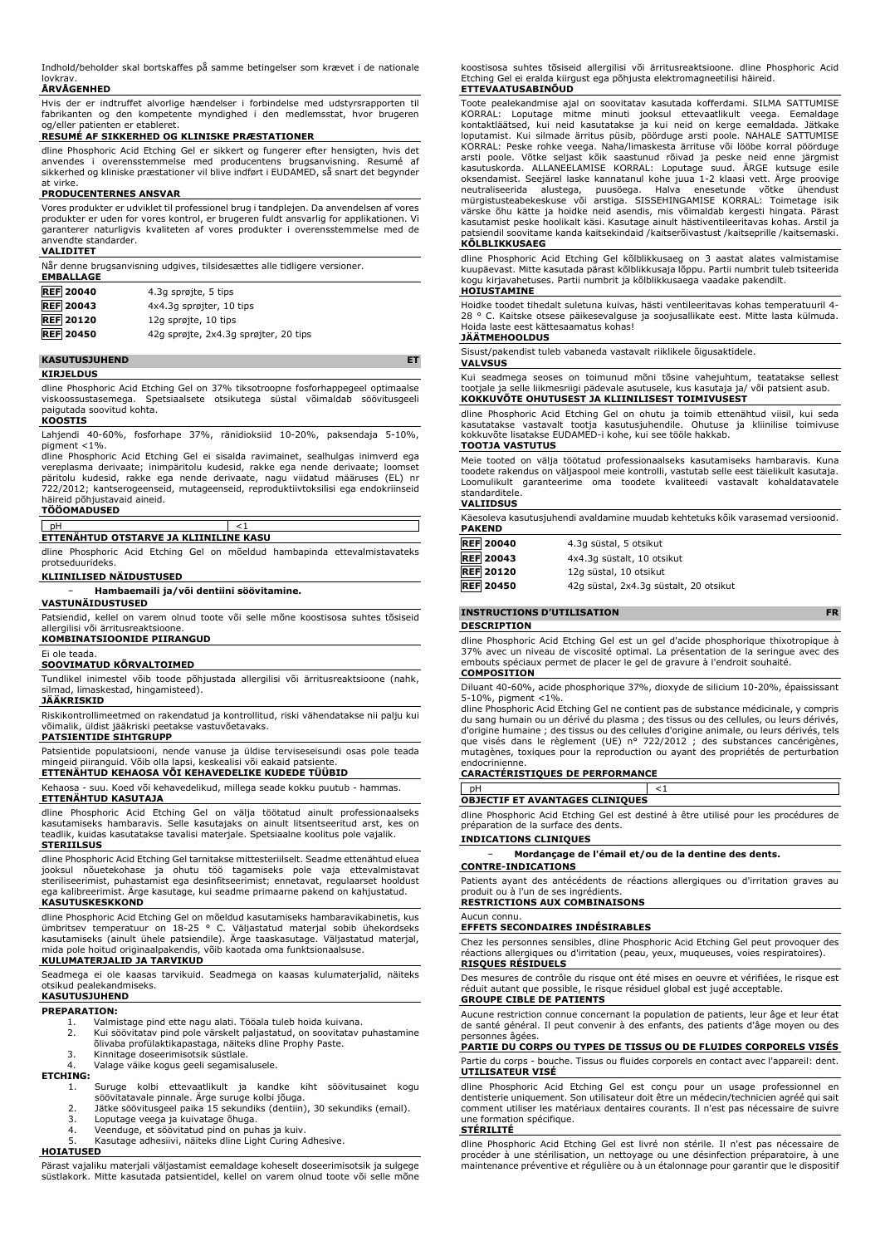Indhold/beholder skal bortskaffes på samme betingelser som krævet i de nationale lovkrav

# **ÅRVÅGENHED**

Hvis der er indtruffet alvorlige hændelser i forbindelse med udstyrsrapporten til fabrikanten og den kompetente myndighed i den medlemsstat, hvor brugeren og/eller patienten er etableret.

# **RESUMÉ AF SIKKERHED OG KLINISKE PRÆSTATIONER**

dline Phosphoric Acid Etching Gel er sikkert og fungerer efter hensigten, hvis det anvendes i overensstemmelse med producentens brugsanvisning. Resumé af sikkerhed og kliniske præstationer vil blive indført i EUDAMED, så snart det begynder at virke.

# **PRODUCENTERNES ANSVAR**

Vores produkter er udviklet til professionel brug i tandplejen. Da anvendelsen af vores produkter er uden for vores kontrol, er brugeren fuldt ansvarlig for applikationen. Vi garanterer naturligvis kvaliteten af vores produkter i overensstemmelse med de anvendte standarder.

### **VALIDITET**

| Når denne brugsanvisning udgives, tilsidesættes alle tidligere versioner.<br><b>EMBALLAGE</b> |                                       |  |
|-----------------------------------------------------------------------------------------------|---------------------------------------|--|
| <b>REF 20040</b>                                                                              | 4.3q sprøjte, 5 tips                  |  |
| <b>REF</b> 20043                                                                              | 4x4.3q sprøjter, 10 tips              |  |
| <b>REF</b> 20120                                                                              | 12q sprøjte, 10 tips                  |  |
| <b>REF 20450</b>                                                                              | 42g sprøjte, 2x4.3g sprøjter, 20 tips |  |

**KASUTUSJUHEND ET**

### **KIRJELDUS**

dline Phosphoric Acid Etching Gel on 37% tiksotroopne fosforhappegeel optimaalse<br>viskoossustasemega. Spetsiaalsete otsikutega süstal võimaldab söövitusgeeli Spetsiaalsete otsikutega süstal võimaldab söövitusgeeli paigutada soovitud kohta.

### **KOOSTIS**

Lahjendi 40-60%, fosforhape 37%, ränidioksiid 10-20%, paksendaja 5-10%, pigment <1%.

dline Phosphoric Acid Etching Gel ei sisalda ravimainet, sealhulgas inimverd ega vereplasma derivaate; inimpäritolu kudesid, rakke ega nende derivaate; loomset päritolu kudesid, rakke ega nende derivaate, nagu viidatud määruses (EL) nr 722/2012; kantserogeenseid, mutageenseid, reproduktiivtoksilisi ega endokriinseid häireid põhjustavaid aineid.

# **TÖÖOMADUSED**

### pH <1 **ETTENÄHTUD OTSTARVE JA KLIINILINE KASU**

dline Phosphoric Acid Etching Gel on mõeldud hambapinda ettevalmistavateks protseduurideks.

# **KLIINILISED NÄIDUSTUSED**

− **Hambaemaili ja/või dentiini söövitamine.**

# **VASTUNÄIDUSTUSED**

Patsiendid, kellel on varem olnud toote või selle mõne koostisosa suhtes tõsiseid allergilisi või ärritusreaktsioone.

# **KOMBINATSIOONIDE PIIRANGUD**

Ei ole teada.

# **SOOVIMATUD KÕRVALTOIMED**

Tundlikel inimestel võib toode põhjustada allergilisi või ärritusreaktsioone (nahk, silmad, limaskestad, hingamisteed).

# **JÄÄKRISKID**

Riskikontrollimeetmed on rakendatud ja kontrollitud, riski vähendatakse nii palju kui võimalik, üldist jääkriski peetakse vastuvõetavaks. **PATSIENTIDE SIHTGRUPP**

Patsientide populatsiooni, nende vanuse ja üldise terviseseisundi osas pole teada mingeid piiranguid. Võib olla lapsi, keskealisi või eakaid patsiente.

# **ETTENÄHTUD KEHAOSA VÕI KEHAVEDELIKE KUDEDE TÜÜBID**

Kehaosa - suu. Koed või kehavedelikud, millega seade kokku puutub - hammas. **ETTENÄHTUD KASUTAJA**

dline Phosphoric Acid Etching Gel on välja töötatud ainult professionaalseks kasutamiseks hambaravis. Selle kasutajaks on ainult litsentseeritud arst, kes on teadlik, kuidas kasutatakse tavalisi materjale. Spetsiaalne koolitus pole vajalik. **STERIILSUS**

dline Phosphoric Acid Etching Gel tarnitakse mittesteriilselt. Seadme ettenähtud eluea<br>jooksul – nõuetekohase – ja – ohutu – töö – tagamiseks – pole – vaja – ettevalmistavat<br>steriliseerimist, puhastamist ega desinfitseerim ega kalibreerimist. Ärge kasutage, kui seadme primaarne pakend on kahjustatud. **KASUTUSKESKKOND**

dline Phosphoric Acid Etching Gel on mõeldud kasutamiseks hambaravikabinetis, kus ümbritsev temperatuur on 18-25 ° C. Väljastatud materjal sobib ühekordseks kasutamiseks (ainult ühele patsiendile). Ärge taaskasutage. Väljastatud materjal, mida pole hoitud originaalpakendis, võib kaotada oma funktsionaalsuse.

# **KULUMATERJALID JA TARVIKUD**

Seadmega ei ole kaasas tarvikuid. Seadmega on kaasas kulumaterjalid, näiteks otsikud pealekandmiseks. **KASUTUSJUHEND**

# **PREPARATION:**

- 
- 1. Valmistage pind ette nagu alati. Tööala tuleb hoida kuivana.<br>2. Kui söövitatav pind pole värskelt paljastatud, on soovitatav j 2. Kui söövitatav pind pole värskelt paljastatud, on soovitatav puhastamine õlivaba profülaktikapastaga, näiteks dline Prophy Paste.
- 
- 3. Kinnitage doseerimisotsik süstlale. 4. Valage väike kogus geeli segamisalusele.

# **ETCHING:**

- 1. Suruge kolbi ettevaatlikult ja kandke kiht söövitusainet kogu söövitatavale pinnale. Ärge suruge kolbi jõuga.
- 2. Jätke söövitusgeel paika 15 sekundiks (dentiin), 30 sekundiks (email).<br>3. Loputage veega ja kuivatage õhuga.<br>4. Veenduge, et söövitatud pind on puhas ja kuiv. 3. Loputage veega ja kuivatage õhuga. 4. Veenduge, et söövitatud pind on puhas ja kuiv.
- 5. Kasutage adhesiivi, näiteks dline Light Curing Adhesive.

# **HOIATUSED**

Pärast vajaliku materjali väljastamist eemaldage koheselt doseerimisotsik ja sulgege süstlakork. Mitte kasutada patsientidel, kellel on varem olnud toote või selle mõne

koostisosa suhtes tõsiseid allergilisi või ärritusreaktsioone. dline Phosphoric Acid Etching Gel ei eralda kiirgust ega põhjusta elektromagneetilisi häireid. **ETTEVAATUSABINÕUD**

Toote pealekandmise ajal on soovitatav kasutada kofferdami. SILMA SATTUMISE<br>KORRAL: Loputage mitme minuti jooksul ettevaatlikult veega. Eemaldage<br>kontaktläätsed, kui neid kasutatakse ja kui neid on kerge eemaldada. loputamist. Kui silmade ärritus püsib, pöörduge arsti poole. NAHALE SATTUMISE<br>KORRAL: Peske rohke veega. Naha/limaskesta ärrituse või lööbe korral pöörduge<br>arsti poole. Võtke seljast kõik saastunud rõivad ja peske neid enn kasutuskorda. ALLANEELAMISE KORRAL: Loputage suud. ARGE kutsuge esile<br>oksendamist. Seejärel laske kannatanul kohe juua 1-2 klaasi vett. Ärge proovige<br>neutraliseerida alustega, puusõega. Halva enesetunde võtke ühendust<br>mürg

# **KÕLBLIKKUSAEG**

dline Phosphoric Acid Etching Gel kõlblikkusaeg on 3 aastat alates valmistamise kuupäevast. Mitte kasutada pärast kõlblikkusaja lõppu. Partii numbrit tuleb tsiteerida kogu kirjavahetuses. Partii numbrit ja kõlblikkusaega vaadake pakendilt. **HOIUSTAMINE**

Hoidke toodet tihedalt suletuna kuivas, hästi ventileeritavas kohas temperatuuril 4- 28 ° C. Kaitske otsese päikesevalguse ja soojusallikate eest. Mitte lasta külmuda. Hoida laste eest kättesaamatus kohas!

### **JÄÄTMEHOOLDUS**

Sisust/pakendist tuleb vabaneda vastavalt riiklikele õigusaktidele.

### **VALVSUS**

Kui seadmega seoses on toimunud mõni tõsine vahejuhtum, teatatakse sellest tootjale ja selle liikmesriigi pädevale asutusele, kus kasutaja ja/ või patsient asub. **KOKKUVÕTE OHUTUSEST JA KLIINILISEST TOIMIVUSEST**

dline Phosphoric Acid Etching Gel on ohutu ja toimib ettenähtud viisil, kui seda kasutatakse vastavalt tootja kasutusjuhendile. Ohutuse ja kliinilise toimivuse kokkuvõte lisatakse EUDAMED-i kohe, kui see tööle hakkab.

# **TOOTJA VASTUTUS**

Meie tooted on välja töötatud professionaalseks kasutamiseks hambaravis. Kuna toodete rakendus on väljaspool meie kontrolli, vastutab selle eest täielikult kasutaja. Loomulikult garanteerime oma toodete kvaliteedi vastavalt kohaldatavatele standarditele.

## **VALIIDSUS**

Käesoleva kasutusjuhendi avaldamine muudab kehtetuks kõik varasemad versioonid. **PAKEND**

| <b>REF 20040</b> | 4.3a süstal, 5 otsikut                 |
|------------------|----------------------------------------|
| <b>REF</b> 20043 | 4x4.3q süstalt, 10 otsikut             |
| <b>REF 20120</b> | 12g süstal, 10 otsikut                 |
| <b>REF 20450</b> | 42g süstal, 2x4.3g süstalt, 20 otsikut |

## **INSTRUCTIONS D'UTILISATION FR**

**DESCRIPTION**

dline Phosphoric Acid Etching Gel est un gel d'acide phosphorique thixotropique à 37% avec un niveau de viscosité optimal. La présentation de la seringue avec des embouts spéciaux permet de placer le gel de gravure à l'endroit souhaité. **COMPOSITION**

### Diluant 40-60%, acide phosphorique 37%, dioxyde de silicium 10-20%, épaississant 5-10%, pigment <1%.

dline Phosphoric Acid Etching Gel ne contient pas de substance médicinale, y compris du sang humain ou un dérivé du plasma ; des tissus ou des cellules, ou leurs dérivés, d'origine humaine ; des tissus ou des cellules d'origine animale, ou leurs dérivés, tels que visés dans le règlement (UE) n° 722/2012 ; des substances cancérigènes, mutagènes, toxiques pour la reproduction ou ayant des propriétés de perturbation

# endocrinienne. **CARACTÉRISTIQUES DE PERFORMANCE**

pH  $<1$ **OBJECTIF ET AVANTAGES CLINIQUES**

dline Phosphoric Acid Etching Gel est destiné à être utilisé pour les procédures de préparation de la surface des dents.

# **INDICATIONS CLINIQUES**

− **Mordançage de l'émail et/ou de la dentine des dents. CONTRE-INDICATIONS**

Patients ayant des antécédents de réactions allergiques ou d'irritation graves au produit ou à l'un de ses ingrédients. **RESTRICTIONS AUX COMBINAISONS**

# Aucun connu.

**EFFETS SECONDAIRES INDÉSIRABLES**

Chez les personnes sensibles, dline Phosphoric Acid Etching Gel peut provoquer des réactions allergiques ou d'irritation (peau, yeux, muqueuses, voies respiratoires). **RISQUES RÉSIDUELS**

Des mesures de contrôle du risque ont été mises en oeuvre et vérifiées, le risque est réduit autant que possible, le risque résiduel global est jugé acceptable. **GROUPE CIBLE DE PATIENTS**

Aucune restriction connue concernant la population de patients, leur âge et leur état de santé général. Il peut convenir à des enfants, des patients d'âge moyen ou des personnes âgées.

# **PARTIE DU CORPS OU TYPES DE TISSUS OU DE FLUIDES CORPORELS VISÉS**

Partie du corps - bouche. Tissus ou fluides corporels en contact avec l'appareil: dent. **UTILISATEUR VISÉ**

dline Phosphoric Acid Etching Gel est conçu pour un usage professionnel en dentisterie uniquement. Son utilisateur doit être un médecin/technicien agréé qui sait comment utiliser les matériaux dentaires courants. Il n'est pas nécessaire de suivre une formation spécifique.

### **STÉRILITÉ**

dline Phosphoric Acid Etching Gel est livré non stérile. Il n'est pas nécessaire de procéder à une stérilisation, un nettoyage ou une désinfection préparatoire, à une maintenance préventive et régulière ou à un étalonnage pour garantir que le dispositif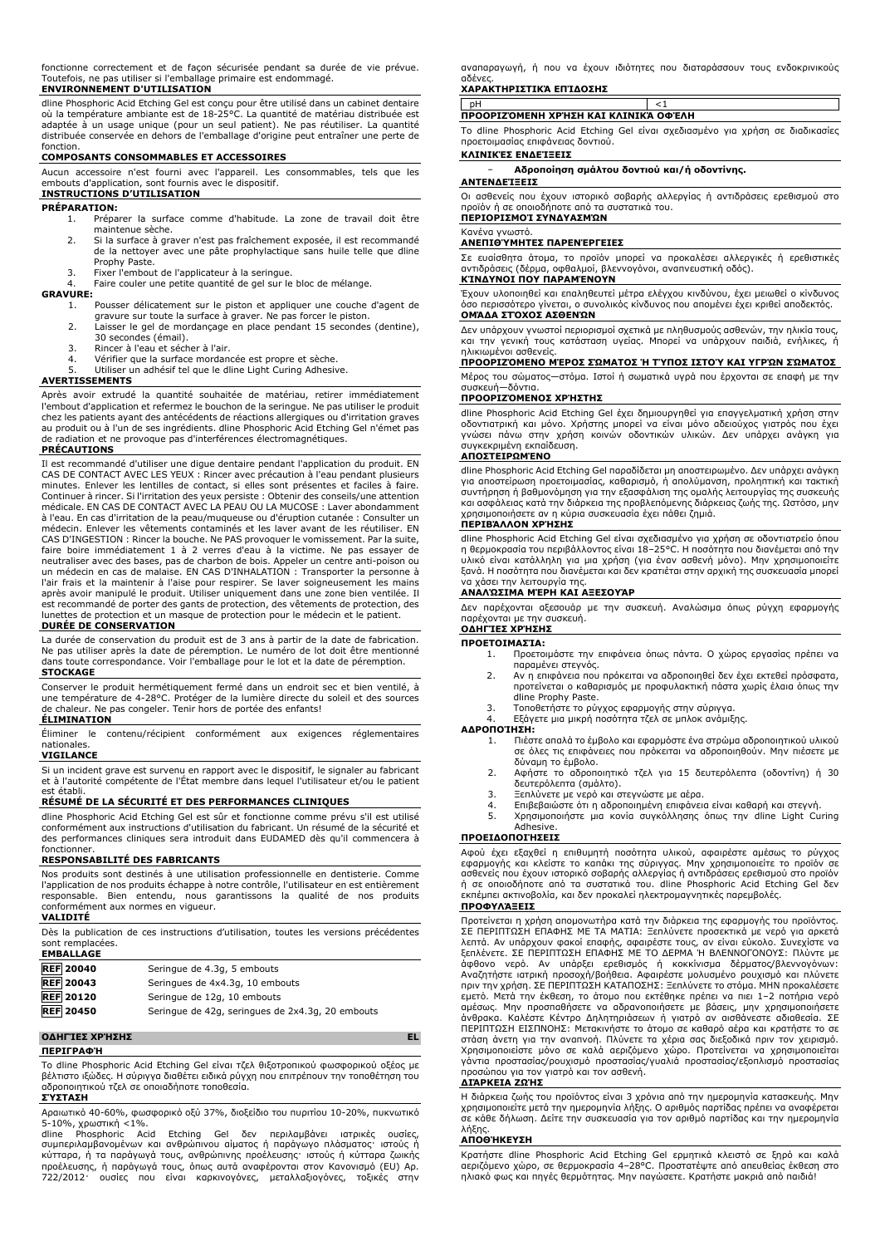fonctionne correctement et de façon sécurisée pendant sa durée de vie prévue. Toutefois, ne pas utiliser si l'emballage primaire est endommagé.

# **ENVIRONNEMENT D'UTILISATION**

dline Phosphoric Acid Etching Gel est conçu pour être utilisé dans un cabinet dentaire où la température ambiante est de 18-25°C. La quantité de matériau distribuée est adaptée à un usage unique (pour un seul patient). Ne pas réutiliser. La quantité distribuée conservée en dehors de l'emballage d'origine peut entraîner une perte de fonction.

### **COMPOSANTS CONSOMMABLES ET ACCESSOIRES**

Aucun accessoire n'est fourni avec l'appareil. Les consommables, tels que les embouts d'application, sont fournis avec le dispositif. **INSTRUCTIONS D'UTILISATION**

# **PRÉPARATION:**

- Préparer la surface comme d'habitude. La zone de travail doit être maintenue sèche.
- 2. Si la surface à graver n'est pas fraîchement exposée, il est recommandé de la nettoyer avec une pâte prophylactique sans huile telle que dline Prophy Paste.
- 3. Fixer l'embout de l'applicateur à la seringue.<br>4. Faire couler une petite quantité de gel sur le
- Faire couler une petite quantité de gel sur le bloc de mélange.

# **GRAVURE:**

- 1. Pousser délicatement sur le piston et appliquer une couche d'agent de gravure sur toute la surface à graver. Ne pas forcer le piston.
- 2. Laisser le gel de mordançage en place pendant 15 secondes (dentine), 30 secondes (émail).
- 3. Rincer à l'eau et sécher à l'air.<br>4. Vérifier que la surface mordan
- Vérifier que la surface mordancée est propre et sèche.
- Utiliser un adhésif tel que le dline Light Curing Adhesive.

# **AVERTISSEMENTS**

Après avoir extrudé la quantité souhaitée de matériau, retirer immédiatement l'embout d'application et refermez le bouchon de la seringue. Ne pas utiliser le produit chez les patients ayant des antécédents de réactions allergiques ou d'irritation graves au produit ou à l'un de ses ingrédients. dline Phosphoric Acid Etching Gel n'émet pas de radiation et ne provoque pas d'interférences électromagnétiques.

# **PRÉCAUTIONS**

Il est recommandé d'utiliser une digue dentaire pendant l'application du produit. EN CAS DE CONTACT AVEC LES YEUX : Rincer avec précaution à l'eau pendant plusieurs<br>minutes. Enlever les lentilles de contact, si elles sont présentes et faciles à faire.<br>Continuer à rincer. Si l'irritation des yeux persiste : médicale. EN CAS DE CONTACT AVEC LA PEAU OU LA MUCOSE : Laver abondamment à l'eau. En cas d'irritation de la peau/muqueuse ou d'éruption cutanée : Consulter un médecin. Enlever les vêtements contaminés et les laver avant de les réutiliser. EN CAS D'INGESTION : Rincer la bouche. Ne PAS provoquer le vomissement. Par la suite, faire boire immédiatement 1 à 2 verres d'eau à la victime. Ne pas essayer de<br>neutraliser avec des bases, pas de charbon de bois. Appeler un centre anti-poison ou<br>un médecin en cas de malaise. EN CAS D'INHALATION : Transpor après avoir manipulé le produit. Utiliser uniquement dans une zone bien ventilée. Il est recommandé de porter des gants de protection, des vêtements de protection, des lunettes de protection et un masque de protection pour le médecin et le patient. **DURÉE DE CONSERVATION**

La durée de conservation du produit est de 3 ans à partir de la date de fabrication. Ne pas utiliser après la date de péremption. Le numéro de lot doit être mentionné dans toute correspondance. Voir l'emballage pour le lot et la date de péremption. **STOCKAGE**

Conserver le produit hermétiquement fermé dans un endroit sec et bien ventilé, à une température de 4-28°C. Protéger de la lumière directe du soleil et des sources de chaleur. Ne pas congeler. Tenir hors de portée des enfants! **ÉLIMINATION**

Éliminer le contenu/récipient conformément aux exigences réglementaires nationales.

# **VIGILANCE**

Si un incident grave est survenu en rapport avec le dispositif, le signaler au fabricant et à l'autorité compétente de l'État membre dans lequel l'utilisateur et/ou le patient est établi.

# **RÉSUMÉ DE LA SÉCURITÉ ET DES PERFORMANCES CLINIQUES**

dline Phosphoric Acid Etching Gel est sûr et fonctionne comme prévu s'il est utilisé conformément aux instructions d'utilisation du fabricant. Un résumé de la sécurité et des performances cliniques sera introduit dans EUDAMED dès qu'il commencera à fonctionner.

# **RESPONSABILITÉ DES FABRICANTS**

Nos produits sont destinés à une utilisation professionnelle en dentisterie. Comme l'application de nos produits échappe à notre contrôle, l'utilisateur en est entièrement responsable. Bien entendu, nous garantissons la qualité de nos produits conformément aux normes en vigueur.

# **VALIDITÉ**

Dès la publication de ces instructions d'utilisation, toutes les versions précédentes sont remplacées. **EMBALLAGE**

| <b>REF 20040</b> | Seringue de 4.3g, 5 embouts                      |
|------------------|--------------------------------------------------|
| <b>REF</b> 20043 | Seringues de 4x4.3g, 10 embouts                  |
| <b>REF</b> 20120 | Seringue de 12g, 10 embouts                      |
| <b>REF 20450</b> | Serinque de 42g, seringues de 2x4.3g, 20 embouts |

### **ΟΔΗΓΊΕΣ ΧΡΉΣΗΣ EL ΠΕΡΙΓΡΑΦΉ**

Το dline Phosphoric Acid Etching Gel είναι τζελ θιξοτροπικού φωσφορικού οξέος με βέλτιστο ιξώδες. Η σύριγγα διαθέτει ειδικά ρύγχη που επιτρέπουν την τοποθέτηση του αδροποιητικού τζελ σε οποιαδήποτε τοποθεσία.

# **ΣΎΣΤΑΣΗ**

Αραιωτικό 40-60%, φωσφορικό οξύ 37%, διοξείδιο του πυριτίου 10-20%, πυκνωτικό 5-10%, χρωστική <1%. dline Phosphoric Acid Etching Gel δεν περιλαμβάνει ιατρικές ουσίες,

συμπεριλαμβανομένων και ανθρώπινου αίματος ή παράγωγο πλάσματος· ιστούς ή κύτταρα, ή τα παράγωγά τους, ανθρώπινης προέλευσης· ιστούς ή κύτταρα ζωικής προέλευσης, ή παράγωγά τους, όπως αυτά αναφέρονται στον Κανονισμό (EU) Αρ. 722/2012· ουσίες που είναι καρκινογόνες, μεταλλαξιογόνες, τοξικές στην αναπαραγωγή, ή που να έχουν ιδιότητες που διαταράσσουν τους ενδοκρινικούς αδένες.

# **ΧΑΡΑΚΤΗΡΙΣΤΙΚΆ ΕΠΊΔΟΣΗΣ**

### pH <1 **ΠΡΟΟΡΙΖΌΜΕΝΗ ΧΡΉΣΗ ΚΑΙ ΚΛΙΝΙΚΆ ΟΦΈΛΗ**

Το dline Phosphoric Acid Etching Gel είναι σχεδιασμένο για χρήση σε διαδικασίες προετοιμασίας επιφάνειας δοντιού.

# **ΚΛΙΝΙΚΈΣ ΕΝΔΕΊΞΕΙΣ**

− **Αδροποίηση σμάλτου δοντιού και/ή οδοντίνης.**

# **ΑΝΤΕΝΔΕΊΞΕΙΣ**

Οι ασθενείς που έχουν ιστορικό σοβαρής αλλεργίας ή αντιδράσεις ερεθισμού στο προϊόν ή σε οποιοδήποτε από τα συστατικά του. **ΠΕΡΙΟΡΙΣΜΟΊ ΣΥΝΔΥΑΣΜΏΝ**

## Κανένα γνωστό.

# **ΑΝΕΠΙΘΎΜΗΤΕΣ ΠΑΡΕΝΈΡΓΕΙΕΣ**

Σε ευαίσθητα άτομα, το προϊόν μπορεί να προκαλέσει αλλεργικές ή ερεθιστικές αντιδράσεις (δέρμα, οφθαλμοί, βλεννογόνοι, αναπνευστική οδός).

# **ΚΊΝΔΥΝΟΙ ΠΟΥ ΠΑΡΑΜΈΝΟΥΝ**

Έχουν υλοποιηθεί και επαληθευτεί μέτρα ελέγχου κινδύνου, έχει μειωθεί ο κίνδυνος όσο περισσότερο γίνεται, ο συνολικός κίνδυνος που απομένει έχει κριθεί αποδεκτός. **ΟΜΆΔΑ ΣΤΌΧΟΣ ΑΣΘΕΝΏΝ**

Δεν υπάρχουν γνωστοί περιορισμοί σχετικά με πληθυσμούς ασθενών, την ηλικία τους, και την γενική τους κατάσταση υγείας. Μπορεί να υπάρχουν παιδιά, ενήλικες, ή ηλικιωμένοι ασθενείς.

# **ΠΡΟΟΡΙΖΌΜΕΝΟ ΜΈΡΟΣ ΣΏΜΑΤΟΣ Ή ΤΎΠΟΣ ΙΣΤΟΎ ΚΑΙ ΥΓΡΏΝ ΣΏΜΑΤΟΣ**

Μέρος του σώματος—στόμα. Ιστοί ή σωματικά υγρά που έρχονται σε επαφή με την συσκευή—δόντια.

### **ΠΡΟΟΡΙΖΌΜΕΝΟΣ ΧΡΉΣΤΗΣ**

dline Phosphoric Acid Etching Gel έχει δημιουργηθεί για επαγγελματική χρήση στην οδοντιατρική και μόνο. Χρήστης μπορεί να είναι μόνο αδειούχος γιατρός που έχει γνώσει πάνω στην χρήση κοινών οδοντικών υλικών. Δεν υπάρχει ανάγκη για συγκεκριμένη εκπαίδευση.

### **ΑΠΟΣΤΕΙΡΩΜΈΝΟ**

dline Phosphoric Acid Etching Gel παραδίδεται μη αποστειρωμένο. Δεν υπάρχει ανάγκη για αποστείρωση προετοιμασίας, καθαρισμό, ή απολύμανση, προληπτική και τακτική συντήρηση ή βαθμονόμηση για την εξασφάλιση της ομαλής λειτουργίας της συσκευής και ασφάλειας κατά την διάρκεια της προβλεπόμενης διάρκειας ζωής της. Ωστόσο, μην χρησιμοποιήσετε αν η κύρια συσκευασία έχει πάθει ζημιά.

### **ΠΕΡΙΒΆΛΛΟΝ ΧΡΉΣΗΣ**

dline Phosphoric Acid Etching Gel είναι σχεδιασμένο για χρήση σε οδοντιατρείο όπου η θερμοκρασία του περιβάλλοντος είναι 18–25°C. Η ποσότητα που διανέμεται από την υλικό είναι κατάλληλη για μια χρήση (για έναν ασθενή μόνο). Μην χρησιμοποιείτε ξανά. Η ποσότητα που διανέμεται και δεν κρατιέται στην αρχική της συσκευασία μπορεί να χάσει την λειτουργία της.

# **ΑΝΑΛΏΣΙΜΑ ΜΈΡΗ ΚΑΙ ΑΞΕΣΟΥΆΡ**

Δεν παρέχονται αξεσουάρ με την συσκευή. Αναλώσιμα όπως ρύγχη εφαρμογής παρέχονται με την συσκευή.

# **ΟΔΗΓΊΕΣ ΧΡΉΣΗΣ**

# **ΠΡΟΕΤΟΙΜΑΣΊΑ:**

- 1. Προετοιμάστε την επιφάνεια όπως πάντα. Ο χώρος εργασίας πρέπει να παραμένει στεγνός.
- 2. Αν η επιφάνεια που πρόκειται να αδροποιηθεί δεν έχει εκτεθεί πρόσφατα, προτείνεται ο καθαρισμός με προφυλακτική πάστα χωρίς έλαια όπως την dline Prophy Paste.
- 3. Τοποθετήστε το ρύγχος εφαρμογής στην σύριγγα. 4. Εξάγετε μια μικρή ποσότητα τζελ σε μπλοκ ανάμιξης.

# **ΑΔΡΟΠΟΊΗΣΗ:**

- 1. Πιέστε απαλά το έμβολο και εφαρμόστε ένα στρώμα αδροποιητικού υλικού σε όλες τις επιφάνειες που πρόκειται να αδροποιηθούν. Μην πιέσετε με δύναμη το έμβολο.
- 2. Αφήστε το αδροποιητικό τζελ για 15 δευτερόλεπτα (οδοντίνη) ή 30 δευτερόλεπτα (σμάλτο).
- 
- 3. Ξεπλύνετε με νερό και στεγνώστε με αέρα.
- 4. Επιβεβαιώστε ότι η αδροποιημένη επιφάνεια είναι καθαρή και στεγνή.<br>5. Χρησιμοποιήστε μια κονία συγκόλλησης όπως την dline Light Cu 5. Χρησιμοποιήστε μια κονία συγκόλλησης όπως την dline Light Curing Adhesive.

## **ΠΡΟΕΙΔΟΠΟΙΉΣΕΙΣ**

Αφού έχει εξαχθεί η επιθυμητή ποσότητα υλικού, αφαιρέστε αμέσως το ρύγχος εφαρμογής και κλείστε το καπάκι της σύριγγας. Μην χρησιμοποιείτε το προϊόν σε ασθενείς που έχουν ιστορικό σοβαρής αλλεργίας ή αντιδράσεις ερεθισμού στο προϊόν ή σε οποιοδήποτε από τα συστατικά του. dline Phosphoric Acid Etching Gel δεν εκπέμπει ακτινοβολία, και δεν προκαλεί ηλεκτρομαγνητικές παρεμβολές.

### **ΠΡΟΦΥΛΆΞΕΙΣ**

Προτείνεται η χρήση απομονωτήρα κατά την διάρκεια της εφαρμογής του προϊόντος.<br>ΣΕ ΠΕΡΙΠΤΩΣΗ ΕΠΑΦΗΣ Με ΤΑ ΜΑΤΙΑ: Ξεπλύνετε προσεκτικά με νερό για αρκετά<br>λειττά. Αν υπάρχουν φακοί επαφής, αφαιρέστε τους, αν είναι εύκολο. Συ εμετό. Μετά την έκθεση, το άτομο που εκτέθηκε πρέπει να πιει 1–2 ποτήρια νερό αμέσως. Μην προσπαθήσετε να αδρανοποιήσετε με βάσεις, μην χρησιμοποιήσετε άνθρακα. Καλέστε Κέντρο Δηλητηριάσεων ή γιατρό αν αισθάνεστε αδιαθεσία. ΣΕ ΠΕΡΙΠΤΩΣΗ ΕΙΣΠΝΟΗΣ: Μετακινήστε το άτομο σε καθαρό αέρα και κρατήστε το σε<br>στάση άνετη για την αναπνοή. Πλύνετε τα χέρια σας διεξοδικά πριν τον χειρισμό.<br>Χρησιμοποιείστε μόνο σε καλά αεριζόμενο χώρο. Προτείνεται να χρησιμ προσώπου για τον γιατρό και τον ασθενή.

## **ΔΙΆΡΚΕΙΑ ΖΩΉΣ**

Η διάρκεια ζωής του προϊόντος είναι 3 χρόνια από την ημερομηνία κατασκευής. Μην χρησιμοποιείτε μετά την ημερομηνία λήξης. Ο αριθμός παρτίδας πρέπει να αναφέρεται σε κάθε δήλωση. Δείτε την συσκευασία για τον αριθμό παρτίδας και την ημερομηνία λήξης.

# **ΑΠΟΘΉΚΕΥΣΗ**

Κρατήστε dline Phosphoric Acid Etching Gel ερμητικά κλειστό σε ξηρό και καλά αεριζόμενο χώρο, σε θερμοκρασία 4–28°C. Προστατέψτε από απευθείας έκθεση στο ηλιακό φως και πηγές θερμότητας. Μην παγώσετε. Κρατήστε μακριά από παιδιά!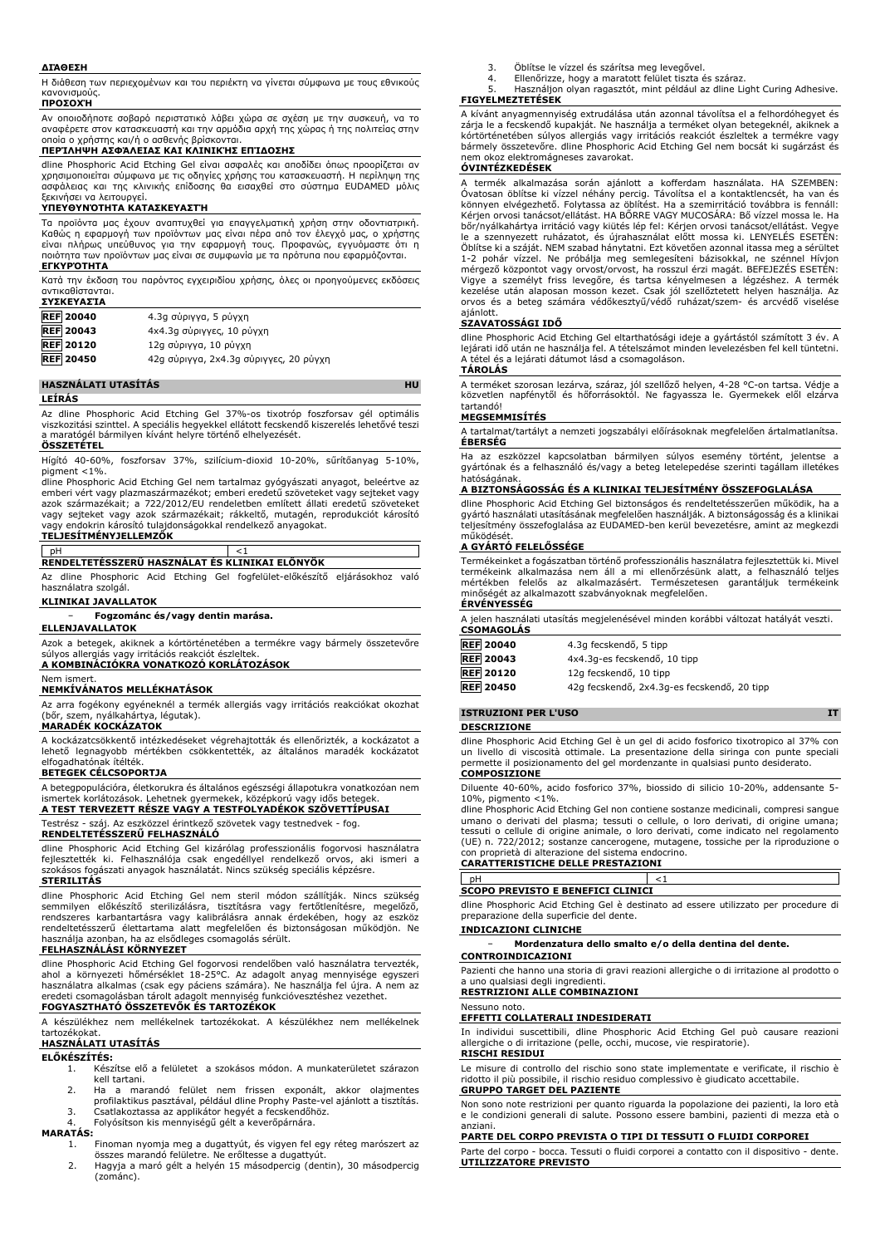### **ΔΙΆΘΕΣΗ**

Η διάθεση των περιεχομένων και του περιέκτη να γίνεται σύμφωνα με τους εθνικούς κανονισμούς.

### **ΠΡΟΣΟΧΉ**

Αν οποιοδήποτε σοβαρό περιστατικό λάβει χώρα σε σχέση με την συσκευή, να το αναφέρετε στον κατασκευαστή και την αρμόδια αρχή της χώρας ή της πολιτείας στην οποία ο χρήστης και/ή ο ασθενής βρίσκονται.

# **ΠΕΡΊΛΗΨΗ ΑΣΦΆΛΕΙΑΣ ΚΑΙ ΚΛΙΝΙΚΉΣ ΕΠΊΔΟΣΗΣ**

dline Phosphoric Acid Etching Gel είναι ασφαλές και αποδίδει όπως προορίζεται αν χρησιμοποιείται σύμφωνα με τις οδηγίες χρήσης του κατασκευαστή. Η περίληψη της ασφάλειας και της κλινικής επίδοσης θα εισαχθεί στο σύστημα EUDAMED μόλις ξεκινήσει να λειτουργεί.

### **ΥΠΕΥΘΥΝΌΤΗΤΑ ΚΑΤΑΣΚΕΥΑΣΤΉ**

Τα προϊόντα μας έχουν αναπτυχθεί για επαγγελματική χρήση στην οδοντιατρική. Καθώς η εφαρμογή των προϊόντων μας είναι πέρα από τον έλεγχό μας, ο χρήστης είναι πλήρως υπεύθυνος για την εφαρμογή τους. Προφανώς, εγγυόμαστε ότι η ποιότητα των προϊόντων μας είναι σε συμφωνία με τα πρότυπα που εφαρμόζονται. **ΕΓΚΥΡΌΤΗΤΑ**

Κατά την έκδοση του παρόντος εγχειριδίου χρήσης, όλες οι προηγούμενες εκδόσεις αντικαθίστανται. **ΣΥΣΚΕΥΑΣΊΑ**

| <b>REF 20040</b> | 4.3g σύριγγα, 5 ρύγχη                  |
|------------------|----------------------------------------|
| <b>REF 20043</b> | 4x4.3g σύριγγες, 10 ρύγχη              |
| <b>REF 20120</b> | 12g σύριγγα, 10 ρύγχη                  |
| <b>REF 20450</b> | 42g σύριγγα, 2x4.3g σύριγγες, 20 ρύγχη |

### **HASZNÁLATI UTASÍTÁS HU**

**LEÍRÁS**

Az dline Phosphoric Acid Etching Gel 37%-os tixotróp foszforsav gél optimális viszkozitási szinttel. A speciális hegyekkel ellátott fecskendő kiszerelés lehetővé teszi a maratógél bármilyen kívánt helyre történő elhelyezését.

# **ÖSSZETÉTEL**

Hígító 40-60%, foszforsav 37%, szilícium-dioxid 10-20%, sűrítőanyag 5-10%, pigment <1%. dline Phosphoric Acid Etching Gel nem tartalmaz gyógyászati anyagot, beleértve az

emberi vért vagy plazmaszármazékot; emberi eredetű szöveteket vagy sejteket vagy azok származékait; a 722/2012/EU rendeletben említett állati eredetű szöveteket vagy sejteket vagy azok származékait; rákkeltő, mutagén, reprodukciót károsító vagy endokrin károsító tulajdonságokkal rendelkező anyagokat. **TELJESÍTMÉNYJELLEMZŐK**

# pH <1 **RENDELTETÉSSZERŰ HASZNÁLAT ÉS KLINIKAI ELŐNYÖK**

Az dline Phosphoric Acid Etching Gel fogfelület-előkészítő eljárásokhoz való használatra szolgál.

# **KLINIKAI JAVALLATOK**

− **Fogzománc és/vagy dentin marása.**

# **ELLENJAVALLATOK**

Azok a betegek, akiknek a kórtörténetében a termékre vagy bármely összetevőre súlyos allergiás vagy irritációs reakciót észleltek. **A KOMBINÁCIÓKRA VONATKOZÓ KORLÁTOZÁSOK**

# Nem ismert.

**NEMKÍVÁNATOS MELLÉKHATÁSOK**

Az arra fogékony egyéneknél a termék allergiás vagy irritációs reakciókat okozhat (bőr, szem, nyálkahártya, légutak).

## **MARADÉK KOCKÁZATOK**

A kockázatcsökkentő intézkedéseket végrehajtották és ellenőrizték, a kockázatot a lehető legnagyobb mértékben csökkentették, az általános maradék kockázatot elfogadhatónak ítélték.

# **BETEGEK CÉLCSOPORTJA**

A betegpopulációra, életkorukra és általános egészségi állapotukra vonatkozóan nem ismertek korlátozások. Lehetnek gyermekek, középkorú vagy idős betegek. **A TEST TERVEZETT RÉSZE VAGY A TESTFOLYADÉKOK SZÖVETTÍPUSAI**

Testrész - száj. Az eszközzel érintkező szövetek vagy testnedvek - fog.

# **RENDELTETÉSSZERŰ FELHASZNÁLÓ**

dline Phosphoric Acid Etching Gel kizárólag professzionális fogorvosi használatra fejlesztették ki. Felhasználója csak engedéllyel rendelkező orvos, aki ismeri a szokásos fogászati anyagok használatát. Nincs szükség speciális képzésre. **STERILITÁS**

dline Phosphoric Acid Etching Gel nem steril módon szállítják. Nincs szükség<br>semmilyen előkészítő sterilizálásra, tisztításra vagy fertőtlenítésre, megelőző,<br>rendszeres karbantartásra vagy kalibrálásra annak érdekében, hog rendeltetésszerű élettartama alatt megfelelően és biztonságosan működjön. Ne használja azonban, ha az elsődleges csomagolás sérült.

# **FELHASZNÁLÁSI KÖRNYEZET**

dline Phosphoric Acid Etching Gel fogorvosi rendelőben való használatra tervezték, ahol a környezeti hőmérséklet 18-25°C. Az adagolt anyag mennyisége egyszeri használatra alkalmas (csak egy páciens számára). Ne használja fel újra. A nem az eredeti csomagolásban tárolt adagolt mennyiség funkcióvesztéshez vezethet.

# **FOGYASZTHATÓ ÖSSZETEVŐK ÉS TARTOZÉKOK**

A készülékhez nem mellékelnek tartozékokat. A készülékhez nem mellékelnek tartozékokat.

# **HASZNÁLATI UTASÍTÁS**

# **ELŐKÉSZÍTÉS:**

- 1. Készítse elő a felületet a szokásos módon. A munkaterületet szárazon kell tartani.
- 2. Ha a marandó felület nem frissen exponált, akkor olajmentes profilaktikus pasztával, például dline Prophy Paste-vel ajánlott a tisztítás.
- 3. Csatlakoztassa az applikátor hegyét a fecskendőhöz.
- 4. Folyósítson kis mennyiségű gélt a keverőpárnára.

### **MARATÁS:**

- 1. Finoman nyomja meg a dugattyút, és vigyen fel egy réteg marószert az összes marandó felületre. Ne erőltesse a dugattyút.
- 2. Hagyja a maró gélt a helyén 15 másodpercig (dentin), 30 másodpercig (zománc).
- 3. Öblítse le vízzel és szárítsa meg levegővel.
- 4. Ellenőrizze, hogy a maratott felület tiszta és száraz.<br>5. Használion olyan ragasztót, mint például az dline Li Használjon olyan ragasztót, mint például az dline Light Curing Adhesive.

# **FIGYELMEZTETÉSEK**

A kívánt anyagmennyiség extrudálása után azonnal távolítsa el a felhordóhegyet és zárja le a fecskendő kupakját. Ne használja a terméket olyan betegeknél, akiknek a kórtörténetében súlyos allergiás vagy irritációs reakciót észleltek a termékre vagy bármely összetevőre. dline Phosphoric Acid Etching Gel nem bocsát ki sugárzást és nem okoz elektromágneses zavarokat.

# **ÓVINTÉZKEDÉSEK**

termék alkalmazása során ajánlott a kofferdam használata. HA SZEMBEN: Óvatosan öblítse ki vízzel néhány percig. Távolítsa el a kontaktlencsét, ha van és könnyen elvégezhető. Folytassa az öblítést. Ha a szemirritáció továbbra is fennáll: Kérjen orvosi tanácsot/ellátást. HA BŐRRE VAGY MUCOSÁRA: Bő vízzel mossa le. Ha bőr/nyálkahártya irritáció vagy kiütés lép fel: Kérjen orvosi tanácsot/ellátást. Vegye le a szennyezett ruházatot, és újrahasználat előtt mossa ki. LENYELÉS ESETÉN: Öblítse ki a száját. NEM szabad hánytatni. Ezt követően azonnal itassa meg a sérültet 1-2 pohár vízzel. Ne próbálja meg semlegesíteni bázisokkal, ne szénnel Hívjon mérgező központot vagy orvost/orvost, ha rosszul érzi magát. BEFEJEZÉS ESETÉN: Vigye a személyt friss levegőre, és tartsa kényelmesen a légzéshez. A termék kezelése után alaposan mosson kezet. Csak jól szellőztetett helyen használja. Az orvos és a beteg számára védőkesztyű/védő ruházat/szem- és arcvédő viselése ajánlott.

## **SZAVATOSSÁGI IDŐ**

dline Phosphoric Acid Etching Gel eltarthatósági ideje a gyártástól számított 3 év. A lejárati idő után ne használja fel. A tételszámot minden levelezésben fel kell tüntetni. A tétel és a lejárati dátumot lásd a csomagoláson. **TÁROLÁS**

A terméket szorosan lezárva, száraz, jól szellőző helyen, 4-28 °C-on tartsa. Védje a közvetlen napfénytől és hőforrásoktól. Ne fagyassza le. Gyermekek elől elzárva tartandó!

## **MEGSEMMISÍTÉS**

A tartalmat/tartályt a nemzeti jogszabályi előírásoknak megfelelően ártalmatlanítsa. **ÉBERSÉG**

Ha az eszközzel kapcsolatban bármilyen súlyos esemény történt, jelentse a gyártónak és a felhasználó és/vagy a beteg letelepedése szerinti tagállam illetékes hatóságának.

### **A BIZTONSÁGOSSÁG ÉS A KLINIKAI TELJESÍTMÉNY ÖSSZEFOGLALÁSA**

dline Phosphoric Acid Etching Gel biztonságos és rendeltetésszerűen működik, ha a gyártó használati utasításának megfelelően használják. A biztonságosság és a klinikai teljesítmény összefoglalása az EUDAMED-ben kerül bevezetésre, amint az megkezdi működését.

### **A GYÁRTÓ FELELŐSSÉGE**

Termékeinket a fogászatban történő professzionális használatra fejlesztettük ki. Mivel termékeink alkalmazása nem áll a mi ellenőrzésünk alatt, a felhasználó teljes mértékben felelős az alkalmazásért. Természetesen garantáljuk termékeink minőségét az alkalmazott szabványoknak megfelelően.

# **ÉRVÉNYESSÉG**

A jelen használati utasítás megjelenésével minden korábbi változat hatályát veszti. **CSOMAGOLÁS**

| <b>REF 20040</b> | 4.3q fecskendő, 5 tipp                      |
|------------------|---------------------------------------------|
| <b>REF</b> 20043 | 4x4.3q-es fecskendő, 10 tipp                |
| <b>REF</b> 20120 | 12g fecskendő, 10 tipp                      |
| <b>REF 20450</b> | 42g fecskendő, 2x4.3g-es fecskendő, 20 tipp |

# **ISTRUZIONI PER L'USO IT**

## **DESCRIZIONE**

dline Phosphoric Acid Etching Gel è un gel di acido fosforico tixotropico al 37% con un livello di viscosità ottimale. La presentazione della siringa con punte speciali permette il posizionamento del gel mordenzante in qualsiasi punto desiderato. **COMPOSIZIONE**

Diluente 40-60%, acido fosforico 37%, biossido di silicio 10-20%, addensante 5- 10%, pigmento  $<$ 1%.

dline Phosphoric Acid Etching Gel non contiene sostanze medicinali, compresi sangue umano o derivati del plasma; tessuti o cellule, o loro derivati, di origine umana; tessuti o cellule di origine animale, o loro derivati, come indicato nel regolamento (UE) n. 722/2012; sostanze cancerogene, mutagene, tossiche per la riproduzione o con proprietà di alterazione del sistema endocrino.

# **CARATTERISTICHE DELLE PRESTAZIONI**

pH  $<1$ **SCOPO PREVISTO E BENEFICI CLINICI**

dline Phosphoric Acid Etching Gel è destinato ad essere utilizzato per procedure di preparazione della superficie del dente.

# **INDICAZIONI CLINICHE**

− **Mordenzatura dello smalto e/o della dentina del dente. CONTROINDICAZIONI**

Pazienti che hanno una storia di gravi reazioni allergiche o di irritazione al prodotto o a uno qualsiasi degli ingredienti. **RESTRIZIONI ALLE COMBINAZIONI**

# Nessuno noto.

## **EFFETTI COLLATERALI INDESIDERATI**

In individui suscettibili, dline Phosphoric Acid Etching Gel può causare reazioni allergiche o di irritazione (pelle, occhi, mucose, vie respiratorie). **RISCHI RESIDUI**

Le misure di controllo del rischio sono state implementate e verificate, il rischio è ridotto il più possibile, il rischio residuo complessivo è giudicato accettabile. **GRUPPO TARGET DEL PAZIENTE**

Non sono note restrizioni per quanto riguarda la popolazione dei pazienti, la loro età e le condizioni generali di salute. Possono essere bambini, pazienti di mezza età o anziani.

# **PARTE DEL CORPO PREVISTA O TIPI DI TESSUTI O FLUIDI CORPOREI**

Parte del corpo - bocca. Tessuti o fluidi corporei a contatto con il dispositivo - dente. **UTILIZZATORE PREVISTO**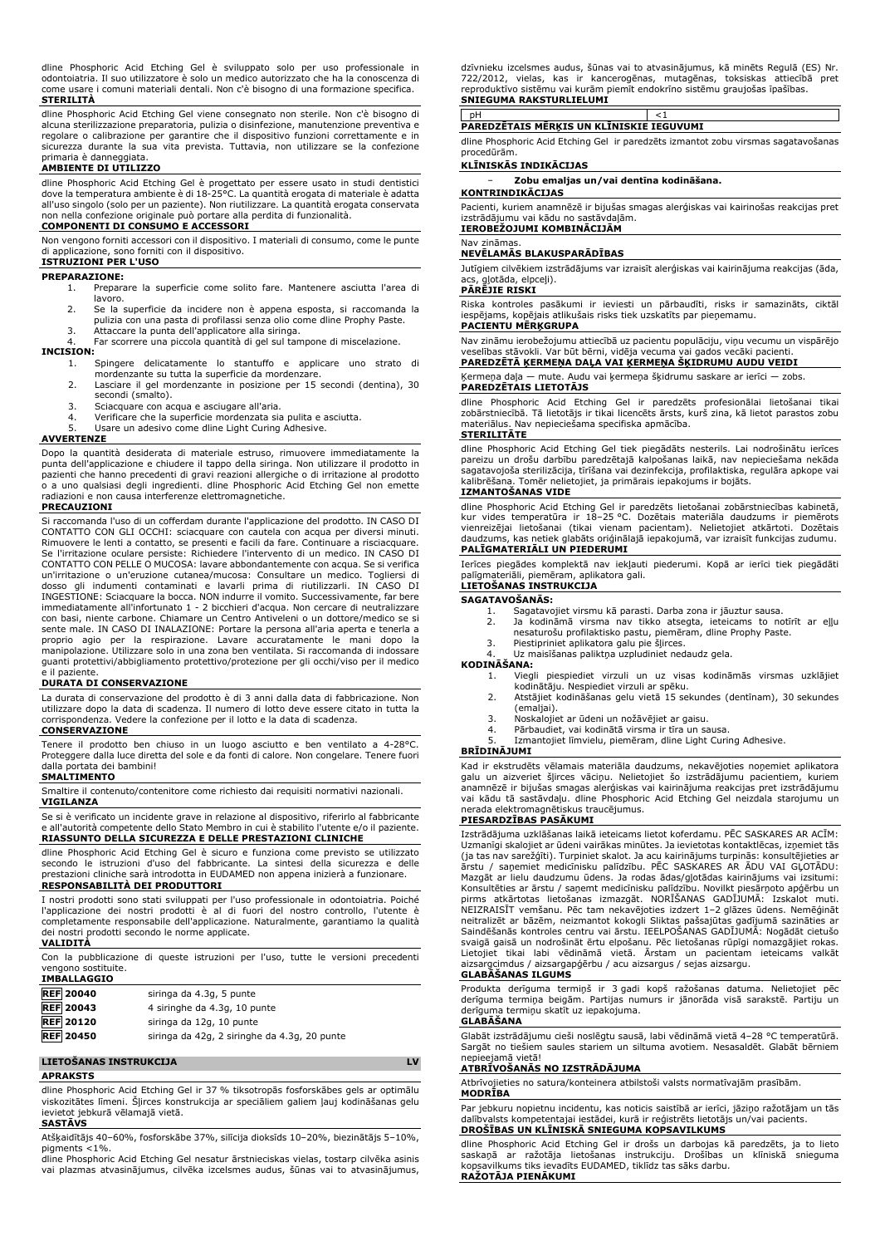dline Phosphoric Acid Etching Gel è sviluppato solo per uso professionale in odontoiatria. Il suo utilizzatore è solo un medico autorizzato che ha la conoscenza di come usare i comuni materiali dentali. Non c'è bisogno di una formazione specifica. **STERILITÀ**

dline Phosphoric Acid Etching Gel viene consegnato non sterile. Non c'è bisogno di alcuna sterilizzazione preparatoria, pulizia o disinfezione, manutenzione preventiva e regolare o calibrazione per garantire che il dispositivo funzioni correttamente e in sicurezza durante la sua vita prevista. Tuttavia, non utilizzare se la confezione primaria è danneggiata.

# **AMBIENTE DI UTILIZZO**

dline Phosphoric Acid Etching Gel è progettato per essere usato in studi dentistici dove la temperatura ambiente è di 18-25°C. La quantità erogata di materiale è adatta all'uso singolo (solo per un paziente). Non riutilizzare. La quantità erogata conservata non nella confezione originale può portare alla perdita di funzionalità.

### **COMPONENTI DI CONSUMO E ACCESSORI**

Non vengono forniti accessori con il dispositivo. I materiali di consumo, come le punte di applicazione, sono forniti con il dispositivo. **ISTRUZIONI PER L'USO**

# **PREPARAZIONE:**

- 1. Preparare la superficie come solito fare. Mantenere asciutta l'area di lavoro.
- 
- 2. Se la superficie da incidere non è appena esposta, si raccomanda la pulizia con una pasta di profilassi senza olio come dline Prophy Paste.
- 3. Attaccare la punta dell'applicatore alla siringa.

Far scorrere una piccola quantità di gel sul tampone di miscelazione.

# **INCISION:**

- 1. Spingere delicatamente lo stantuffo e applicare uno strato di mordenzante su tutta la superficie da mordenzare.
- 2. Lasciare il gel mordenzante in posizione per 15 secondi (dentina), 30 secondi (smalto).
- 
- 3. Sciacquare con acqua e asciugare all'aria. 4. Verificare che la superficie mordenzata sia pulita e asciutta.
- Usare un adesivo come dline Light Curing Adhesive.

### **AVVERTENZE**

Dopo la quantità desiderata di materiale estruso, rimuovere immediatamente la punta dell'applicazione e chiudere il tappo della siringa. Non utilizzare il prodotto in<br>pazienti che hanno precedenti di gravi reazioni allergiche o di irritazione al prodotto<br>o a uno qualsiasi degli ingredienti. dline Ph radiazioni e non causa interferenze elettromagnetiche.

### **PRECAUZIONI**

Si raccomanda l'uso di un cofferdam durante l'applicazione del prodotto. IN CASO DI CONTATTO CON GLI OCCHI: sciacquare con cautela con acqua per diversi minuti. Rimuovere le lenti a contatto, se presenti e facili da fare. Continuare a risciacquare. Se l'irritazione oculare persiste: Richiedere l'intervento di un medico. IN CASO DI CONTATTO CON PELLE O MUCOSA: lavare abbondantemente con acqua. Se si verifica un'irritazione o un'eruzione cutanea/mucosa: Consultare un medico. Togliersi di dosso gli indumenti contaminati e lavarli prima di riutilizzarli. IN CASO DI INGESTIONE: Sciacquare la bocca. NON indurre il vomito. Successivamente, far bere immediatamente all'infortunato 1 - 2 bicchieri d'acqua. Non cercare di neutralizzare<br>con basi, niente carbone. Chiamare un Centro Antiveleni o un dottore/medico se si<br>sente male. IN CASO DI INALAZIONE: Portare la persona a proprio agio per la respirazione. Lavare accuratamente le mani dopo la manipolazione. Utilizzare solo in una zona ben ventilata. Si raccomanda di indossare guanti protettivi/abbigliamento protettivo/protezione per gli occhi/viso per il medico e il paziente.

### **DURATA DI CONSERVAZIONE**

La durata di conservazione del prodotto è di 3 anni dalla data di fabbricazione. Non utilizzare dopo la data di scadenza. Il numero di lotto deve essere citato in tutta la corrispondenza. Vedere la confezione per il lotto e la data di scadenza.

# **CONSERVAZIONE**

Tenere il prodotto ben chiuso in un luogo asciutto e ben ventilato a 4-28°C. Proteggere dalla luce diretta del sole e da fonti di calore. Non congelare. Tenere fuori dalla portata dei bambini! **SMALTIMENTO**

Smaltire il contenuto/contenitore come richiesto dai requisiti normativi nazionali. **VIGILANZA**

Se si è verificato un incidente grave in relazione al dispositivo, riferirlo al fabbricante e all'autorità competente dello Stato Membro in cui è stabilito l'utente e/o il paziente. **RIASSUNTO DELLA SICUREZZA E DELLE PRESTAZIONI CLINICHE**

dline Phosphoric Acid Etching Gel è sicuro e funziona come previsto se utilizzato secondo le istruzioni d'uso del fabbricante. La sintesi della sicurezza e delle prestazioni cliniche sarà introdotta in EUDAMED non appena inizierà a funzionare. **RESPONSABILITÀ DEI PRODUTTORI**

I nostri prodotti sono stati sviluppati per l'uso professionale in odontoiatria. Poiché l'applicazione dei nostri prodotti è al di fuori del nostro controllo, l'utente è completamente responsabile dell'applicazione. Naturalmente, garantiamo la qualità dei nostri prodotti secondo le norme applicate.

# **VALIDITÀ**

Con la pubblicazione di queste istruzioni per l'uso, tutte le versioni precedenti vengono sostituite. **IMBALLAGGIO**

| <b>REF</b> 20040 | siringa da 4.3g, 5 punte                     |
|------------------|----------------------------------------------|
| <b>REF</b> 20043 | 4 siringhe da 4.3g, 10 punte                 |
| <b>REF 20120</b> | siringa da 12g, 10 punte                     |
| <b>REF 20450</b> | siringa da 42g, 2 siringhe da 4.3g, 20 punte |

# **LIETOŠANAS INSTRUKCIJA LV**

**APRAKSTS**

dline Phosphoric Acid Etching Gel ir 37 % tiksotropās fosforskābes gels ar optimālu viskozitātes līmeni. Šļirces konstrukcija ar speciāliem galiem ļauj kodināšanas gelu

### ievietot jebkurā vēlamajā vietā. **SASTĀVS**

Atšķaidītājs 40–60%, fosforskābe 37%, silīcija dioksīds 10–20%, biezinātājs 5–10%, pigments <1%.

dline Phosphoric Acid Etching Gel nesatur ārstnieciskas vielas, tostarp cilvēka asinis vai plazmas atvasinājumus, cilvēka izcelsmes audus, šūnas vai to atvasinājumus, dzīvnieku izcelsmes audus, šūnas vai to atvasinājumus, kā minēts Regulā (ES) Nr. 722/2012, vielas, kas ir kancerogēnas, mutagēnas, toksiskas attiecībā pret reproduktīvo sistēmu vai kurām piemīt endokrīno sistēmu graujošas īpašības. **SNIEGUMA RAKSTURLIELUMI**

# pH <1 **PAREDZĒTAIS MĒRĶIS UN KLĪNISKIE IEGUVUMI**

dline Phosphoric Acid Etching Gel ir paredzēts izmantot zobu virsmas sagatavošanas procedūrām.

### **KLĪNISKĀS INDIKĀCIJAS**

− **Zobu emaljas un/vai dentīna kodināšana.**

**KONTRINDIKĀCIJAS** Pacienti, kuriem anamnēzē ir bijušas smagas alerģiskas vai kairinošas reakcijas pret izstrādājumu vai kādu no sastāvdaļām. **IEROBEŽOJUMI KOMBINĀCIJĀM**

# Nav zināmas.

# **NEVĒLAMĀS BLAKUSPARĀDĪBAS**

Jutīgiem cilvēkiem izstrādājums var izraisīt alerģiskas vai kairinājuma reakcijas (āda, gļotāda, elpceļi).

# **PĀRĒJIE RISKI**

Riska kontroles pasākumi ir ieviesti un pārbaudīti, risks ir samazināts, ciktāl iespējams, kopējais atlikušais risks tiek uzskatīts par pieņemamu. **PACIENTU MĒRĶGRUPA**

Nav zināmu ierobežojumu attiecībā uz pacientu populāciju, viņu vecumu un vispārējo veselības stāvokli. Var būt bērni, vidēja vecuma vai gados vecāki pacienti. **PAREDZĒTĀ ĶERMEŅA DAĻA VAI ĶERMEŅA ŠĶIDRUMU AUDU VEIDI**

# Ķermeņa daļa — mute. Audu vai ķermeņa šķidrumu saskare ar ierīci — zobs. **PAREDZĒTAIS LIETOTĀJS**

dline Phosphoric Acid Etching Gel ir paredzēts profesionālai lietošanai tikai zobārstniecībā. Tā lietotājs ir tikai licencēts ārsts, kurš zina, kā lietot parastos zobu materiālus. Nav nepieciešama specifiska apmācība.

# **STERILITĀTE**

dline Phosphoric Acid Etching Gel tiek piegādāts nesterils. Lai nodrošinātu ierīces pareizu un drošu darbību paredzētajā kalpošanas laikā, nav nepieciešama nekāda sagatavojoša sterilizācija, tīrīšana vai dezinfekcija, profilaktiska, regulāra apkope vai kalibrēšana. Tomēr nelietojiet, ja primārais iepakojums ir bojāts.

# **IZMANTOŠANAS VIDE**

dline Phosphoric Acid Etching Gel ir paredzēts lietošanai zobārstniecības kabinetā,<br>kur vides temperatūra ir 18–25 °C. Dozētais materiāla daudzums ir piemērots<br>vienreizējai lietošanai (tikai vienam pacientam). Nelietojiet daudzums, kas netiek glabāts oriģinālajā iepakojumā, var izraisīt funkcijas zudumu. **PALĪGMATERIĀLI UN PIEDERUMI**

Ierīces piegādes komplektā nav iekļauti piederumi. Kopā ar ierīci tiek piegādāti palīgmateriāli, piemēram, aplikatora gali. **LIETOŠANAS INSTRUKCIJA**

### **SAGATAVOŠANĀS:**

- 
- 1. Sagatavojiet virsmu kā parasti. Darba zona ir jāuztur sausa. 2. Ja kodināmā virsma nav tikko atsegta, ieteicams to notīrīt ar eļļu nesaturošu profilaktisko pastu, piemēram, dline Prophy Paste. 3. Piestipriniet aplikatora galu pie šļirces.
- 
- 4. Uz maisīšanas paliktņa uzpludiniet nedaudz gela.

# **KODINĀŠANA:**

- 1. Viegli piespiediet virzuli un uz visas kodināmās virsmas uzklājiet kodinātāju. Nespiediet virzuli ar spēku.
- 2. Atstājiet kodināšanas gelu vietā 15 sekundes (dentīnam), 30 sekundes (emaliai).
- 
- 3. Noskalojiet ar ūdeni un nožāvējiet ar gaisu. Pārbaudiet, vai kodinātā virsma ir tīra un sausa.
- 5. Izmantojiet līmvielu, piemēram, dline Light Curing Adhesive.

# **BRĪDINĀJUMI**

Kad ir ekstrudēts vēlamais materiāla daudzums, nekavējoties noņemiet aplikatora galu un aizveriet šļirces vāciņu. Nelietojiet šo izstrādājumu pacientiem, kuriem anamnēzē ir bijušas smagas alerģiskas vai kairinājuma reakcijas pret izstrādājumu vai kādu tā sastāvdaļu. dline Phosphoric Acid Etching Gel neizdala starojumu un nerada elektromagnētiskus traucējumus.

### **PIESARDZĪBAS PASĀKUMI**

Izstrādājuma uzklāšanas laikā ieteicams lietot koferdamu. PĒC SASKARES AR ACĪM: Uzmanīgi skalojiet ar ūdeni vairākas minūtes. Ja ievietotas kontaktlēcas, izņemiet tās<br>(ja tas nav sarežģīti). Turpiniet skalot. Ja acu kairinājums turpinās: konsultējieties ar<br>ārstu / saņemiet medicīnisku palīdzību. PĒC S Konsultēties ar ārstu / saņemt medicīnisku palīdzību. Novilkt piesārņoto apģērbu un<br>pirms atkārtotas lietošanas izmazgāt. NORĪŠANAS GADĪJUMĀ: Izskalot muti.<br>NEIZRAISĪT vemšanu. Pēc tam nekavējoties izdzert 1–2 glāze neitralizēt ar bāzēm, neizmantot kokogli Sliktas pašsajūtas gadījumā sazināties ar Saindēšanās kontroles centru vai ārstu. IEELPOŠANAS GADĪJUMĀ: Nogādāt cietušo svaigā gaisā un nodrošināt ērtu elpošanu. Pēc lietošanas rūpīgi nomazgājiet rokas. Lietojiet tikai labi vēdināmā vietā. Ārstam un pacientam ieteicams valkāt aizsargcimdus / aizsargapģērbu / acu aizsargus / sejas aizsargu.

### **GLABĀŠANAS ILGUMS**

Produkta derīguma termiņš ir 3 gadi kopš ražošanas datuma. Nelietojiet pēc derīguma termiņa beigām. Partijas numurs ir jānorāda visā sarakstē. Partiju un derīguma termiņu skatīt uz iepakojuma.

# **GLABĀŠANA**

Glabāt izstrādājumu cieši noslēgtu sausā, labi vēdināmā vietā 4–28 °C temperatūrā. Sargāt no tiešiem saules stariem un siltuma avotiem. Nesasaldēt. Glabāt bērniem nepieejamā vietā!

### **ATBRĪVOŠANĀS NO IZSTRĀDĀJUMA**

Atbrīvojieties no satura/konteinera atbilstoši valsts normatīvajām prasībām.

## **MODRĪBA**

Par jebkuru nopietnu incidentu, kas noticis saistībā ar ierīci, jāziņo ražotājam un tās dalībvalsts kompetentajai iestādei, kurā ir reģistrēts lietotājs un/vai pacients. **DROŠĪBAS UN KLĪNISKĀ SNIEGUMA KOPSAVILKUMS**

dline Phosphoric Acid Etching Gel ir drošs un darbojas kā paredzēts, ja to lieto saskaņā ar ražotāja lietošanas instrukciju. Drošības un klīniskā snieguma kopsavilkums tiks ievadīts EUDAMED, tiklīdz tas sāks darbu. **RAŽOTĀJA PIENĀKUMI**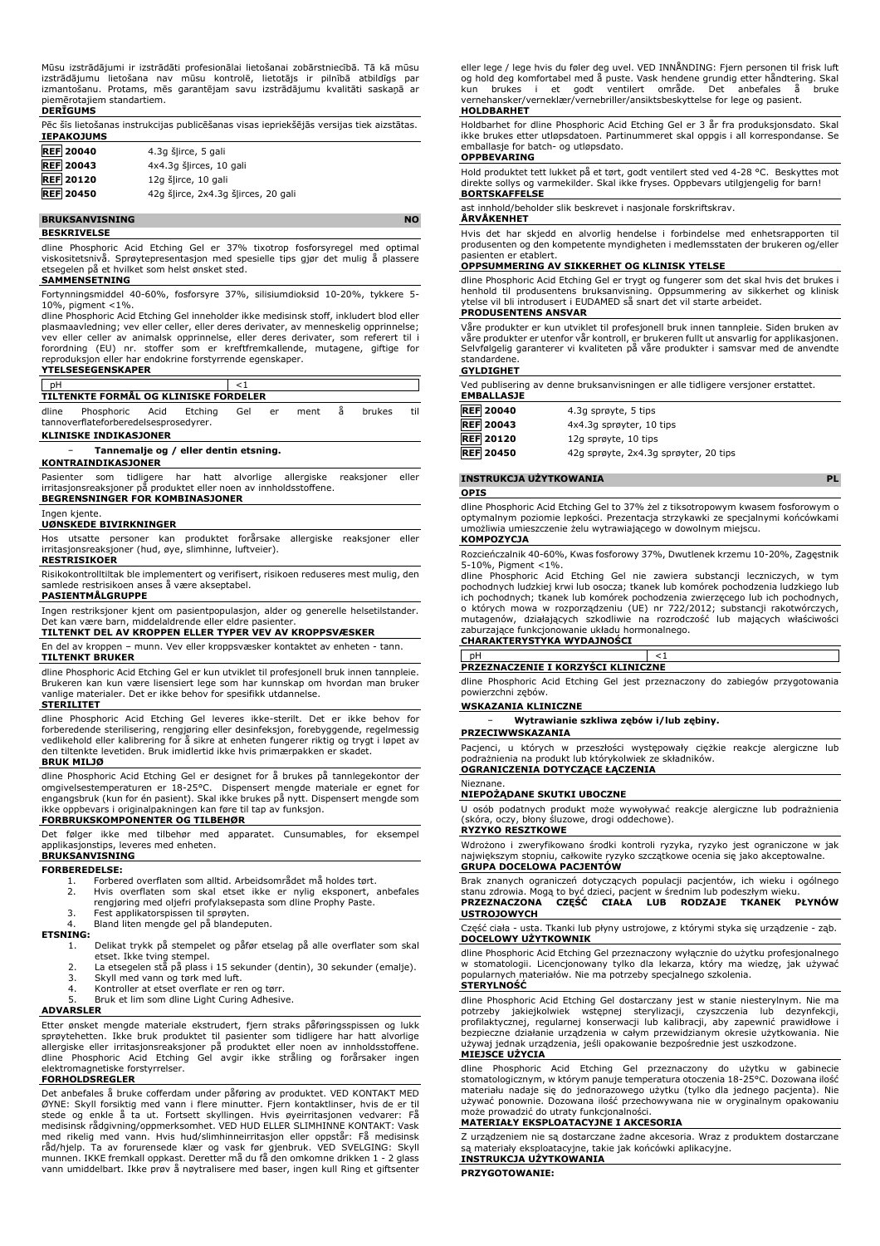Mūsu izstrādājumi ir izstrādāti profesionālai lietošanai zobārstniecībā. Tā kā mūsu izstrādājumu lietošana nav mūsu kontrolē, lietotājs ir pilnībā atbildīgs par izmantošanu. Protams, mēs garantējam savu izstrādājumu kvalitāti saskaņā ar piemērotajiem standartiem.

# **DERĪGUMS**

Pēc šīs lietošanas instrukcijas publicēšanas visas iepriekšējās versijas tiek aizstātas. **IEPAKOJUMS REF 20040** 4.3g šļirce, 5 gali

- **REF 20043** 4x4.3g šļirces, 10 gali **REF 20120** 12g šļirce, 10 gali
- **REF 20450** 42g šļirce, 2x4.3g šļirces, 20 gali

# **BRUKSANVISNING NO**

**BESKRIVELSE**

dline Phosphoric Acid Etching Gel er 37% tixotrop fosforsyregel med optimal viskositetsnivå. Sprøytepresentasjon med spesielle tips gjør det mulig å plassere etsegelen på et hvilket som helst ønsket sted.

# **SAMMENSETNING**

Fortynningsmiddel 40-60%, fosforsyre 37%, silisiumdioksid 10-20%, tykkere 5- 10%, pigment <1%.

dline Phosphoric Acid Etching Gel inneholder ikke medisinsk stoff, inkludert blod eller plasmaavledning; vev eller celler, eller deres derivater, av menneskelig opprinnelse;<br>vev eller celler av animalsk opprinnelse, eller deres derivater, som referert til i<br>forordning (EU) nr. stoffer som er kreftfremka reproduksjon eller har endokrine forstyrrende egenskaper. **YTELSESEGENSKAPER**

| $ $ pH |                                       |  |     |    |        |        |     |
|--------|---------------------------------------|--|-----|----|--------|--------|-----|
|        | TILTENKTE FORMÅL OG KLINISKE FORDELER |  |     |    |        |        |     |
|        | dline Phosphoric Acid Etching         |  | Gel | er | ment å | brukes | til |
|        | tannoverflateforberedelsesprosedyrer. |  |     |    |        |        |     |

### **KLINISKE INDIKASJONER**

# − **Tannemalje og / eller dentin etsning.**

# **KONTRAINDIKASJONER**

Pasienter som tidligere har hatt alvorlige allergiske reaksjoner eller irritasjonsreaksjoner på produktet eller noen av innholdsstoffene. **BEGRENSNINGER FOR KOMBINASJONER**

### Ingen kjente.

### **UØNSKEDE BIVIRKNINGER**

Hos utsatte personer kan produktet forårsake allergiske reaksjoner eller irritasjonsreaksjoner (hud, øye, slimhinne, luftveier). **RESTRISIKOER**

Risikokontrolltiltak ble implementert og verifisert, risikoen reduseres mest mulig, den samlede restrisikoen anses å være akseptabel.

### **PASIENTMÅLGRUPPE**

Ingen restriksjoner kjent om pasientpopulasjon, alder og generelle helsetilstander. Det kan være barn, middelaldrende eller eldre pasienter.

# **TILTENKT DEL AV KROPPEN ELLER TYPER VEV AV KROPPSVÆSKER**

En del av kroppen – munn. Vev eller kroppsvæsker kontaktet av enheten - tann. **TILTENKT BRUKER**

dline Phosphoric Acid Etching Gel er kun utviklet til profesjonell bruk innen tannpleie. Brukeren kan kun være lisensiert lege som har kunnskap om hvordan man bruker vanlige materialer. Det er ikke behov for spesifikk utdannelse.

# **STERILITET**

dline Phosphoric Acid Etching Gel leveres ikke-sterilt. Det er ikke behov for forberedende sterilisering, rengjøring eller desinfeksjon, forebyggende, regelmessig<br>vedlikehold eller kalibrering for å sikre at enheten fungerer riktig og trygt i løpet av<br>den tiltenkte levetiden. Bruk imidlertid ikke hv

### **BRUK MILJØ**

dline Phosphoric Acid Etching Gel er designet for å brukes på tannlegekontor der omgivelsestemperaturen er 18-25°C. Dispensert mengde materiale er egnet for engangsbruk (kun for én pasient). Skal ikke brukes på nytt. Dispensert mengde som ikke oppbevars i originalpakningen kan føre til tap av funksjon.

# **FORBRUKSKOMPONENTER OG TILBEHØR**

Det følger ikke med tilbehør med apparatet. Cunsumables, for eksempel applikasjonstips, leveres med enheten. **BRUKSANVISNING**

# **FORBEREDELSE:**

1. Forbered overflaten som alltid. Arbeidsområdet må holdes tørt.<br>1. Forbered overflaten som skal etset ikke er nylig eksponert, a

- 2. Hvis overflaten som skal etset ikke er nylig eksponert, anbefales rengjøring med oljefri profylaksepasta som dline Prophy Paste. 3. Fest applikatorspissen til sprøyten.
- 
- 4. Bland liten mengde gel på blandeputen.

# **ETSNING:**

- 1. Delikat trykk på stempelet og påfør etselag på alle overflater som skal
- etset. Ikke tving stempel. 2. La etsegelen stå på plass i 15 sekunder (dentin), 30 sekunder (emalje).
- 3. Skyll med vann og tørk med luft.
- 4. Kontroller at etset overflate er ren og tørr. 5. Bruk et lim som dline Light Curing Adhesive.

### **ADVARSLER**

Etter ønsket mengde materiale ekstrudert, fjern straks påføringsspissen og lukk sprøytehetten. Ikke bruk produktet til pasienter som tidligere har hatt alvorlige allergiske eller irritasjonsreaksjoner på produktet eller noen av innholdsstoffene. dline Phosphoric Acid Etching Gel avgir ikke stråling og forårsaker ingen elektromagnetiske forstyrrelser.

# **FORHOLDSREGLER**

Det anbefales å bruke cofferdam under påføring av produktet. VED KONTAKT MED<br>ØYNE: Skyll forsiktig med vann i flere minutter. Fjern kontaktlinser, hvis de er til<br>stede og enkle å ta ut. Fortsett skyllingen. Hvis øyeirritas med rikelig med vann. Hvis hud/slimhinneirritasjon eller oppstär: Fä medisinsk<br>råd/hjelp. Ta av forurensede klær og vask før gjenbruk. VED SVELGING: Skyll<br>munnen. IKKE-fremkall oppkast. Deretter må du få den omkomne drikke vann umiddelbart. Ikke prøv å nøytralisere med baser, ingen kull Ring et giftsenter eller lege / lege hvis du føler deg uvel. VED INNÅNDING: Fjern personen til frisk luft og hold deg komfortabel med å puste. Vask hendene grundig etter håndtering. Skal kun brukes i et godt ventilert område. Det anbefales å bruke vernehansker/verneklær/vernebriller/ansiktsbeskyttelse for lege og pasient. **HOLDBARHET**

Holdbarhet for dline Phosphoric Acid Etching Gel er 3 år fra produksjonsdato. Skal ikke brukes etter utløpsdatoen. Partinummeret skal oppgis i all korrespondanse. Se emballasje for batch- og utløpsdato. **OPPBEVARING**

Hold produktet tett lukket på et tørt, godt ventilert sted ved 4-28 °C. Beskyttes mot direkte sollys og varmekilder. Skal ikke fryses. Oppbevars utilgjengelig for barn! **BORTSKAFFELSE**

## ast innhold/beholder slik beskrevet i nasjonale forskriftskrav.

### **ÅRVÅKENHET**

Hvis det har skjedd en alvorlig hendelse i forbindelse med enhetsrapporten til produsenten og den kompetente myndigheten i medlemsstaten der brukeren og/eller pasienten er etablert.

# **OPPSUMMERING AV SIKKERHET OG KLINISK YTELSE**

dline Phosphoric Acid Etching Gel er trygt og fungerer som det skal hvis det brukes i<br>henhold til produsentens bruksanvisning. Oppsummering av sikkerhet og klinisk<br>ytelse vil bli introdusert i EUDAMED så snart det v

## **PRODUSENTENS ANSVAR**

Våre produkter er kun utviklet til profesjonell bruk innen tannpleie. Siden bruken av våre produkter er utenfor vår kontroll, er brukeren fullt ut ansvarlig for applikasjonen. Selvfølgelig garanterer vi kvaliteten på våre produkter i samsvar med de anvendte standardene.

### **GYLDIGHET**

Ved publisering av denne bruksanvisningen er alle tidligere versjoner erstattet. **EMBALLASJE**

| ----------       |                                       |
|------------------|---------------------------------------|
| <b>REF 20040</b> | 4.3q sprøyte, 5 tips                  |
| <b>REF 20043</b> | 4x4.3g sprøyter, 10 tips              |
| <b>REF 20120</b> | 12g sprøyte, 10 tips                  |
| <b>REF</b> 20450 | 42g sprøyte, 2x4.3g sprøyter, 20 tips |

# **INSTRUKCJA UŻYTKOWANIA PL**

**OPIS**

dline Phosphoric Acid Etching Gel to 37% żel z tiksotropowym kwasem fosforowym o optymalnym poziomie lepkości. Prezentacja strzykawki ze specjalnymi końcówkami umożliwia umieszczenie żelu wytrawiającego w dowolnym miejscu. **KOMPOZYCJA**

Rozcieńczalnik 40-60%, Kwas fosforowy 37%, Dwutlenek krzemu 10-20%, Zagęstnik 5-10%, Pigment <1%.

dline Phosphoric Acid Etching Gel nie zawiera substancji leczniczych, w tym pochodnych ludzkiej krwi lub osocza; tkanek lub komórek pochodzenia ludzkiego lub ich pochodnych; tkanek lub komórek pochodzenia zwierzęcego lub ich pochodnych, o których mowa w rozporządzeniu (UE) nr 722/2012; substancji rakotwórczych, mutagenów, działających szkodliwie na rozrodczość lub mających właściwości zaburzające funkcjonowanie układu hormonalnego. **CHARAKTERYSTYKA WYDAJNOŚCI**

# pH  $<1$

**PRZEZNACZENIE I KORZYŚCI KLINICZNE**

dline Phosphoric Acid Etching Gel jest przeznaczony do zabiegów przygotowania powierzchni zębów.

# **WSKAZANIA KLINICZNE**

− **Wytrawianie szkliwa zębów i/lub zębiny.**

# **PRZECIWWSKAZANIA**

Pacjenci, u których w przeszłości występowały ciężkie reakcje alergiczne lub podrażnienia na produkt lub którykolwiek ze składników. **OGRANICZENIA DOTYCZĄCE ŁĄCZENIA**

# Nieznane.

# **NIEPOŻĄDANE SKUTKI UBOCZNE**

U osób podatnych produkt może wywoływać reakcje alergiczne lub podrażnienia (skóra, oczy, błony śluzowe, drogi oddechowe).

# **RYZYKO RESZTKOWE**

Wdrożono i zweryfikowano środki kontroli ryzyka, ryzyko jest ograniczone w jak największym stopniu, całkowite ryzyko szczątkowe ocenia się jako akceptowalne. **GRUPA DOCELOWA PACJENTÓW**

Brak znanych ograniczeń dotyczących populacji pacjentów, ich wieku i ogólnego stanu zdrowia. Mogą to być dzieci, pacjent w średnim lub podeszłym wieku. **PRZEZNACZONA CZĘŚĆ CIAŁA LUB RODZAJE TKANEK PŁYNÓW USTROJOWYCH**

Część ciała - usta. Tkanki lub płyny ustrojowe, z którymi styka się urządzenie - ząb. **DOCELOWY UŻYTKOWNIK**

dline Phosphoric Acid Etching Gel przeznaczony wyłącznie do użytku profesjonalnego w stomatologii. Licencjonowany tylko dla lekarza, który ma wiedzę, jak używać popularnych materiałów. Nie ma potrzeby specjalnego szkolenia.

# **STERYLNOŚĆ**

dline Phosphoric Acid Etching Gel dostarczany jest w stanie niesterylnym. Nie ma<br>potrzeby - jakiejkolwiek - wstępnej - sterylizacji, - czyszczenia - lub - dezynfekcji,<br>profilaktycznej, regularnej konserwacji lub kalibracji bezpieczne działanie urządzenia w całym przewidzianym okresie użytkowania. Nie używaj jednak urządzenia, jeśli opakowanie bezpośrednie jest uszkodzone.

## **MIEJSCE UŻYCIA**

dline Phosphoric Acid Etching Gel przeznaczony do użytku w gabinecie stomatologicznym, w którym panuje temperatura otoczenia 18-25°C. Dozowana ilość materiału nadaje się do jednorazowego użytku (tylko dla jednego pacjenta). Nie używać ponownie. Dozowana ilość przechowywana nie w oryginalnym opakowaniu może prowadzić do utraty funkcjonalności.

# **MATERIAŁY EKSPLOATACYJNE I AKCESORIA**

Z urządzeniem nie są dostarczane żadne akcesoria. Wraz z produktem dostarczane są materiały eksploatacyjne, takie jak końcówki aplikacyjne. **INSTRUKCJA UŻYTKOWANIA**

# **PRZYGOTOWANIE:**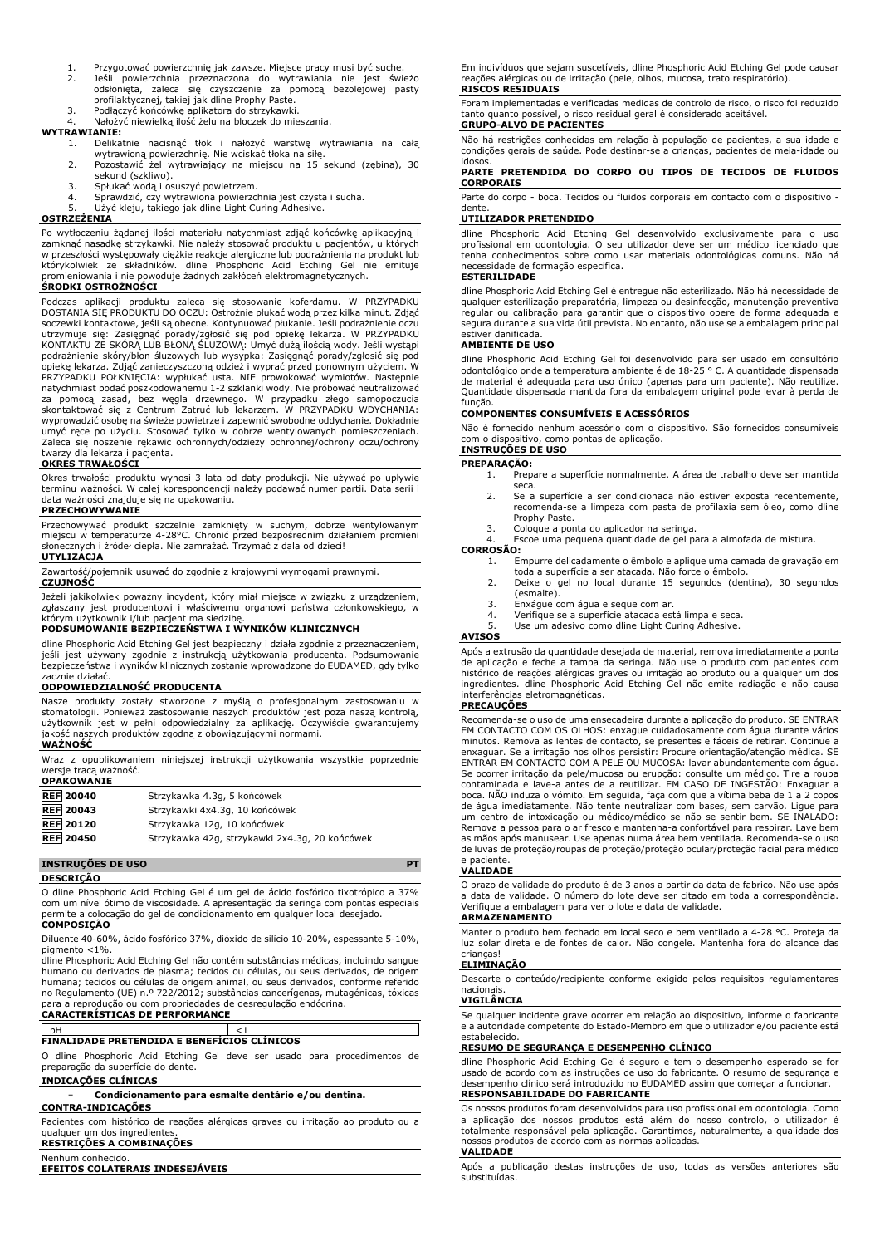- 1. Przygotować powierzchnię jak zawsze. Miejsce pracy musi być suche.<br>2. Jeśli powierzchnia przeznaczona do wytrawiania nie jest świ
- 2. Jeśli powierzchnia przeznaczona do wytrawiania nie jest świeżo odsłonięta, zaleca się czyszczenie za pomocą bezolejowej pasty profilaktycznej, takiej jak dline Prophy Paste.
- 3. Podłączyć końcówkę aplikatora do strzykawki. 4. Nałożyć niewielką ilość żelu na bloczek do mieszania.

# **WYTRAWIANIE:**

- 1. Delikatnie nacisnąć tłok i nałożyć warstwę wytrawiania na całą wytrawioną powierzchnię. Nie wciskać tłoka na siłę.
- 2. Pozostawić żel wytrawiający na miejscu na 15 sekund (zębina), 30 sekund (szkliwo).
- 3. Spłukać wodą i osuszyć powietrzem.<br>4. Sprawdzić, czy wytrawiona powierzc
- 
- 4. Sprawdzić, czy wytrawiona powierzchnia jest czysta i sucha. 5. Użyć kleju, takiego jak dline Light Curing Adhesive.

# **OSTRZEŻENIA**

Po wytłoczeniu żądanej ilości materiału natychmiast zdjąć końcówkę aplikacyjną i zamknąć nasadkę strzykawki. Nie należy stosować produktu u pacjentów, u których w przeszłości występowały ciężkie reakcje alergiczne lub podrażnienia na produkt lub którykolwiek ze składników. dline Phosphoric Acid Etching Gel nie emituje promieniowania i nie powoduje żadnych zakłóceń elektromagnetycznych. **ŚRODKI OSTROŻNOŚCI**

Podczas aplikacji produktu zaleca się stosowanie koferdamu. W PRZYPADKU<br>DOSTANIA SIĘPRODUKTU DO OCZU: Ostrożnie płukać wodąprzez kilka minut. Zdjąć<br>soczewki kontaktowe, jeśli-są-obecne. Kontynuować-płukanie. Jeśli-podrażni utrzymuje się: Zasięgnąć porady/zgłosić się pod opiekę lekarza. W PRZYPADKU KONTAKTU ZE SKÓRĄ LUB BŁONĄ ŚLUZOWĄ: Umyć dużą ilością wody. Jeśli wystąpi podrażnienie skóry/błon śluzowych lub wysypka: Zasięgnąć porady/zgłosić się pod opiekę lekarza. Zdjąć zanieczyszczoną odzież i wyprać przed ponownym użyciem. W PRZYPADKU POŁKNIĘCIA: wypłukać usta. NIE prowokować wymiotów. Następnie natychmiast podać poszkodowanemu 1-2 szklanki wody. Nie próbować neutralizować za pomocą zasad, bez węgla drzewnego. W przypadku złego samopoczucia skontaktować się z Centrum Zatruć lub lekarzem. W PRZYPADKU WDYCHANIA: wyprowadzić osobę na świeże powietrze i zapewnić swobodne oddychanie. Dokładnie umyć ręce po użyciu. Stosować tylko w dobrze wentylowanych pomieszczeniach. Zaleca się noszenie rękawic ochronnych/odzieży ochronnej/ochrony oczu/ochrony twarzy dla lekarza i pacjenta.

# **OKRES TRWAŁOŚCI**

Okres trwałości produktu wynosi 3 lata od daty produkcji. Nie używać po upływie terminu ważności. W całej korespondencji należy podawać numer partii. Data serii i data ważności znajduje się na opakowaniu.

# **PRZECHOWYWANIE**

Przechowywać produkt szczelnie zamknięty w suchym, dobrze wentylowanym miejscu w temperaturze 4-28°C. Chronić przed bezpośrednim działaniem promieni słonecznych i źródeł ciepła. Nie zamrażać. Trzymać z dala od dzieci!

# **UTYLIZACJA**

Zawartość/pojemnik usuwać do zgodnie z krajowymi wymogami prawnymi.

### **CZUJNOŚĆ**

Jeżeli jakikolwiek poważny incydent, który miał miejsce w związku z urządzeniem, zgłaszany jest producentowi i właściwemu organowi państwa członkowskiego, w<br>którym użytkownik i/lub pacjent ma siedzibę.<br>**PODSUMOWANIE BEZPIECZEŃSTWA I WYNIKÓW KLINICZNYCH** 

dline Phosphoric Acid Etching Gel jest bezpieczny i działa zgodnie z przeznaczeniem, jeśli jest używany zgodnie z instrukcją użytkowania producenta. Podsumowanie bezpieczeństwa i wyników klinicznych zostanie wprowadzone do EUDAMED, gdy tylko zacznie działać.

# **ODPOWIEDZIALNOŚĆ PRODUCENTA**

Nasze produkty zostały stworzone z myślą o profesjonalnym zastosowaniu w stomatologii. Ponieważ zastosowanie naszych produktów jest poza naszą kontrolą, użytkownik jest w pełni odpowiedzialny za aplikację. Oczywiście gwarantujemy jakość naszych produktów zgodną z obowiązującymi normami. **WAŻNOŚĆ**

Wraz z opublikowaniem niniejszej instrukcji użytkowania wszystkie poprzednie wersje tracą ważność.

| <b>OPAKOWANIE</b> |                                                |
|-------------------|------------------------------------------------|
| <b>REF</b> 20040  | Strzykawka 4.3g, 5 końcówek                    |
| <b>REF</b> 20043  | Strzykawki 4x4.3g, 10 końcówek                 |
| <b>REF 20120</b>  | Strzykawka 12g, 10 końcówek                    |
| <b>REF 20450</b>  | Strzykawka 42g, strzykawki 2x4.3g, 20 końcówek |

# **INSTRUÇÕES DE USO PT**

### **DESCRIÇÃO**

O dline Phosphoric Acid Etching Gel é um gel de ácido fosfórico tixotrópico a 37% com um nível ótimo de viscosidade. A apresentação da seringa com pontas especiais permite a colocação do gel de condicionamento em qualquer local desejado. **COMPOSIÇÃO**

Diluente 40-60%, ácido fosfórico 37%, dióxido de silício 10-20%, espessante 5-10%, pigmento <1%.

dline Phosphoric Acid Etching Gel não contém substâncias médicas, incluindo sangue humano ou derivados de plasma; tecidos ou células, ou seus derivados, de origem humana; tecidos ou células de origem animal, ou seus derivados, conforme referido no Regulamento (UE) n.º 722/2012; substâncias cancerígenas, mutagénicas, tóxicas para a reprodução ou com propriedades de desregulação endócrina. **CARACTERÍSTICAS DE PERFORMANCE**

# pH <1 **FINALIDADE PRETENDIDA E BENEFÍCIOS CLÍNICOS**

O dline Phosphoric Acid Etching Gel deve ser usado para procedimentos de preparação da superfície do dente.

# **INDICAÇÕES CLÍNICAS**

− **Condicionamento para esmalte dentário e/ou dentina.**

# **CONTRA-INDICAÇÕES**

Pacientes com histórico de reações alérgicas graves ou irritação ao produto ou a qualquer um dos ingredientes. **RESTRIÇÕES A COMBINAÇÕES**

Nenhum conhecido.

### **EFEITOS COLATERAIS INDESEJÁVEIS**

Em indivíduos que sejam suscetíveis, dline Phosphoric Acid Etching Gel pode causar reações alérgicas ou de irritação (pele, olhos, mucosa, trato respiratório). **RISCOS RESIDUAIS**

Foram implementadas e verificadas medidas de controlo de risco, o risco foi reduzido tanto quanto possível, o risco residual geral é considerado aceitável.

# **GRUPO-ALVO DE PACIENTES**

Não há restrições conhecidas em relação à população de pacientes, a sua idade e condições gerais de saúde. Pode destinar-se a crianças, pacientes de meia-idade ou

# idosos. **PARTE PRETENDIDA DO CORPO OU TIPOS DE TECIDOS DE FLUIDOS CORPORAIS**

Parte do corpo - boca. Tecidos ou fluidos corporais em contacto com o dispositivo dente.

# **UTILIZADOR PRETENDIDO**

dline Phosphoric Acid Etching Gel desenvolvido exclusivamente para o uso profissional em odontologia. O seu utilizador deve ser um médico licenciado que tenha conhecimentos sobre como usar materiais odontológicas comuns. Não há sidade de formação específica.

### **ESTERILIDADE**

dline Phosphoric Acid Etching Gel é entregue não esterilizado. Não há necessidade de qualquer esterilização preparatória, limpeza ou desinfecção, manutenção preventiva regular ou calibração para garantir que o dispositivo opere de forma adequada e segura durante a sua vida útil prevista. No entanto, não use se a embalagem principal estiver danificada.

# **AMBIENTE DE USO**

dline Phosphoric Acid Etching Gel foi desenvolvido para ser usado em consultório odontológico onde a temperatura ambiente é de 18-25 ° C. A quantidade dispensada de material é adequada para uso único (apenas para um paciente). Não reutilize. Quantidade dispensada mantida fora da embalagem original pode levar à perda de função.

# **COMPONENTES CONSUMÍVEIS E ACESSÓRIOS**

Não é fornecido nenhum acessório com o dispositivo. São fornecidos consumíveis com o dispositivo, como pontas de aplicação. **INSTRUÇÕES DE USO**

# PREPARAÇÃO:<br><sup>1. Prep</sup>

- 1. Prepare a superfície normalmente. A área de trabalho deve ser mantida seca.
- 2. Se a superfície a ser condicionada não estiver exposta recentemente, recomenda-se a limpeza com pasta de profilaxia sem óleo, como dline Prophy Paste.
- 3. Coloque a ponta do aplicador na seringa.
- Escoe uma pequena quantidade de gel para a almofada de mistura. **CORROSÃO:**
	- 1. Empurre delicadamente o êmbolo e aplique uma camada de gravação em
	- toda a superfície a ser atacada. Não force o êmbolo. 2. Deixe o gel no local durante 15 segundos (dentina), 30 segundos
	- (esmalte).
	- 3. Enxágue com água e seque com ar. 4. Verifique se a superfície atacada está limpa e seca.
	- 5. Use um adesivo como dline Light Curing Adhesive.

### **AVISOS**

Após a extrusão da quantidade desejada de material, remova imediatamente a ponta de aplicação e feche a tampa da seringa. Não use o produto com pacientes com histórico de reações alérgicas graves ou irritação ao produto ou a qualquer um dos ingredientes. dline Phosphoric Acid Etching Gel não emite radiação e não causa interferências eletromagnéticas.

### **PRECAUÇÕES**

Recomenda-se o uso de uma ensecadeira durante a aplicação do produto. SE ENTRAR EM CONTACTO COM OS OLHOS: enxague cuidadosamente com água durante vários minutos. Remova as lentes de contacto, se presentes e fáceis de retirar. Continue a enxaguar. Se a irritação nos olhos persistir: Procure orientação/atenção médica. SE ENTRAR EM CONTACTO COM A PELE OU MUCOSA: lavar abundantemente com água. Se ocorrer irritação da pele/mucosa ou erupção: consulte um médico. Tire a roupa contaminada e lave-a antes de a reutilizar. EM CASO DE INGESTÃO: Enxaguar a boca. NÃO induza o vómito. Em seguida, faça com que a vítima beba de 1 a 2 copos de água imediatamente. Não tente neutralizar com bases, sem carvão. Ligue para um centro de intoxicação ou médico/médico se não se sentir bem. SE INALADO: Remova a pessoa para o ar fresco e mantenha-a confortável para respirar. Lave bem as mãos após manusear. Use apenas numa área bem ventilada. Recomenda-se o uso de luvas de proteção/roupas de proteção/proteção ocular/proteção facial para médico e paciente.

# **VALIDADE**

O prazo de validade do produto é de 3 anos a partir da data de fabrico. Não use após a data de validade. O número do lote deve ser citado em toda a correspondência. Verifique a embalagem para ver o lote e data de validade.

# **ARMAZENAMENTO**

Manter o produto bem fechado em local seco e bem ventilado a 4-28 °C. Proteja da luz solar direta e de fontes de calor. Não congele. Mantenha fora do alcance das crianças!

### **ELIMINAÇÃO**

Descarte o conteúdo/recipiente conforme exigido pelos requisitos regulamentares nacionais.

# **VIGILÂNCIA**

**VALIDADE**

Se qualquer incidente grave ocorrer em relação ao dispositivo, informe o fabricante e a autoridade competente do Estado-Membro em que o utilizador e/ou paciente está estabelecido.

# **RESUMO DE SEGURANÇA E DESEMPENHO CLÍNICO**

dline Phosphoric Acid Etching Gel é seguro e tem o desempenho esperado se for usado de acordo com as instruções de uso do fabricante. O resumo de segurança e desempenho clínico será introduzido no EUDAMED assim que começar a funcionar. **RESPONSABILIDADE DO FABRICANTE**

# Os nossos produtos foram desenvolvidos para uso profissional em odontologia. Como a aplicação dos nossos produtos está além do nosso controlo, o utilizador é totalmente responsável pela aplicação. Garantimos, naturalmente, a qualidade dos nossos produtos de acordo com as normas aplicadas.

Após a publicação destas instruções de uso, todas as versões anteriores são substituídas.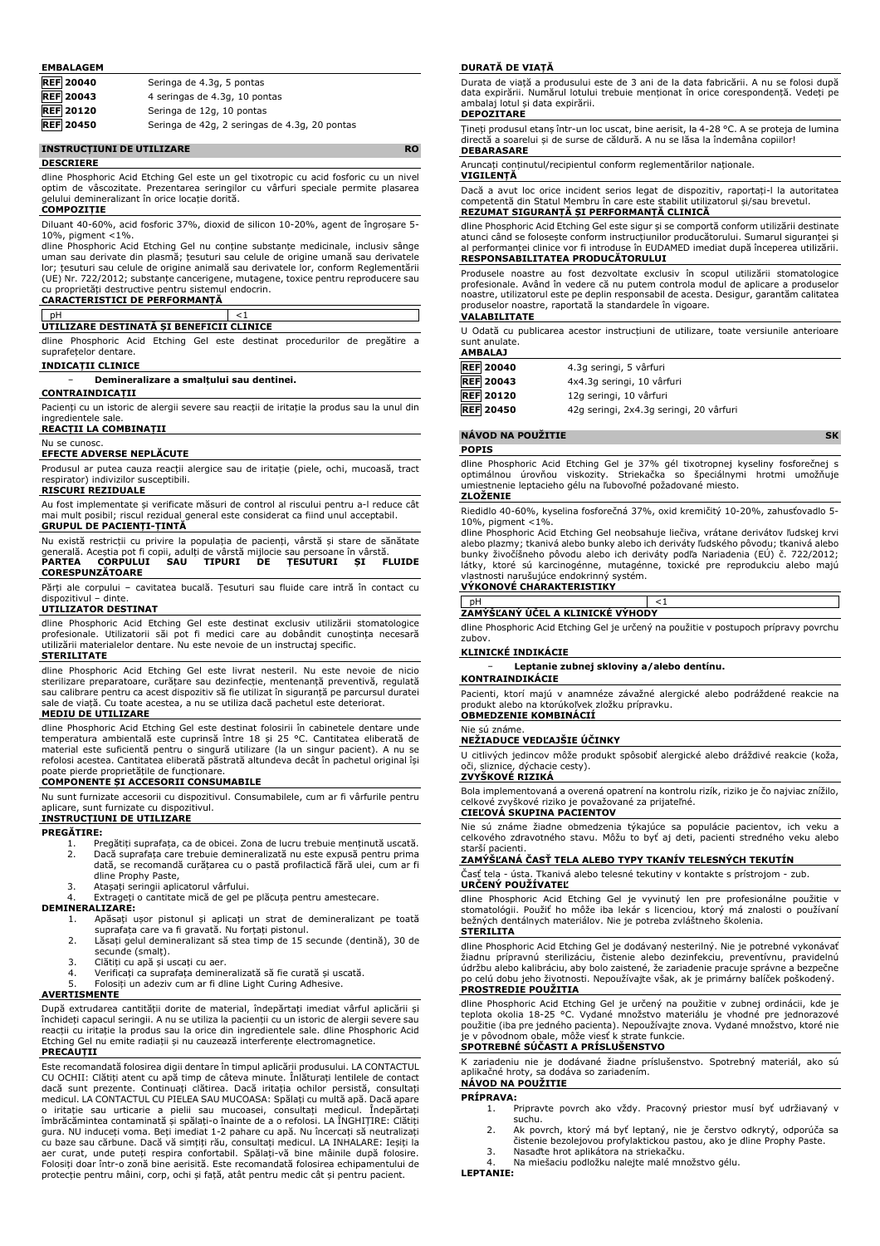### **EMBALAGEM**

| <b>REF 20040</b> | Seringa de 4.3g, 5 pontas                     |
|------------------|-----------------------------------------------|
| <b>REF 20043</b> | 4 seringas de 4.3g, 10 pontas                 |
| <b>REF</b> 20120 | Seringa de 12g, 10 pontas                     |
| <b>RFF</b> 20450 | Seringa de 42g. 2 seringas de 4.3g. 20 nontas |

**F** 20450 Seringa de 42g, 2 seringas de

# **INSTRUCȚIUNI DE UTILIZARE RO**

### **DESCRIERE**

dline Phosphoric Acid Etching Gel este un gel tixotropic cu acid fosforic cu un nivel optim de vâscozitate. Prezentarea seringilor cu vârfuri speciale permite plasarea demineralizant în orice locație dorită.

### **COMPOZIȚIE**

Diluant 40-60%, acid fosforic 37%, dioxid de silicon 10-20%, agent de îngroșare 5- 10%, pigment <1%.

dline Phosphoric Acid Etching Gel nu conține substanțe medicinale, inclusiv sânge<br>uman sau derivate din plasmă; țesuturi sau celule de origine umană sau derivatele<br>lor; țesuturi sau celule de origine animală sau derivatele (UE) Nr. 722/2012; substanțe cancerigene, mutagene, toxice pentru reproducere sau cu proprietăți destructive pentru sistemul endocrin.

# **CARACTERISTICI DE PERFORMANȚĂ**

| UTILIZARE DESTINATA SI BENEFICII CLINICE |  |
|------------------------------------------|--|

dline Phosphoric Acid Etching Gel este destinat procedurilor de pregătire a suprafețelor dentare.

# **INDICAȚII CLINICE**

### − **Demineralizare a smalțului sau dentinei.**

**CONTRAINDICAȚII**

Pacienți cu un istoric de alergii severe sau reacții de iritație la produs sau la unul din ingredientele sale.

# **REACȚII LA COMBINAȚII**

Nu se cunosc.

# **EFECTE ADVERSE NEPLĂCUTE**

Produsul ar putea cauza reacții alergice sau de iritație (piele, ochi, mucoasă, tract respirator) indivizilor susceptibili. **RISCURI REZIDUALE**

Au fost implementate și verificate măsuri de control al riscului pentru a-l reduce cât

mai mult posibil; riscul rezidual general este considerat ca fiind unul acceptabil. **GRUPUL DE PACIENȚI-ȚINTĂ** Nu există restricții cu privire la populația de pacienți, vârstă și stare de sănătate generală. Aceștia pot fi copii, adulți de vârstă mijlocie sau persoane în vârstă. **PARTEA CORPULUI SAU TIPURI DE ȚESUTURI ȘI FLUIDE**

**CORESPUNZĂTOARE**

Părți ale corpului – cavitatea bucală. Țesuturi sau fluide care intră în contact cu dispozitivul – dinte. dispozitivul

# **UTILIZATOR DESTINAT**

dline Phosphoric Acid Etching Gel este destinat exclusiv utilizării stomatologice profesionale. Utilizatorii săi pot fi medici care au dobândit cunoștința necesară utilizării materialelor dentare. Nu este nevoie de un instructaj specific.

# **STERILITATE**

dline Phosphoric Acid Etching Gel este livrat nesteril. Nu este nevoie de nicio sterilizare preparatoare, curățare sau dezinfecție, mentenanță preventivă, regulată sau calibrare pentru ca acest dispozitiv să fie utilizat în siguranță pe parcursul duratei sale de viață. Cu toate acestea, a nu se utiliza dacă pachetul este deteriorat.

**MEDIU DE UTILIZARE**

dline Phosphoric Acid Etching Gel este destinat folosirii în cabinetele dentare unde temperatura ambientală este cuprinsă între 18 și 25 °C. Cantitatea eliberată de material este suficientă pentru o singură utilizare (la un singur pacient). A nu se refolosi acestea. Cantitatea eliberată păstrată altundeva decât în pachetul original își poate pierde proprietățile de funcționare.

# **COMPONENTE ȘI ACCESORII CONSUMABILE**

Nu sunt furnizate accesorii cu dispozitivul. Consumabilele, cum ar fi vârfurile pentru aplicare, sunt furnizate cu dispozitivul. **INSTRUCȚIUNI DE UTILIZARE**

### **PREGĂTIRE:**

- 1. Pregătiți suprafața, ca de obicei. Zona de lucru trebuie menținută uscată.<br>2. Dacă suprafața care trebuie demineralizață nu este expusă pentru prima 2. Dacă suprafața care trebuie demineralizată nu este expusă pentru prima
- dată, se recomandă curățarea cu o pastă profilactică fără ulei, cum ar fi dline Prophy Paste, 3. Atașați seringii aplicatorul vârfului.
- 4. Extrageți o cantitate mică de gel pe plăcuța pentru amestecare.
- **DEMINERALIZARE:**

1. Apăsați ușor pistonul și aplicați un strat de demineralizant pe toată suprafața care va fi gravată. Nu forțați pistonul.

- 2. Lăsați gelul demineralizant să stea timp de 15 secunde (dentină), 30 de secunde (smalț).
- 3. Clătiți cu apă și uscați cu aer.
- 4. Verificați ca suprafața demineralizată să fie curată și uscată.
- 5. Folosiți un adeziv cum ar fi dline Light Curing Adhesive.

# **AVERTISMENTE**

După extrudarea cantității dorite de material, îndepărtați imediat vârful aplicării și închideți capacul seringii. A nu se utiliza la pacienții cu un istoric de alergii severe sau reacții cu iritație la produs sau la orice din ingredientele sale. dline Phosphoric Acid Etching Gel nu emite radiații și nu cauzează interferențe electromagnetice. **PRECAUȚII**

Este recomandată folosirea digii dentare în timpul aplicării produsului. LA CONTACTUL CU OCHII: Clătiți atent cu apă timp de câteva minute. Înlăturați lentilele de contact dacă sunt prezente. Continuați clătirea. Dacă iritația ochilor persistă, consultați medicul. LA CONTACTUL CU PIELEA SAU MUCOASA: Spălați cu multă apă. Dacă apare o iritație sau urticarie a pielii sau mucoasei, consultați medicul. Îndepărtați îmbrăcămintea contaminată și spălați-o înainte de a o refolosi. LA ÎNGHIȚIRE: Clătiți gura. NU induceți voma. Beți imediat 1-2 pahare cu apă. Nu încercați să neutralizați cu baze sau cărbune. Dacă vă simțiți rău, consultați medicul. LA INHALARE: Ieșiți la aer curat, unde puteți respira confortabil. Spălați-vă bine mâinile după folosire. Folosiți doar într-o zonă bine aerisită. Este recomandată folosirea echipamentului de protecție pentru mâini, corp, ochi și față, atât pentru medic cât și pentru pacient.

### **DURATĂ DE VIAȚĂ**

Durata de viață a produsului este de 3 ani de la data fabricării. A nu se folosi după data expirării. Numărul lotului trebuie menționat în orice corespondență. Vedeți pe ambalaj lotul și data expirării. **DEPOZITARE**

Țineți produsul etanș într-un loc uscat, bine aerisit, la 4-28 °C. A se proteja de lumina directă a soarelui și de surse de căldură. A nu se lăsa la îndemâna copiilor! **DEBARASARE**

Aruncați conținutul/recipientul conform reglementărilor naționale.

## **VIGILENȚĂ**

Dacă a avut loc orice incident serios legat de dispozitiv, raportați-l la autoritatea competentă din Statul Membru în care este stabilit utilizatorul și/sau brevetul. **REZUMAT SIGURANȚĂ ȘI PERFORMANȚĂ CLINICĂ**

dline Phosphoric Acid Etching Gel este sigur și se comportă conform utilizării destinate atunci când se folosește conform instrucțiunilor producătorului. Sumarul siguranței și

# al performanței clinice vor fi introduse în EUDAMED imediat după începerea utilizării. **RESPONSABILITATEA PRODUCĂTORULUI**

Produsele noastre au fost dezvoltate exclusiv în scopul utilizării stomatologice profesionale. Având în vedere că nu putem controla modul de aplicare a produselor noastre, utilizatorul este pe deplin responsabil de acesta. Desigur, garantăm calitatea produselor noastre, raportată la standardele în vigoare.

# **VALABILITATE**

U Odată cu publicarea acestor instrucțiuni de utilizare, toate versiunile anterioare sunt anulate. **AMBALAJ**

| <b>REF 20040</b> | 4.3q seringi, 5 vârfuri                 |
|------------------|-----------------------------------------|
| <b>REF</b> 20043 | 4x4.3q seringi, 10 vârfuri              |
| <b>REF 20120</b> | 12g seringi, 10 vârfuri                 |
| <b>REF</b> 20450 | 42g seringi, 2x4.3g seringi, 20 vârfuri |

# **NÁVOD NA POUŽITIE SK**

**POPIS**

dline Phosphoric Acid Etching Gel je 37% gél tixotropnej kyseliny fosforečnej s optimálnou úrovňou viskozity. Striekačka so špeciálnymi hrotmi umožňuje umiestnenie leptacieho gélu na ľubovoľné požadované miesto.

# **ZLOŽENIE**

Riedidlo 40-60%, kyselina fosforečná 37%, oxid kremičitý 10-20%, zahusťovadlo 5- 10%, pigment <1%.

dline Phosphoric Acid Etching Gel neobsahuje liečiva, vrátane derivátov ľudskej krvi alebo plazmy; tkanivá alebo bunky alebo ich deriváty ľudského pôvodu; tkanivá alebo bunky živočíšneho pôvodu alebo ich deriváty podľa Nariadenia (EÚ) č. 722/2012; látky, ktoré sú karcinogénne, mutagénne, toxické pre reprodukciu alebo majú vlastnosti narušujúce endokrinný systém.

### **VÝKONOVÉ CHARAKTERISTIKY**

| KI TNTCKĖ<br>$M$ VCI'A<br><b>VÝHODY</b><br>нс<br>$\mathbf{r}$<br>. . |  |
|----------------------------------------------------------------------|--|

dline Phosphoric Acid Etching Gel je určený na použitie v postupoch prípravy povrchu zubov.

### **KLINICKÉ INDIKÁCIE**

### − **Leptanie zubnej skloviny a/alebo dentínu.**

### **KONTRAINDIKÁCIE**

Pacienti, ktorí majú v anamnéze závažné alergické alebo podráždené reakcie na produkt alebo na ktorúkoľvek zložku prípravku. **OBMEDZENIE KOMBINÁCIÍ**

# Nie sú známe.

# **NEŽIADUCE VEDĽAJŠIE ÚČINKY**

U citlivých jedincov môže produkt spôsobiť alergické alebo dráždivé reakcie (koža, oči, sliznice, dýchacie cesty).

# **ZVYŠKOVÉ RIZIKÁ**

Bola implementovaná a overená opatrení na kontrolu rizík, riziko je čo najviac znížilo, celkové zvyškové riziko je považované za prijateľné. **CIEĽOVÁ SKUPINA PACIENTOV**

Nie sú známe žiadne obmedzenia týkajúce sa populácie pacientov, ich veku a celkového zdravotného stavu. Môžu to byť aj deti, pacienti stredného veku alebo starší pacienti.

## **ZAMÝŠĽANÁ ČASŤ TELA ALEBO TYPY TKANÍV TELESNÝCH TEKUTÍN**

Časť tela - ústa. Tkanivá alebo telesné tekutiny v kontakte s prístrojom - zub. **URČENÝ POUŽÍVATEĽ**

dline Phosphoric Acid Etching Gel je vyvinutý len pre profesionálne použitie v stomatológii. Použiť ho môže iba lekár s licenciou, ktorý má znalosti o používaní bežných dentálnych materiálov. Nie je potreba zvláštneho školenia. **STERILITA**

dline Phosphoric Acid Etching Gel je dodávaný nesterilný. Nie je potrebné vykonávať žiadnu prípravnú sterilizáciu, čistenie alebo dezinfekciu, preventívnu, pravidelnú údržbu alebo kalibráciu, aby bolo zaistené, že zariadenie pracuje správne a bezpečne po celú dobu jeho životnosti. Nepoužívajte však, ak je primárny balíček poškodený. **PROSTREDIE POUŽITIA**

dline Phosphoric Acid Etching Gel je určený na použitie v zubnej ordinácii, kde je teplota okolia 18-25 °C. Vydané množstvo materiálu je vhodné pre jednorazové<br>použitie (iba pre jedného pacienta). Nepoužívajte znova. Vydané množstvo, ktoré nie<br>je v pôvodnom obale, môže viesť k strate funkcie. **SPOTREBNÉ SÚČASTI A PRÍSLUŠENSTVO**

K zariadeniu nie je dodávané žiadne príslušenstvo. Spotrebný materiál, ako sú aplikačné hroty, sa dodáva so zariadením. **NÁVOD NA POUŽITIE**

# **PRÍPRAVA:**

- 1. Pripravte povrch ako vždy. Pracovný priestor musí byť udržiavaný v suchu.
- 2. Ak povrch, ktorý má byť leptaný, nie je čerstvo odkrytý, odporúča sa čistenie bezolejovou profylaktickou pastou, ako je dline Prophy Paste. 3. Nasaďte hrot aplikátora na striekačku.
- 
- 4. Na miešaciu podložku nalejte malé množstvo gélu.

**LEPTANIE:**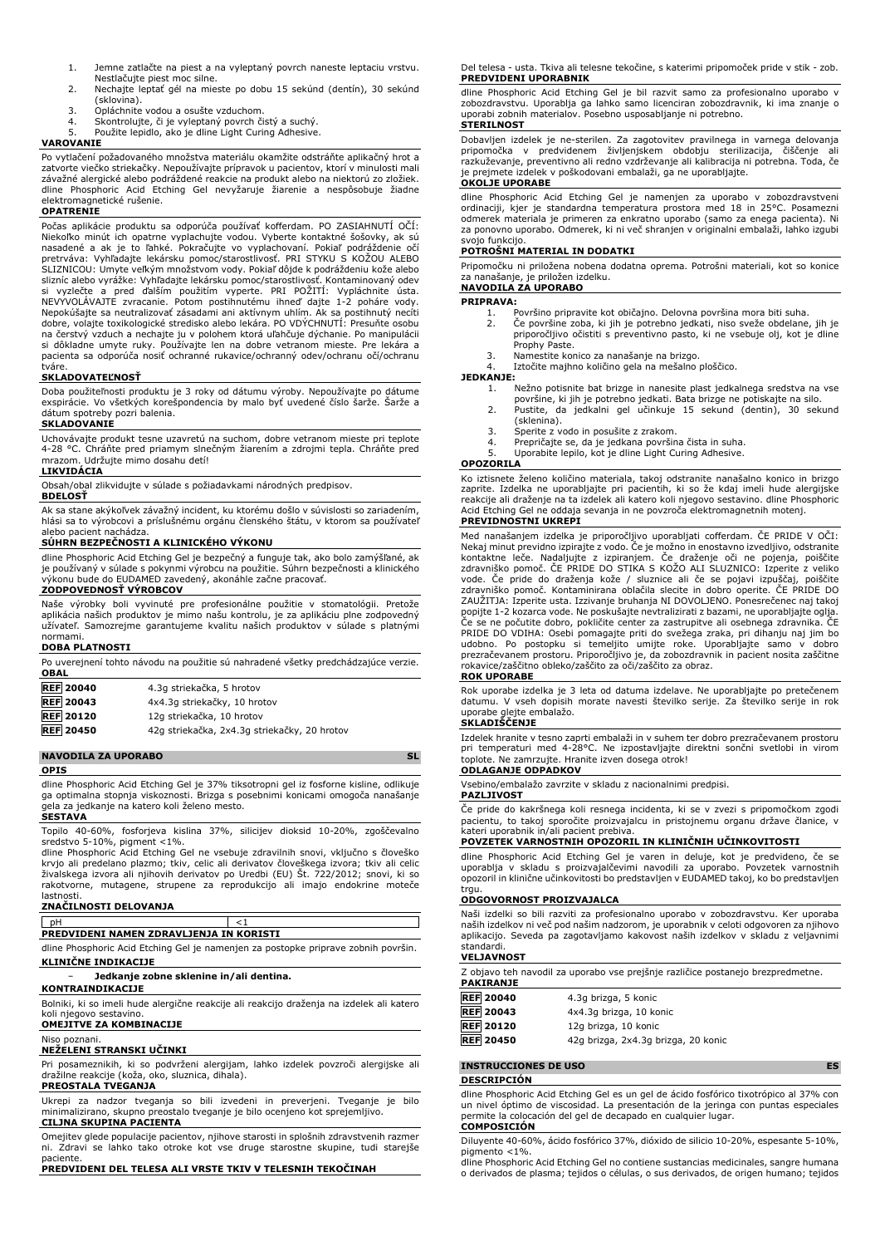- 1. Jemne zatlačte na piest a na vyleptaný povrch naneste leptaciu vrstvu. Nestlačujte piest moc silne.
- 2. Nechajte leptať gél na mieste po dobu 15 sekúnd (dentín), 30 sekúnd (sklovina).
- 3. Opláchnite vodou a osušte vzduchom.<br>4. Skontrolujte, či je vyleptaný povrch či
- 4. Skontrolujte, či je vyleptaný povrch čistý a suchý. 5. Použite lepidlo, ako je dline Light Curing Adhesive.

# **VAROVANIE**

Po vytlačení požadovaného množstva materiálu okamžite odstráňte aplikačný hrot a zatvorte viečko striekačky. Nepoužívajte prípravok u pacientov, ktorí v minulosti mali<br>závažné alergické alebo podráždené reakcie na produkt alebo na niektorú zo zložiek.<br>dline Phosphoric Acid Etching Gel nevyžaruje elektromagnetické rušenie.

# **OPATRENIE**

Počas aplikácie produktu sa odporúča používať kofferdam. PO ZASIAHNUTI OCI:<br>Niekoľko minút ich opatrne vyplachujte vodou. Vyberte kontaktné šošovky, ak sú<br>nasadené a ak je to ľahké. Pokračujte vo vyplachovaní. Pokiaľ podrá NEVYVOLAVAJTE zvracanie. Potom postihnutému ihneď dajte 1-2 poháre vody.<br>Nepokúšajte sa neutralizovať zásadami ani aktívnym uhlím. Ak sa postihnutý necíti<br>dobre, volajte toxikologické stredisko alebo lekára. PO VDÝCHNUTÍ: si dôkladne umyte ruky. Používajte len na dobre vetranom mieste. Pre lekára a pacienta sa odporúča nosiť ochranné rukavice/ochranný odev/ochranu očí/ochranu tváre.

# **SKLADOVATEĽNOSŤ**

Doba použiteľnosti produktu je 3 roky od dátumu výroby. Nepoužívajte po dátume exspirácie. Vo všetkých korešpondencia by malo byť uvedené číslo šarže. Šarže a dátum spotreby pozri balenia.

### **SKLADOVANIE**

Uchovávajte produkt tesne uzavretú na suchom, dobre vetranom mieste pri teplote 4-28 °C. Chráňte pred priamym slnečným žiarením a zdrojmi tepla. Chráňte pred mrazom. Udržujte mimo dosahu detí!

**LIKVIDÁCIA** Obsah/obal zlikvidujte v súlade s požiadavkami národných predpisov.

### **BDELOSŤ**

Ak sa stane akýkoľvek závažný incident, ku ktorému došlo v súvislosti so zariadením, hlási sa to výrobcovi a príslušnému orgánu členského štátu, v ktorom sa používateľ alebo pacient nachádza.

### **SÚHRN BEZPEČNOSTI A KLINICKÉHO VÝKONU**

dline Phosphoric Acid Etching Gel je bezpečný a funguje tak, ako bolo zamýšľané, ak je používaný v súlade s pokynmi výrobcu na použitie. Súhrn bezpečnosti a klinického výkonu bude do EUDAMED zavedený, akonáhle začne pracovať.

# **ZODPOVEDNOSŤ VÝROBCOV**

Naše výrobky boli vyvinuté pre profesionálne použitie v stomatológii. Pretože aplikácia našich produktov je mimo našu kontrolu, je za aplikáciu plne zodpovedný užívateľ. Samozrejme garantujeme kvalitu našich produktov v súlade s platnými normami.

### **DOBA PLATNOSTI**

Po uverejnení tohto návodu na použitie sú nahradené všetky predchádzajúce verzie. **OBAL REF 20040** 4.3g striekačka, 5 hrotov **REF 20043** 4x4.3g striekačky, 10 hrotov **REF 20120** 12g striekačka, 10 hrotov **REF 20450** 42g striekačka, 2x4.3g striekačky, 20 hrotov

## **NAVODILA ZA UPORABO SL**

**OPIS**

dline Phosphoric Acid Etching Gel je 37% tiksotropni gel iz fosforne kisline, odlikuje ga optimalna stopnja viskoznosti. Brizga s posebnimi konicami omogoča nanašanje gela za jedkanje na katero koli želeno mesto. **SESTAVA**

Topilo 40-60%, fosforjeva kislina 37%, silicijev dioksid 10-20%, zgoščevalno sredstvo 5-10%, pigment <1%.

dline Phosphoric Acid Etching Gel ne vsebuje zdravilnih snovi, vključno s človeško krvjo ali predelano plazmo; tkiv, celic ali derivatov človeškega izvora; tkiv ali celic<br>živalskega izvora ali njihovih derivatov po Uredbi (EU) Št. 722/2012; snovi, ki so<br>rakotvorne, mutagene, strupene za reprodukcijo lastnosti.

# **ZNAČILNOSTI DELOVANJA**

pH  $<1$ 

# **PREDVIDENI NAMEN ZDRAVLJENJA IN KORISTI**

dline Phosphoric Acid Etching Gel je namenjen za postopke priprave zobnih površin. **KLINIČNE INDIKACIJE**

− **Jedkanje zobne sklenine in/ali dentina.**

# **KONTRAINDIKACIJE**

Bolniki, ki so imeli hude alergične reakcije ali reakcijo draženja na izdelek ali katero koli njegovo sestavino.

# **OMEJITVE ZA KOMBINACIJE**

### Niso poznani.

# **NEŽELENI STRANSKI UČINKI**

Pri posameznikih, ki so podvrženi alergijam, lahko izdelek povzroči alergijske ali dražilne reakcije (koža, oko, sluznica, dihala).

**PREOSTALA TVEGANJA** Ukrepi za nadzor tveganja so bili izvedeni in preverjeni. Tveganje je bilo minimalizirano, skupno preostalo tveganje je bilo ocenjeno kot sprejemljivo. **CILJNA SKUPINA PACIENTA**

Omejitev glede populacije pacientov, njihove starosti in splošnih zdravstvenih razmer ni. Zdravi se lahko tako otroke kot vse druge starostne skupine, tudi starejše paciente.

**PREDVIDENI DEL TELESA ALI VRSTE TKIV V TELESNIH TEKOČINAH**

Del telesa - usta. Tkiva ali telesne tekočine, s katerimi pripomoček pride v stik - zob. **PREDVIDENI UPORABNIK**

dline Phosphoric Acid Etching Gel je bil razvit samo za profesionalno uporabo v zobozdravstvu. Uporablja ga lahko samo licenciran zobozdravnik, ki ima znanje o uporabi zobnih materialov. Posebno usposabljanje ni potrebno. **STERILNOST**

Dobavljen izdelek je ne-sterilen. Za zagotovitev pravilnega in varnega delovanja pripomočka v predvidenem življenjskem obdobju sterilizacija, čiščenje ali razkuževanje, preventivno ali redno vzdrževanje ali kalibracija ni potrebna. Toda, če je prejmete izdelek v poškodovani embalaži, ga ne uporabljajte.

# **OKOLJE UPORABE**

dline Phosphoric Acid Etching Gel je namenjen za uporabo v zobozdravstveni<br>ordinaciji, kjer je standardna temperatura prostora med 18 in 25°C. Posamezni<br>odmerek materiala je primeren za enkratno uporabo (samo za enega paci za ponovno uporabo. Odmerek, ki ni več shranjen v originalni embalaži, lahko izgubi svojo funkcijo.

# **POTROŠNI MATERIAL IN DODATKI**

Pripomočku ni priložena nobena dodatna oprema. Potrošni materiali, kot so konice za nanašanje, je priložen izdelku. **NAVODILA ZA UPORABO**

- **PRIPRAVA:**<br>1. P
	- 1. Površino pripravite kot običajno. Delovna površina mora biti suha.<br>2. Če površine zoba, ki jih je potrebno jedkati, niso sveže obdelane,
	- 2. Če površine zoba, ki jih je potrebno jedkati, niso sveže obdelane, jih je priporočljivo očistiti s preventivno pasto, ki ne vsebuje olj, kot je dline Prophy Paste.
	- 3. Namestite konico za nanašanje na brizgo.

Iztočite majhno količino gela na mešalno ploščico.

# **JEDKANJE:**

- 1. Nežno potisnite bat brizge in nanesite plast jedkalnega sredstva na vse površine, ki jih je potrebno jedkati. Bata brizge ne potiskajte na silo. 2. Pustite, da jedkalni gel učinkuje 15 sekund (dentin), 30 sekund
	-
- (sklenina).
- 3. Sperite z vodo in posušite z zrakom.<br>4. Prepričajte se, da je jedkana površin<br>5. Uporabite lepilo, kot je dline Light Cu
- 4. Prepričajte se, da je jedkana površina čista in suha. 5. Uporabite lepilo, kot je dline Light Curing Adhesive.

## **OPOZORILA**

Ko iztisnete želeno količino materiala, takoj odstranite nanašalno konico in brizgo zaprite. Izdelka ne uporabljajte pri pacientih, ki so že kdaj imeli hude alergijske reakcije ali draženje na ta izdelek ali katero koli njegovo sestavino. dline Phosphoric Acid Etching Gel ne oddaja sevanja in ne povzroča elektromagnetnih motenj. **PREVIDNOSTNI UKREPI**

Med nanašanjem izdelka je priporočljivo uporabljati cofferdam. CE PRIDE V OCI:<br>Nekaj minut previdno izpirajte z vodo. Če je možno in enostavno izvedljivo, odstranite<br>kontaktne leče. Nadaljujte z izpiranjem. Če draženje oči vode. Če pride do draženja kože / sluznice ali če se pojavi izpuščaj, poiščite zdravniško pomoč. Kontaminirana oblačila slecite in dobro operite. ČE PRIDE DO ZAUZITJA: Izperite usta. Izzivanje bruhanja NI DOVOLJENO. Ponesrečenec naj takoj<br>popijte 1-2 kozarca vode. Ne poskušajte nevtralizirati z bazami, ne uporabljajte oglja.<br>Če se ne počutite dobro, pokličite center za zastrupi PRIDE DO VDIHA: Osebi pomagajte priti do svežega zraka, pri dihanju naj jim bo udobno. Po postopku si temeljito umijte roke. Uporabljajte samo v dobro prezračevanem prostoru. Priporočljivo je, da zobozdravnik in pacient nosita zaščitne rokavice/zaščitno obleko/zaščito za oči/zaščito za obraz.

# **ROK UPORABE**

Rok uporabe izdelka je 3 leta od datuma izdelave. Ne uporabljajte po pretečenem datumu. V vseh dopisih morate navesti številko serije. Za številko serije in rok uporabe glejte embalažo.

# **SKLADIŠČENJE**

Izdelek hranite v tesno zaprti embalaži in v suhem ter dobro prezračevanem prostoru pri temperaturi med 4-28°C. Ne izpostavljajte direktni sončni svetlobi in virom toplote. Ne zamrzujte. Hranite izven dosega otrok! **ODLAGANJE ODPADKOV**

Vsebino/embalažo zavrzite v skladu z nacionalnimi predpisi.

### **PAZLJIVOST**

Če pride do kakršnega koli resnega incidenta, ki se v zvezi s pripomočkom zgodi pacientu, to takoj sporočite proizvajalcu in pristojnemu organu države članice, v kateri uporabnik in/ali pacient prebiva.

# **POVZETEK VARNOSTNIH OPOZORIL IN KLINIČNIH UČINKOVITOSTI**

dline Phosphoric Acid Etching Gel je varen in deluje, kot je predvideno, če se uporablja v skladu s proizvajalčevimi navodili za uporabo. Povzetek varnostnih opozoril in klinične učinkovitosti bo predstavljen v EUDAMED takoj, ko bo predstavljen trgu.

## **ODGOVORNOST PROIZVAJALCA**

Naši izdelki so bili razviti za profesionalno uporabo v zobozdravstvu. Ker uporaba naših izdelkov ni več pod našim nadzorom, je uporabnik v celoti odgovoren za njihovo aplikacijo. Seveda pa zagotavljamo kakovost naših izdelkov v skladu z veljavnimi .<br>tandardi.

### **VELJAVNOST**

| Z objavo teh navodil za uporabo vse prejšnje različice postanejo brezpredmetne. |                                     |  |
|---------------------------------------------------------------------------------|-------------------------------------|--|
| <b>PAKIRANJE</b>                                                                |                                     |  |
| <b>REF</b> 20040                                                                | 4.3g brizga, 5 konic                |  |
| <b>REF</b> 20043                                                                | 4x4.3q brizga, 10 konic             |  |
| <b>REF 20120</b>                                                                | 12g brizga, 10 konic                |  |
| <b>REF</b> 20450                                                                | 42g brizga, 2x4.3g brizga, 20 konic |  |
|                                                                                 |                                     |  |

# **INSTRUCCIONES DE USO ES**

### **DESCRIPCIÓN**

dline Phosphoric Acid Etching Gel es un gel de ácido fosfórico tixotrópico al 37% con un nivel óptimo de viscosidad. La presentación de la jeringa con puntas especiales permite la colocación del gel de decapado en cualquier lugar. **COMPOSICIÓN**

Diluyente 40-60%, ácido fosfórico 37%, dióxido de silicio 10-20%, espesante 5-10%,  $pi$ migmento  $<$ 1%.

dline Phosphoric Acid Etching Gel no contiene sustancias medicinales, sangre humana o derivados de plasma; tejidos o células, o sus derivados, de origen humano; tejidos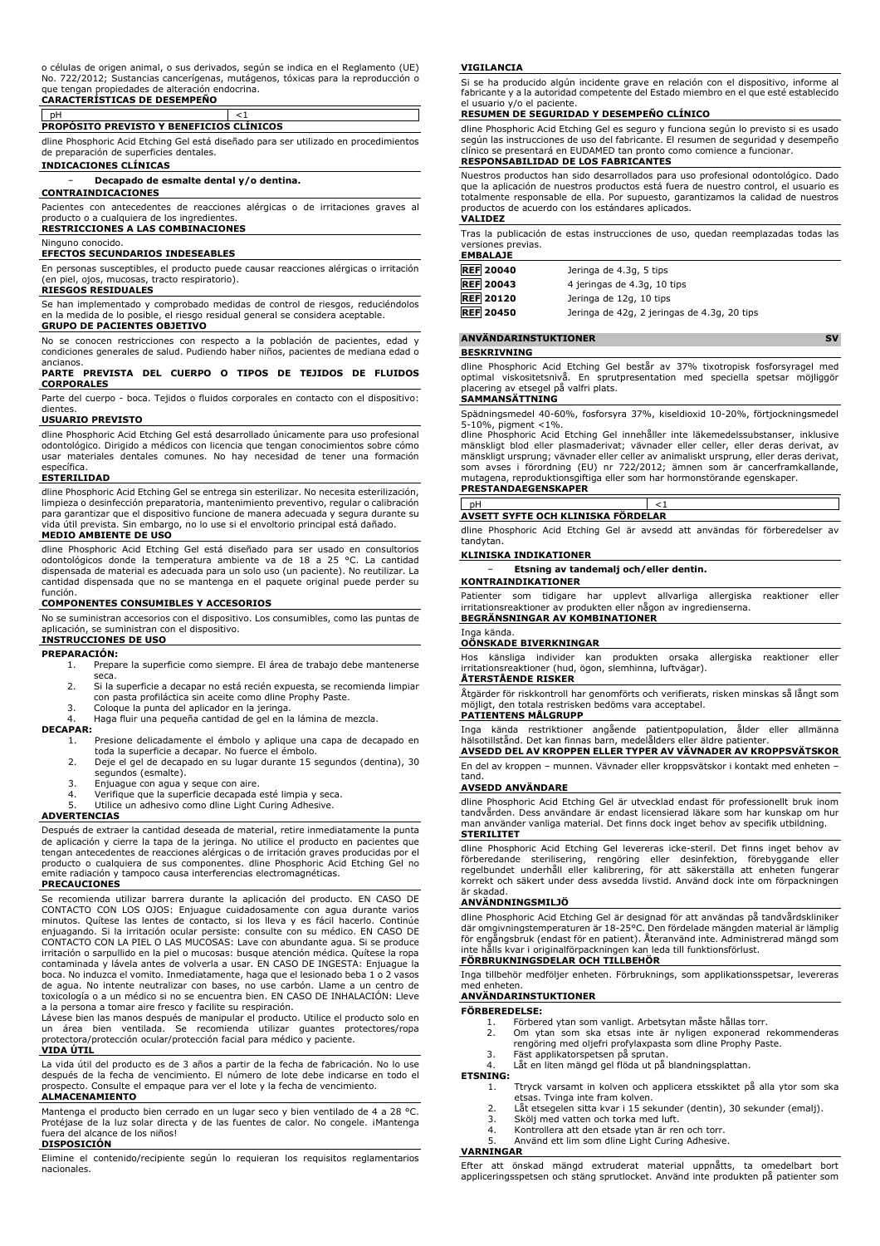### o células de origen animal, o sus derivados, según se indica en el Reglamento (UE) No. 722/2012; Sustancias cancerígenas, mutágenos, tóxicas para la reproducción o que tengan propiedades de alteración endocrina.

# **CARACTERÍSTICAS DE DESEMPEÑO**

# pH <1 **PROPÓSITO PREVISTO Y BENEFICIOS CLÍNICOS**

dline Phosphoric Acid Etching Gel está diseñado para ser utilizado en procedimientos de preparación de superficies dentales.

## **INDICACIONES CLÍNICAS**

− **Decapado de esmalte dental y/o dentina.**

### **CONTRAINDICACIONES**

Pacientes con antecedentes de reacciones alérgicas o de irritaciones graves al producto o a cualquiera de los ingredientes. **RESTRICCIONES A LAS COMBINACIONES**

# Ninguno conocido.

# **EFECTOS SECUNDARIOS INDESEABLES**

En personas susceptibles, el producto puede causar reacciones alérgicas o irritación (en piel, ojos, mucosas, tracto respiratorio).

### **RIESGOS RESIDUALES**

Se han implementado y comprobado medidas de control de riesgos, reduciéndolos en la medida de lo posible, el riesgo residual general se considera aceptable. **GRUPO DE PACIENTES OBJETIVO**

No se conocen restricciones con respecto a la población de pacientes, edad y condiciones generales de salud. Pudiendo haber niños, pacientes de mediana edad o

# ancianos. **PARTE PREVISTA DEL CUERPO O TIPOS DE TEJIDOS DE FLUIDOS CORPORALES**

Parte del cuerpo - boca. Tejidos o fluidos corporales en contacto con el dispositivo: dientes.

### **USUARIO PREVISTO**

dline Phosphoric Acid Etching Gel está desarrollado únicamente para uso profesional odontológico. Dirigido a médicos con licencia que tengan conocimientos sobre cómo usar materiales dentales comunes. No hay necesidad de tener una formación específica.

### **ESTERILIDAD**

dline Phosphoric Acid Etching Gel se entrega sin esterilizar. No necesita esterilización, limpieza o desinfección preparatoria, mantenimiento preventivo, regular o calibración para garantizar que el dispositivo funcione de manera adecuada y segura durante su vida útil prevista. Sin embargo, no lo use si el envoltorio principal está dañado. **MEDIO AMBIENTE DE USO**

dline Phosphoric Acid Etching Gel está diseñado para ser usado en consultorios odontológicos donde la temperatura ambiente va de 18 a 25 °C. La cantidad dispensada de material es adecuada para un solo uso (un paciente). No reutilizar. La cantidad dispensada que no se mantenga en el paquete original puede perder su función.

### **COMPONENTES CONSUMIBLES Y ACCESORIOS**

No se suministran accesorios con el dispositivo. Los consumibles, como las puntas de aplicación, se suministran con el dispositivo.

# **INSTRUCCIONES DE USO**

### **PREPARACIÓN:**

- 1. Prepare la superficie como siempre. El área de trabajo debe mantenerse seca.
- 2. Si la superficie a decapar no está recién expuesta, se recomienda limpiar con pasta profiláctica sin aceite como dline Prophy Paste.
- 3. Coloque la punta del aplicador en la jeringa.<br>4. Haga fluir una pequeña cantidad de gel en l
- 4. Haga fluir una pequeña cantidad de gel en la lámina de mezcla.

## **DECAPAR:**

- 1. Presione delicadamente el émbolo y aplique una capa de decapado en toda la superficie a decapar. No fuerce el émbolo.
- 2. Deje el gel de decapado en su lugar durante 15 segundos (dentina), 30 segundos (esmalte).
- 
- 3. Enjuague con agua y seque con aire. 4. Verifique que la superficie decapada esté limpia y seca.
- Utilice un adhesivo como dline Light Curing Adhesive.

# **ADVERTENCIAS**

Después de extraer la cantidad deseada de material, retire inmediatamente la punta de aplicación y cierre la tapa de la jeringa. No utilice el producto en pacientes que tengan antecedentes de reacciones alérgicas o de irritación graves producidas por el producto o cualquiera de sus componentes. dline Phosphoric Acid Etching Gel no emite radiación y tampoco causa interferencias electromagnéticas. **PRECAUCIONES**

Se recomienda utilizar barrera durante la aplicación del producto. EN CASO DE CONTACTO CON LOS OJOS: Enjuague cuidadosamente con agua durante varios minutos. Quítese las lentes de contacto, si los lleva y es fácil hacerlo. Continúe enjuagando. Si la irritación ocular persiste: consulte con su médico. EN CASO DE CONTACTO CON LA PIEL O LAS MUCOSAS: Lave con abundante agua. Si se produce irritación o sarpullido en la piel o mucosas: busque atención médica. Quítese la ropa contaminada y lávela antes de volverla a usar. EN CASO DE INGESTA: Enjuague la boca. No induzca el vomito. Inmediatamente, haga que el lesionado beba 1 o 2 vasos de agua. No intente neutralizar con bases, no use carbón. Llame a un centro de toxicología o a un médico si no se encuentra bien. EN CASO DE INHALACIÓN: Lleve a la persona a tomar aire fresco y facilite su respiración. Lávese bien las manos después de manipular el producto. Utilice el producto solo en

un área bien ventilada. Se recomienda utilizar guantes protectores/ropa protectora/protección ocular/protección facial para médico y paciente. **VIDA ÚTIL**

La vida útil del producto es de 3 años a partir de la fecha de fabricación. No lo use después de la fecha de vencimiento. El número de lote debe indicarse en todo el prospecto. Consulte el empaque para ver el lote y la fecha de vencimiento. **ALMACENAMIENTO**

### Mantenga el producto bien cerrado en un lugar seco y bien ventilado de 4 a 28 °C. Protéjase de la luz solar directa y de las fuentes de calor. No congele. iMantenga<br>fuera del alcance de los niños! del alcance de los niños!

### **DISPOSICIÓN**

Elimine el contenido/recipiente según lo requieran los requisitos reglamentarios nacionales.

### **VIGILANCIA**

Si se ha producido algún incidente grave en relación con el dispositivo, informe al fabricante y a la autoridad competente del Estado miembro en el que esté establecido el usuario y/o el paciente.

### **RESUMEN DE SEGURIDAD Y DESEMPEÑO CLÍNICO**

dline Phosphoric Acid Etching Gel es seguro y funciona según lo previsto si es usado según las instrucciones de uso del fabricante. El resumen de seguridad y desempeño clínico se presentará en EUDAMED tan pronto como comience a funcionar. **RESPONSABILIDAD DE LOS FABRICANTES**

Nuestros productos han sido desarrollados para uso profesional odontológico. Dado que la aplicación de nuestros productos está fuera de nuestro control, el usuario es totalmente responsable de ella. Por supuesto, garantizamos la calidad de nuestros productos de acuerdo con los estándares aplicados. **VALIDEZ**

Tras la publicación de estas instrucciones de uso, quedan reemplazadas todas las versiones previas. **EMBALAJE**

| <b>REF 20040</b> | Jeringa de 4.3g, 5 tips                     |
|------------------|---------------------------------------------|
| <b>REF</b> 20043 | 4 jeringas de 4.3g, 10 tips                 |
| <b>REF 20120</b> | Jeringa de 12g, 10 tips                     |
| <b>REF</b> 20450 | Jeringa de 42g, 2 jeringas de 4.3g, 20 tips |

# **ANVÄNDARINSTUKTIONER SV**

**BESKRIVNING**

dline Phosphoric Acid Etching Gel består av 37% tixotropisk fosforsyragel med optimal viskositetsnivå. En sprutpresentation med speciella spetsar möjliggör placering av etsegel på valfri plats.

### **SAMMANSÄTTNING**

Spädningsmedel 40-60%, fosforsyra 37%, kiseldioxid 10-20%, förtjockningsmedel 5-10%, pigment <1%.

dline Phosphoric Acid Etching Gel innehåller inte läkemedelssubstanser, inklusive mänskligt blod eller plasmaderivat; vävnader eller celler, eller deras derivat, av mänskligt ursprung; vävnader eller celler av animaliskt ursprung, eller deras derivat, som avses i förordning (EU) nr 722/2012; ämnen som är cancerframkallande, mutagena, reproduktionsgiftiga eller som har hormonstörande egenskaper.

# **PRESTANDAEGENSKAPER**

pH <1 **AVSETT SYFTE OCH KLINISKA FÖRDELAR**

dline Phosphoric Acid Etching Gel är avsedd att användas för förberedelser av tandytan.

# **KLINISKA INDIKATIONER**

− **Etsning av tandemalj och/eller dentin.**

# **KONTRAINDIKATIONER**

Patienter som tidigare har upplevt allvarliga allergiska reaktioner eller irritationsreaktioner av produkten eller någon av ingredienserna. **BEGRÄNSNINGAR AV KOMBINATIONER**

# Inga kända.

### **OÖNSKADE BIVERKNINGAR**

Hos känsliga individer kan produkten orsaka allergiska reaktioner eller irritationsreaktioner (hud, ögon, slemhinna, luftvägar).

# **ÅTERSTÅENDE RISKER**

Åtgärder för riskkontroll har genomförts och verifierats, risken minskas så långt som möjligt, den totala restrisken bedöms vara acceptabel. **PATIENTENS MÅLGRUPP**

Inga kända restriktioner angående patientpopulation, ålder eller allmänna hälsotillstånd. Det kan finnas barn, medelålders eller äldre patienter.

**AVSEDD DEL AV KROPPEN ELLER TYPER AV VÄVNADER AV KROPPSVÄTSKOR** En del av kroppen – munnen. Vävnader eller kroppsvätskor i kontakt med enheten – tand.

### **AVSEDD ANVÄNDARE**

dline Phosphoric Acid Etching Gel är utvecklad endast för professionellt bruk inom tandvården. Dess användare är endast licensierad läkare som har kunskap om hur man använder vanliga material. Det finns dock inget behov av specifik utbildning. **STERILITET**

# dline Phosphoric Acid Etching Gel levereras icke-steril. Det finns inget behov av förberedande sterilisering, rengöring eller desinfektion, förebyggande eller regelbundet underhåll eller kalibrering, för att säkerställa att enheten fungerar korrekt och säkert under dess avsedda livstid. Använd dock inte om förpackningen

### är skadad. **ANVÄNDNINGSMILJÖ**

dline Phosphoric Acid Etching Gel är designad för att användas på tandvårdskliniker där omgivningstemperaturen är 18-25°C. Den fördelade mängden material är lämplig för engångsbruk (endast för en patient). Återanvänd inte. Administrerad mängd som inte hålls kvar i originalförpackningen kan leda till funktionsförlust.

# **FÖRBRUKNINGSDELAR OCH TILLBEHÖR**

Inga tillbehör medföljer enheten. Förbruknings, som applikationsspetsar, levereras med enheten.

## **ANVÄNDARINSTUKTIONER FÖRBEREDELSE:**

- 
- 1. Förbered ytan som vanligt. Arbetsytan måste hållas torr.<br>2. Om ytan som ska etsas inte är nyligen exponerad r 2. Om ytan som ska etsas inte är nyligen exponerad rekommenderas rengöring med oljefri profylaxpasta som dline Prophy Paste.
- 
- 3. Fäst applikatorspetsen på sprutan.
- 4. Låt en liten mängd gel flöda ut på blandningsplattan.
- **ETSNING:**<br>1.
	- Ttryck varsamt in kolven och applicera etsskiktet på alla ytor som ska etsas. Tvinga inte fram kolven.
	- 2. Låt etsegelen sitta kvar i 15 sekunder (dentin), 30 sekunder (emalj).<br>3. Skölj med vatten och torka med luft.<br>4. Kontrollera att den etsade ytan är ren och torr.
	- 3. Skölj med vatten och torka med luft. 4. Kontrollera att den etsade ytan är ren och torr.
	-
	- 5. Använd ett lim som dline Light Curing Adhesive.

# **VARNINGAR**

Efter att önskad mängd extruderat material uppnåtts, ta omedelbart bort appliceringsspetsen och stäng sprutlocket. Använd inte produkten på patienter som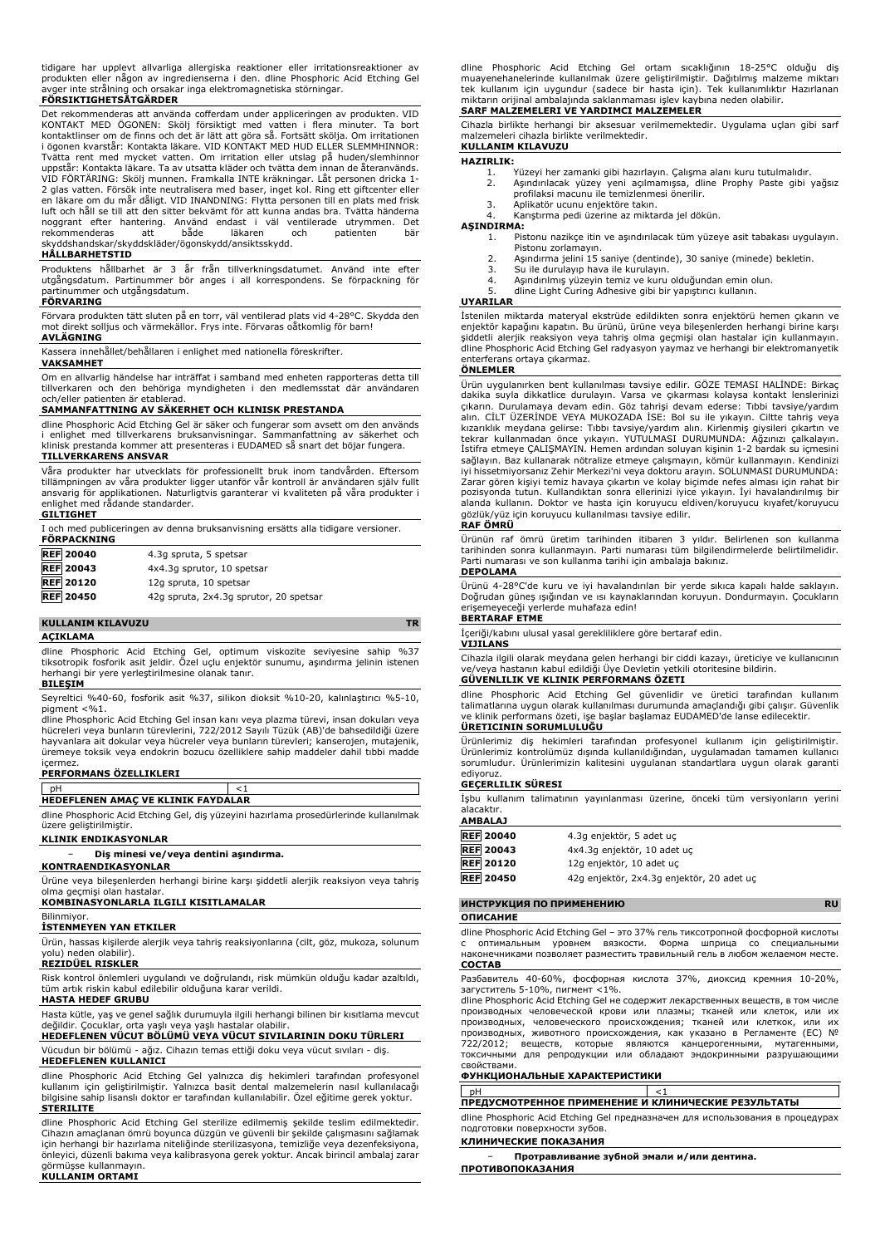tidigare har upplevt allvarliga allergiska reaktioner eller irritationsreaktioner av produkten eller någon av ingredienserna i den. dline Phosphoric Acid Etching Gel avger inte strålning och orsakar inga elektromagnetiska störningar.

# **FÖRSIKTIGHETSÅTGÄRDER**

Det rekommenderas att använda cofferdam under appliceringen av produkten. VID KONTAKT MED ÖGONEN: Skölj försiktigt med vatten i flera minuter. Ta bort kontaktlinser om de finns och det är lätt att göra så. Fortsätt skölja. Om irritationen i ögonen kvarstår: Kontakta läkare. VID KONTAKT MED HUD ELLER SLEMMHINNOR: Tvätta rent med mycket vatten. Om irritation eller utslag på huden/slemhinnor uppstär: Kontakta läkare. Ta av utsatta kläder och tvätta dem innan de återanvänds.<br>VID FÖRTÄRING: Skölj munnen. Framkalla INTE kräkningar. Låt personen dricka 1-<br>2 glas vatten. Försök inte neutralisera med baser, inget ko skyddshandskar/skyddskläder/ögonskydd/ansiktsskydd.

# **HÅLLBARHETSTID**

Produktens hållbarhet är 3 år från tillverkningsdatumet. Använd inte efter utgångsdatum. Partinummer bör anges i all korrespondens. Se förpackning för partinummer och utgångsdatum.

# **FÖRVARING**

Förvara produkten tätt sluten på en torr, väl ventilerad plats vid 4-28°C. Skydda den mot direkt solljus och värmekällor. Frys inte. Förvaras oåtkomlig för barn!

### **AVLÄGNING**

Kassera innehållet/behållaren i enlighet med nationella föreskrifter.

### **VAKSAMHET**

Om en allvarlig händelse har inträffat i samband med enheten rapporteras detta till tillverkaren och den behöriga myndigheten i den medlemsstat där användaren och/eller patienten är etablera

# **SAMMANFATTNING AV SÄKERHET OCH KLINISK PRESTANDA**

dline Phosphoric Acid Etching Gel är säker och fungerar som avsett om den används enlighet med tillverkarens bruksanvisningar. Sammanfattning av säkerhet och klinisk prestanda kommer att presenteras i EUDAMED så snart det böjar fungera. **TILLVERKARENS ANSVAR**

# Våra produkter har utvecklats för professionellt bruk inom tandvården. Eftersom tillämpningen av våra produkter ligger utanför vår kontroll är användaren själv fullt ansvarig för applikationen. Naturligtvis garanterar vi kvaliteten på våra produkter i enlighet med rådande standarder.

### **GILTIGHET**

I och med publiceringen av denna bruksanvisning ersätts alla tidigare versioner. **FÖRPACKNING**

| <b>REF 20040</b> | 4.3g spruta, 5 spetsar                 |
|------------------|----------------------------------------|
| <b>REF</b> 20043 | 4x4.3q sprutor, 10 spetsar             |
| <b>REF 20120</b> | 12g spruta, 10 spetsar                 |
| <b>REF</b> 20450 | 42q spruta, 2x4.3q sprutor, 20 spetsar |

# **KULLANIM KILAVUZU TR AÇIKLAMA**

dline Phosphoric Acid Etching Gel, optimum viskozite seviyesine sahip %37 tiksotropik fosforik asit jeldir. Özel uçlu enjektör sunumu, aşındırma jelinin istenen herhangi bir yere yerleştirilmesine olanak tanır.

# **BILEŞIM**

Seyreltici %40-60, fosforik asit %37, silikon dioksit %10-20, kalınlaştırıcı %5-10,  $pigenent  $< 0.1$ .$ 

dline Phosphoric Acid Etching Gel insan kanı veya plazma türevi, insan dokuları veya hücreleri veya bunların türevlerini, 722/2012 Sayılı Tüzük (AB)'de bahsedildiği üzere hayvanlara ait dokular veya hücreler veya bunların türevleri; kanserojen, mutajenik, üremeye toksik veya endokrin bozucu özelliklere sahip maddeler dahil tıbbi madde

# içermez. **PERFORMANS ÖZELLIKLERI**

pH <1 **HEDEFLENEN AMAÇ VE KLINIK FAYDALAR**

dline Phosphoric Acid Etching Gel, diş yüzeyini hazırlama prosedürlerinde kullanılmak üzere geliştirilmiştir.

## **KLINIK ENDIKASYONLAR**

− **Diş minesi ve/veya dentini aşındırma.**

**KONTRAENDIKASYONLAR**

Ürüne veya bileşenlerden herhangi birine karşı şiddetli alerjik reaksiyon veya tahriş olma geçmişi olan hastalar. **KOMBINASYONLARLA ILGILI KISITLAMALAR**

# Bilinmiyor.

**İSTENMEYEN YAN ETKILER**

Ürün, hassas kişilerde alerjik veya tahriş reaksiyonlarına (cilt, göz, mukoza, solunum yolu) neden olabilir).

# **REZIDÜEL RISKLER**

Risk kontrol önlemleri uygulandı ve doğrulandı, risk mümkün olduğu kadar azaltıldı, tüm artık riskin kabul edilebilir olduğuna karar verildi.

# **HASTA HEDEF GRUBU**

Hasta kütle, yaş ve genel sağlık durumuyla ilgili herhangi bilinen bir kısıtlama mevcut değildir. Çocuklar, orta yaşlı veya yaşlı hastalar olabilir.

# **HEDEFLENEN VÜCUT BÖLÜMÜ VEYA VÜCUT SIVILARININ DOKU TÜRLERI** Vücudun bir bölümü - ağız. Cihazın temas ettiği doku veya vücut sıvıları - diş. **HEDEFLENEN KULLANICI**

dline Phosphoric Acid Etching Gel yalnızca diş hekimleri tarafından profesyonel<br>kullanım için geliştirilmiştir. Yalnızca basit dental malzemelerin nasıl kullanılacağı<br>bilgisine sahip lisanslı doktor er tarafından kullanıla

# **STERILITE**

dline Phosphoric Acid Etching Gel sterilize edilmemiş şekilde teslim edilmektedir. Cihazın amaçlanan ömrü boyunca düzgün ve güvenli bir şekilde çalışmasını sağlamak için herhangi bir hazırlama niteliğinde sterilizasyona, temizliğe veya dezenfeksiyona, önleyici, düzenli bakıma veya kalibrasyona gerek yoktur. Ancak birincil ambalaj zarar görmüşse kullanmayın. **KULLANIM ORTAMI**

dline Phosphoric Acid Etching Gel ortam sıcaklığının 18-25°C olduğu diş muayenehanelerinde kullanılmak üzere geliştirilmiştir. Dağıtılmış malzeme miktarı tek kullanım için uygundur (sadece bir hasta için). Tek kullanımlıktır Hazırlanan miktarın orijinal ambalajında saklanmaması işlev kaybına neden olabilir. **SARF MALZEMELERI VE YARDIMCI MALZEMELER**

Cihazla birlikte herhangi bir aksesuar verilmemektedir. Uygulama uçları gibi sarf malzemeleri cihazla birlikte verilmektedir.

### **KULLANIM KILAVUZU**

# **HAZIRLIK:**

- 1. Yüzeyi her zamanki gibi hazırlayın. Çalışma alanı kuru tutulmalıdır.<br>2. Asındırılacak yüzey yeni acılmamıssa, dline Prophy Paste gibi y
- 2. Aşındırılacak yüzey yeni açılmamışsa, dline Prophy Paste gibi yağsız profilaksi macunu ile temizlenmesi önerilir.
- 3. Aplikatör ucunu enjektöre takın.<br>4. Karistirma nedi üzerine az mikta Karıştırma pedi üzerine az miktarda jel dökün.

### **AŞINDIRMA:**

- 1. Pistonu nazikçe itin ve aşındırılacak tüm yüzeye asit tabakası uygulayın.
- Pistonu zorlamayın. 2. Aşındırma jelini 15 saniye (dentinde), 30 saniye (minede) bekletin.
- 
- 3. Su ile durulayıp hava ile kurulayın.<br>4. Asındırılmış vüzevin temiz ve kuru 4. Aşındırılmış yüzeyin temiz ve kuru olduğundan emin olun. 5. dline Light Curing Adhesive gibi bir yapıştırıcı kullanın.

# **UYARILAR**

İstenilen miktarda materyal ekstrüde edildikten sonra enjektörü hemen çıkarın ve enjektör kapağını kapatın. Bu ürünü, ürüne veya bileşenlerden herhangi birine karşı şiddetli alerjik reaksiyon veya tahriş olma geçmişi olan hastalar için kullanmayın. dline Phosphoric Acid Etching Gel radyasyon yaymaz ve herhangi bir elektromanyetik enterferans ortaya çıkarmaz.

### **ÖNLEMLER**

Urün uygulanırken bent kullanılması tavsiye edilir. GOZE TEMASI HALINDE: Birkaç dakika suyla dikkatlice durulayı. Varsa ve çıkarması kolaysa kontakt lenslerinizi çıkarın. Durulamaya devam edin. Göz tahrişi devam ederse: Tı sağlayın. Baz kullanarak nötralize etmeye çalışmayın, kömür kullanmayın. Kendinizi iyi hissetmiyorsanız Zehir Merkezi'ni veya doktoru arayın. SOLUNMASI DURUMUNDA: Zarar gören kişiyi temiz havaya çıkartın ve kolay biçimde nefes alması için rahat bir pozisyonda tutun. Kullandıktan sonra ellerinizi iyice yıkayın. İyi havalandırılmış bir alanda kullanın. Doktor ve hasta için koruyucu eldiven/koruyucu kıyafet/koruyucu gözlük/yüz için koruyucu kullanılması tavsiye edilir.

# **RAF ÖMRÜ**

Ürünün raf ömrü üretim tarihinden itibaren 3 yıldır. Belirlenen son kullanma tarihinden sonra kullanmayın. Parti numarası tüm bilgilendirmelerde belirtilmelidir. Parti numarası ve son kullanma tarihi için ambalaja bakınız. **DEPOLAMA**

Ürünü 4-28°C'de kuru ve iyi havalandırılan bir yerde sıkıca kapalı halde saklayın. Doğrudan güneş ışığından ve ısı kaynaklarından koruyun. Dondurmayın. Çocukların erişemeyeceği yerlerde muhafaza edin!

# **BERTARAF ETME**

İçeriği/kabını ulusal yasal gerekliliklere göre bertaraf edin.

# **VIJILANS**

Cihazla ilgili olarak meydana gelen herhangi bir ciddi kazayı, üreticiye ve kullanıcının ve/veya hastanın kabul edildiği Üye Devletin yetkili otoritesine bildirin.

# **GÜVENLILIK VE KLINIK PERFORMANS ÖZETI**

dline Phosphoric Acid Etching Gel güvenlidir ve üretici tarafından kullanım talimatlarına uygun olarak kullanılması durumunda amaçlandığı gibi çalışır. Güvenlik ve klinik performans özeti, işe başlar başlamaz EUDAMED'de lanse edilecektir. **ÜRETICININ SORUMLULUĞU**

Ürünlerimiz diş hekimleri tarafından profesyonel kullanım için geliştirilmiştir. Ürünlerimiz kontrolümüz dışında kullanıldığından, uygulamadan tamamen kullanıcı sorumludur. Ürünlerimizin kalitesini uygulanan standartlara uygun olarak garanti ediyoruz.

# **GEÇERLILIK SÜRESI**

İşbu kullanım talimatının yayınlanması üzerine, önceki tüm versiyonların yerini alacaktır. **AMBALAJ**

| ~~~~~~           |                                           |
|------------------|-------------------------------------------|
| <b>REF 20040</b> | 4.3q enjektör, 5 adet uc                  |
| <b>REF 20043</b> | 4x4.3q enjektör, 10 adet uc               |
| <b>REF 20120</b> | 12g enjektör, 10 adet uc                  |
| <b>REF 20450</b> | 42g enjektör, 2x4.3g enjektör, 20 adet uç |

### **ИНСТРУКЦИЯ ПО ПРИМЕНЕНИЮ RU**

# **ОПИСАНИЕ**

dline Phosphoric Acid Etching Gel – это 37% гель тиксотропной фосфорной кислоты с оптимальным уровнем вязкости. Форма шприца со специальными наконечниками позволяет разместить травильный гель в любом желаемом месте. **СОСТАВ**

Разбавитель 40-60%, фосфорная кислота 37%, диоксид кремния 10-20%, загуститель 5-10%, пигмент <1%.

dline Phosphoric Acid Etching Gel не содержит лекарственных веществ, в том числе производных человеческой крови или плазмы; тканей или клеток, или их производных, человеческого происхождения; тканей или клеткок, или их производных, животного происхождения, как указано в Регламенте (ЕС) № 722/2012; веществ, которые являются канцерогенными, мутагенными, токсичными для репродукции или обладают эндокринными разрушающими свойствами.

# **ФУНКЦИОНАЛЬНЫЕ ХАРАКТЕРИСТИКИ**

pH  $<1$ **ПРЕДУСМОТРЕННОЕ ПРИМЕНЕНИЕ И КЛИНИЧЕСКИЕ РЕЗУЛЬТАТЫ**

dline Phosphoric Acid Etching Gel предназначен для использования в процедурах подготовки поверхности зубов.

# **КЛИНИЧЕСКИЕ ПОКАЗАНИЯ**

− **Протравливание зубной эмали и/или дентина. ПРОТИВОПОКАЗАНИЯ**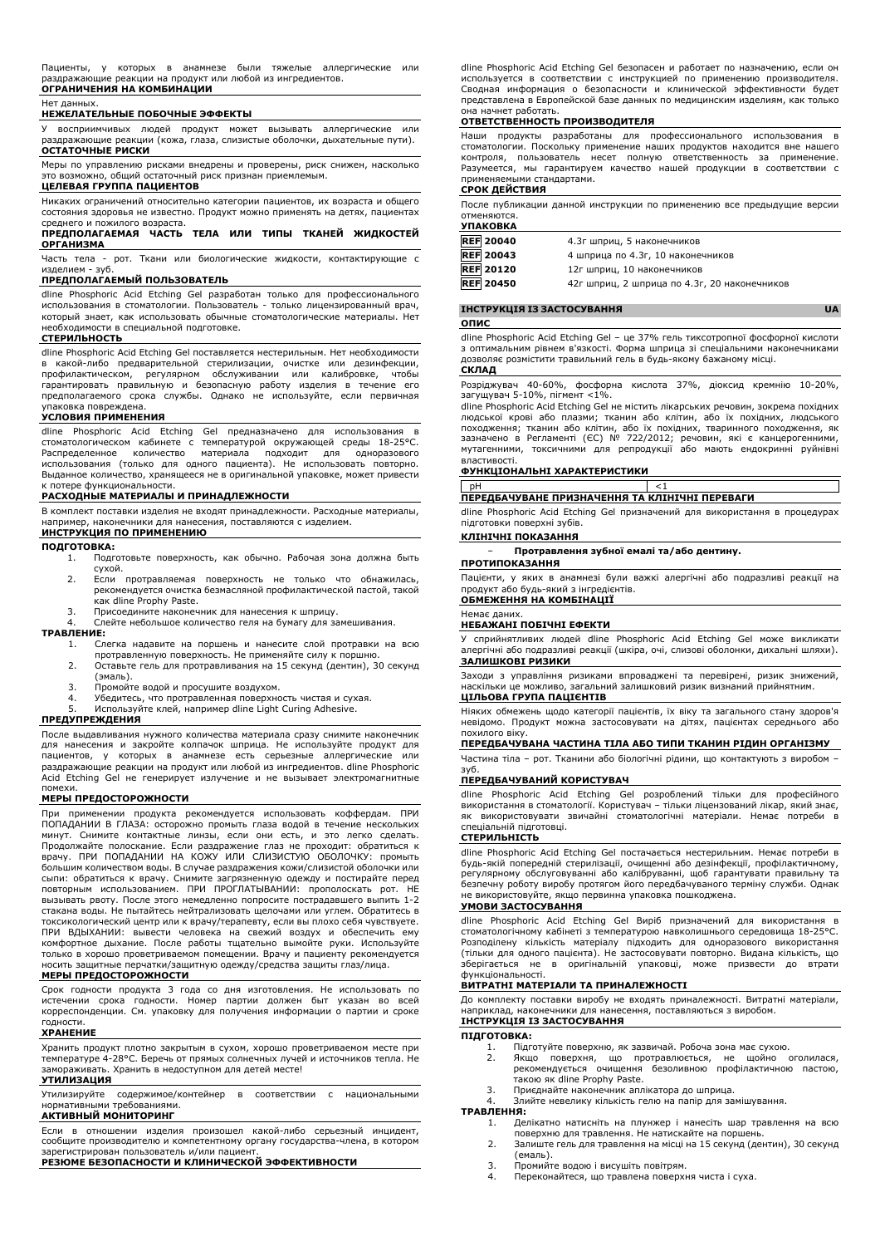### Нет данных.

## **НЕЖЕЛАТЕЛЬНЫЕ ПОБОЧНЫЕ ЭФФЕКТЫ**

У восприимчивых людей продукт может вызывать аллергические раздражающие реакции (кожа, глаза, слизистые оболочки, дыхательные пути). **ОСТАТОЧНЫЕ РИСКИ**

Меры по управлению рисками внедрены и проверены, риск снижен, насколько возможно, общий остаточный риск признан приемлемым. **ЦЕЛЕВАЯ ГРУППА ПАЦИЕНТОВ**

Никаких ограничений относительно категории пациентов, их возраста и общего состояния здоровья не известно. Продукт можно применять на детях, пациентах среднего и пожилого возраста.

# **ПРЕДПОЛАГАЕМАЯ ЧАСТЬ ТЕЛА ИЛИ ТИПЫ ТКАНЕЙ ЖИДКОСТЕЙ ОРГАНИЗМА**

Часть тела - рот. Ткани или биологические жидкости, контактирующие с изделием - зуб.

# **ПРЕДПОЛАГАЕМЫЙ ПОЛЬЗОВАТЕЛЬ**

dline Phosphoric Acid Etching Gel разработан только для профессионального использования в стоматологии. Пользователь - только лицензированный врач, который знает, как использовать обычные стоматологические материалы. Нет необходимости в специальной подготовке.

### **СТЕРИЛЬНОСТЬ**

dline Phosphoric Acid Etching Gel поставляется нестерильным. Нет необходимости в какой-либо предварительной стерилизации, очистке или дезинфекции, профилактическом, регулярном обслуживании или калибровке, чтобы гарантировать правильную и безопасную работу изделия в течение его предполагаемого срока службы. Однако не используйте, если первичная упаковка повреждена.

## **УСЛОВИЯ ПРИМЕНЕНИЯ**

dline Phosphoric Acid Etching Gel предназначено для использования стоматологическом кабинете с температурой окружающей среды 18-25°C. Распределенное количество материала подходит для одноразового использования (только для одного пациента). Не использовать повторно. Выданное количество, хранящееся не в оригинальной упаковке, может привести к потере функциональности.

## **РАСХОДНЫЕ МАТЕРИАЛЫ И ПРИНАДЛЕЖНОСТИ**

В комплект поставки изделия не входят принадлежности. Расходные материалы, например, наконечники для нанесения, поставляются с изделием. **ИНСТРУКЦИЯ ПО ПРИМЕНЕНИЮ**

# **ПОДГОТОВКА:**

- 1. Подготовьте поверхность, как обычно. Рабочая зона должна быть
- сухой. 2. Если протравляемая поверхность не только что обнажилась, рекомендуется очистка безмасляной профилактической пастой, такой
- как dline Prophy Paste. 3. Присоедините наконечник для нанесения к шприцу.

4. Слейте небольшое количество геля на бумагу для замешивания.

# **ТРАВЛЕНИЕ:**

- 1. Слегка надавите на поршень и нанесите слой протравки на всю протравленную поверхность. Не применяйте силу к поршню.
- 2. Оставьте гель для протравливания на 15 секунд (дентин), 30 секунд (эмаль).
- 
- 3. Промойте водой и просушите воздухом. 4. Убедитесь, что протравленная поверхность чистая и сухая. Используйте клей, например dline Light Curing Adhesive.

# **ПРЕДУПРЕЖДЕНИЯ**

После выдавливания нужного количества материала сразу снимите наконечник для нанесения и закройте колпачок шприца. Не используйте продукт для пациентов, у которых в анамнезе есть серьезные аллергические или раздражающие реакции на продукт или любой из ингредиентов. dline Phosphoric Acid Etching Gel не генерирует излучение и не вызывает электромагнитные помехи.

## **МЕРЫ ПРЕДОСТОРОЖНОСТИ**

При применении продукта рекомендуется использовать коффердам. ПРИ ПОПАДАНИИ В ГЛАЗА: осторожно промыть глаза водой в течение нескольких<br>минут. Снимите контактные линзы, если они есть, и это легко сделать.<br>Продолжайте полоскание. Если раздражение глаз не проходит: обратиться к<br>врачу. ПРИ большим количеством воды. В случае раздражения кожи/слизистой оболочки или сыпи: обратиться к врачу. Снимите загрязненную одежду и постирайте перед повторным использованием. ПРИ ПРОГЛАТЫВАНИИ: прополоскать рот. НЕ вызывать рвоту. После этого немедленно попросите пострадавшего выпить 1-2 стакана воды. Не пытайтесь нейтрализовать щелочами или углем. Обратитесь в токсикологический центр или к врачу/терапевту, если вы плохо себя чувствуете. ПРИ ВДЫХАНИИ: вывести человека на свежий воздух и обеспечить ему комфортное дыхание. После работы тщательно вымойте руки. Используйте только в хорошо проветриваемом помещении. Врачу и пациенту рекомендуется носить защитные перчатки/защитную одежду/средства защиты глаз/лица.

### **МЕРЫ ПРЕДОСТОРОЖНОСТИ**

Срок годности продукта 3 года со дня изготовления. Не использовать по истечении срока годности. Номер партии должен быт указан во всей корреспонденции. См. упаковку для получения информации о партии и сроке

# годности. **ХРАНЕНИЕ**

Хранить продукт плотно закрытым в сухом, хорошо проветриваемом месте при температуре 4-28°C. Беречь от прямых солнечных лучей и источников тепла. Не замораживать. Хранить в недоступном для детей месте!

# **УТИЛИЗАЦИЯ**

Утилизируйте содержимое/контейнер в соответствии с национальными нормативными требованиями.

# **АКТИВНЫЙ МОНИТОРИНГ**

Если в отношении изделия произошел какой-либо серьезный инцидент, сообщите производителю и компетентному органу государства-члена, в котором зарегистрирован пользователь и/или пациент.

# **РЕЗЮМЕ БЕЗОПАСНОСТИ И КЛИНИЧЕСКОЙ ЭФФЕКТИВНОСТИ**

dline Phosphoric Acid Etching Gel безопасен и работает по назначению, если он используется в соответствии с инструкцией по применению производителя. Сводная информация о безопасности и клинической эффективности будет представлена в Европейской базе данных по медицинским изделиям, как только она начнет работать.

# **ОТВЕТСТВЕННОСТЬ ПРОИЗВОДИТЕЛЯ**

Наши продукты разработаны для профессионального использования в стоматологии. Поскольку применение наших продуктов находится вне нашего контроля, пользователь несет полную ответственность за применение. Разумеется, мы гарантируем качество нашей продукции в соответствии с применяемыми стандартами.

# **СРОК ДЕЙСТВИЯ**

После публикации данной инструкции по применению все предыдущие версии отменяются. **УПАКОВКА**

| <b>REF 20040</b> | 4.3г шприц, 5 наконечников                   |
|------------------|----------------------------------------------|
| <b>REF 20043</b> | 4 шприца по 4.3г, 10 наконечников            |
| <b>REF 20120</b> | 12г шприц, 10 наконечников                   |
| <b>REF 20450</b> | 42г шприц, 2 шприца по 4.3г, 20 наконечников |

# **ІНСТРУКЦІЯ ІЗ ЗАСТОСУВАННЯ UA ОПИС**

dline Phosphoric Acid Etching Gel – це 37% гель тиксотропної фосфорної кислоти з оптимальним рівнем в'язкості. Форма шприца зі спеціальними наконечниками дозволяє розмістити травильний гель в будь-якому бажаному місці. **СКЛАД**

Розріджувач 40-60%, фосфорна кислота 37%, діоксид кремнію 10-20%, загущувач 5-10%, пігмент <1%.

dline Phosphoric Acid Etching Gel не містить лікарських речовин, зокрема похідних людської крові або плазми; тканин або клітин, або їх похідних, людського<br>походження; тканин або клітин, або їх похідних, тваринного походження, як<br>зазначено в Регламенті (ЄС) № 722/2012; речовин, які є канцерогенними,<br>мут властивості.

# **ФУНКЦІОНАЛЬНІ ХАРАКТЕРИСТИКИ**

pH <1 **ПЕРЕДБАЧУВАНЕ ПРИЗНАЧЕННЯ ТА КЛІНІЧНІ ПЕРЕВАГИ**

dline Phosphoric Acid Etching Gel призначений для використання в процедурах підготовки поверхні зубів.

### **КЛІНІЧНІ ПОКАЗАННЯ**

− **Протравлення зубної емалі та/або дентину.**

**ПРОТИПОКАЗАННЯ** Пацієнти, у яких в анамнезі були важкі алергічні або подразливі реакції на продукт або будь-який з інгредієнтів.

# **ОБМЕЖЕННЯ НА КОМБІНАЦІЇ**

Немає даних. **НЕБАЖАНІ ПОБІЧНІ ЕФЕКТИ**

У сприйнятливих людей dline Phosphoric Acid Etching Gel може викликати алергічні або подразливі реакції (шкіра, очі, слизові оболонки, дихальні шляхи). **ЗАЛИШКОВІ РИЗИКИ**

Заходи з управління ризиками впроваджені та перевірені, ризик знижений, наскільки це можливо, загальний залишковий ризик визнаний прийнятним. **ЦІЛЬОВА ГРУПА ПАЦІЄНТІВ**

Ніяких обмежень щодо категорії пацієнтів, їх віку та загального стану здоров'я невідомо. Продукт можна застосовувати на дітях, пацієнтах середнього або похилого віку.

# **ПЕРЕДБАЧУВАНА ЧАСТИНА ТІЛА АБО ТИПИ ТКАНИН РІДИН ОРГАНІЗМУ**

Частина тіла – рот. Тканини або біологічні рідини, що контактують з виробом – зуб.

# **ПЕРЕДБАЧУВАНИЙ КОРИСТУВАЧ**

dline Phosphoric Acid Etching Gel розроблений тільки для професійного використання в стоматології. Користувач – тільки ліцензований лікар, який знає, як використовувати звичайні стоматологічні матеріали. Немає потреби в спеціальній підготовці.

## **СТЕРИЛЬНІСТЬ**

dline Phosphoric Acid Etching Gel постачається нестерильним. Немає потреби в будь-якій попередній стерилізації, очищенні або дезінфекції, профілактичному, регулярному обслуговуванні або калібруванні, щоб гарантувати правильну та безпечну роботу виробу протягом його передбачуваного терміну служби. Однак не використовуйте, якщо первинна упаковка пошкоджена.

### **УМОВИ ЗАСТОСУВАННЯ**

dline Phosphoric Acid Etching Gel Виріб призначений для використання в стоматологічному кабінеті з температурою навколишнього середовища 18-25°C. Розподілену кількість матеріалу підходить для одноразового використання (тільки для одного пацієнта). Не застосовувати повторно. Видана кількість, що зберігається не в оригінальній упаковці, може призвести до втрати функціональності.

# **ВИТРАТНІ МАТЕРІАЛИ ТА ПРИНАЛЕЖНОСТІ**

До комплекту поставки виробу не входять приналежності. Витратні матеріали, наприклад, наконечники для нанесення, поставляються з виробом.

# **ІНСТРУКЦІЯ ІЗ ЗАСТОСУВАННЯ**

**ПІДГОТОВКА:**

- 1. Підготуйте поверхню, як зазвичай. Робоча зона має сухою.<br>2. Якшо поверхня, що протравлюється, не щойно с
- 2. Якщо поверхня, що протравлюється, не щойно оголилася, рекомендується очищення безоливною профілактичною пастою, такою як dline Prophy Paste.
- 3. Приєднайте наконечник аплікатора до шприца.
	- 4. Злийте невелику кількість гелю на папір для замішування.

# **ТРАВЛЕННЯ:**

- 1. Делікатно натисніть на плунжер і нанесіть шар травлення на всю поверхню для травлення. Не натискайте на поршень.
- 2. Залиште гель для травлення на місці на 15 секунд (дентин), 30 секунд (емаль).
- 3. Промийте водою і висушіть повітрям. 4. Переконайтеся, що травлена поверхня чиста і суха.
-